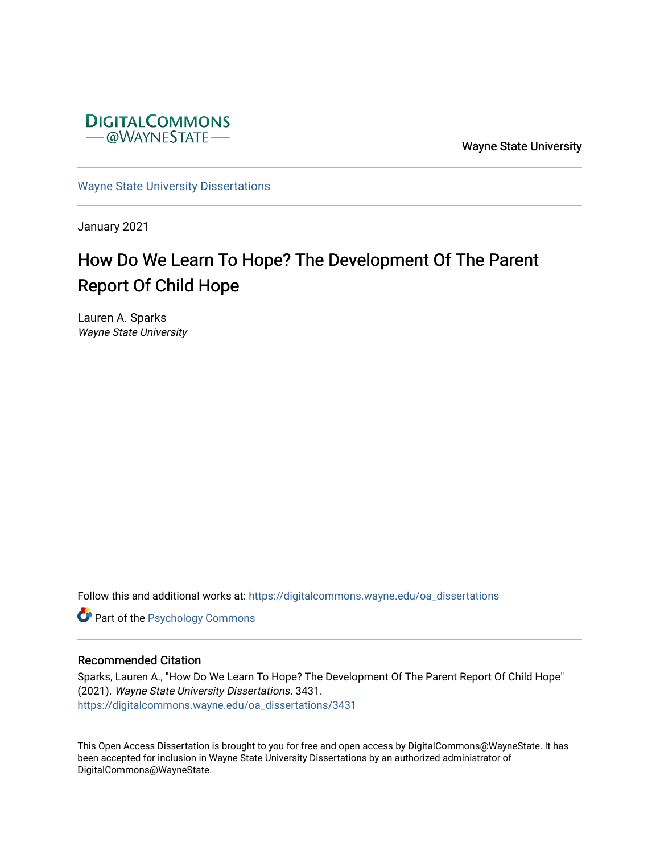

Wayne State University

[Wayne State University Dissertations](https://digitalcommons.wayne.edu/oa_dissertations) 

January 2021

# How Do We Learn To Hope? The Development Of The Parent Report Of Child Hope

Lauren A. Sparks Wayne State University

Follow this and additional works at: [https://digitalcommons.wayne.edu/oa\\_dissertations](https://digitalcommons.wayne.edu/oa_dissertations?utm_source=digitalcommons.wayne.edu%2Foa_dissertations%2F3431&utm_medium=PDF&utm_campaign=PDFCoverPages)

**Part of the Psychology Commons** 

#### Recommended Citation

Sparks, Lauren A., "How Do We Learn To Hope? The Development Of The Parent Report Of Child Hope" (2021). Wayne State University Dissertations. 3431. [https://digitalcommons.wayne.edu/oa\\_dissertations/3431](https://digitalcommons.wayne.edu/oa_dissertations/3431?utm_source=digitalcommons.wayne.edu%2Foa_dissertations%2F3431&utm_medium=PDF&utm_campaign=PDFCoverPages) 

This Open Access Dissertation is brought to you for free and open access by DigitalCommons@WayneState. It has been accepted for inclusion in Wayne State University Dissertations by an authorized administrator of DigitalCommons@WayneState.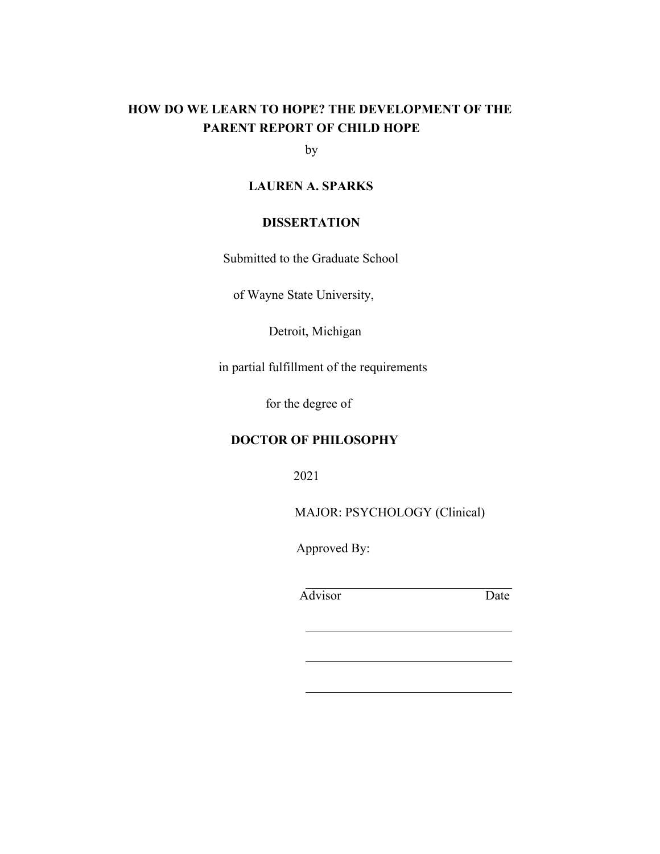# **HOW DO WE LEARN TO HOPE? THE DEVELOPMENT OF THE PARENT REPORT OF CHILD HOPE**

by

## **LAUREN A. SPARKS**

## **DISSERTATION**

Submitted to the Graduate School

of Wayne State University,

Detroit, Michigan

in partial fulfillment of the requirements

for the degree of

## **DOCTOR OF PHILOSOPHY**

2021

MAJOR: PSYCHOLOGY (Clinical)

Approved By:

Advisor Date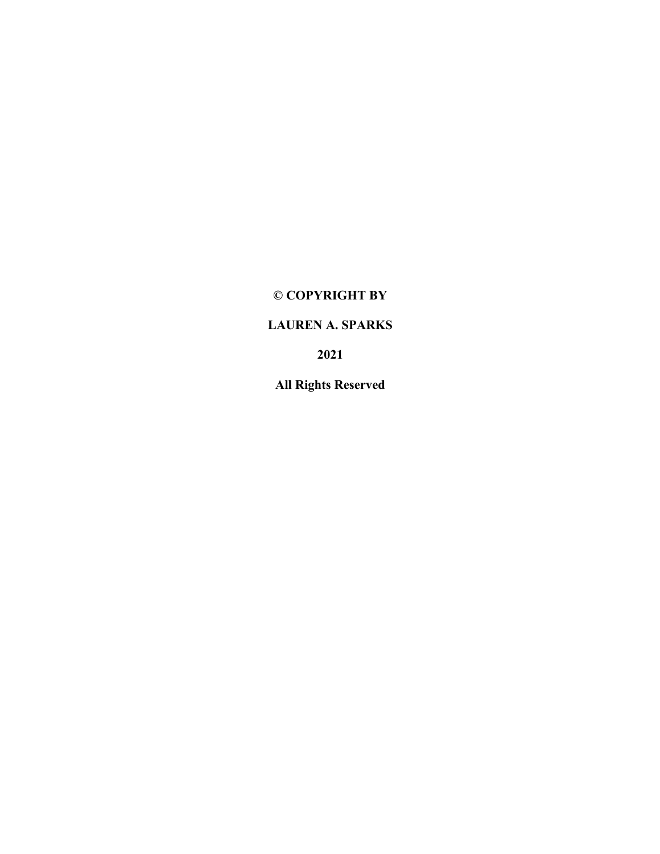# **© COPYRIGHT BY**

# **LAUREN A. SPARKS**

**2021**

**All Rights Reserved**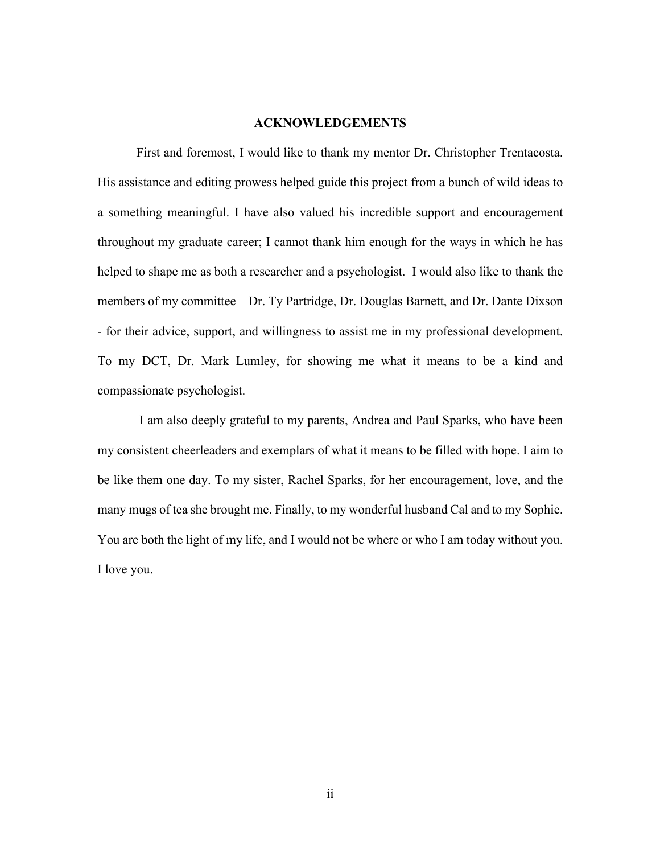#### **ACKNOWLEDGEMENTS**

First and foremost, I would like to thank my mentor Dr. Christopher Trentacosta. His assistance and editing prowess helped guide this project from a bunch of wild ideas to a something meaningful. I have also valued his incredible support and encouragement throughout my graduate career; I cannot thank him enough for the ways in which he has helped to shape me as both a researcher and a psychologist. I would also like to thank the members of my committee – Dr. Ty Partridge, Dr. Douglas Barnett, and Dr. Dante Dixson - for their advice, support, and willingness to assist me in my professional development. To my DCT, Dr. Mark Lumley, for showing me what it means to be a kind and compassionate psychologist.

I am also deeply grateful to my parents, Andrea and Paul Sparks, who have been my consistent cheerleaders and exemplars of what it means to be filled with hope. I aim to be like them one day. To my sister, Rachel Sparks, for her encouragement, love, and the many mugs of tea she brought me. Finally, to my wonderful husband Cal and to my Sophie. You are both the light of my life, and I would not be where or who I am today without you. I love you.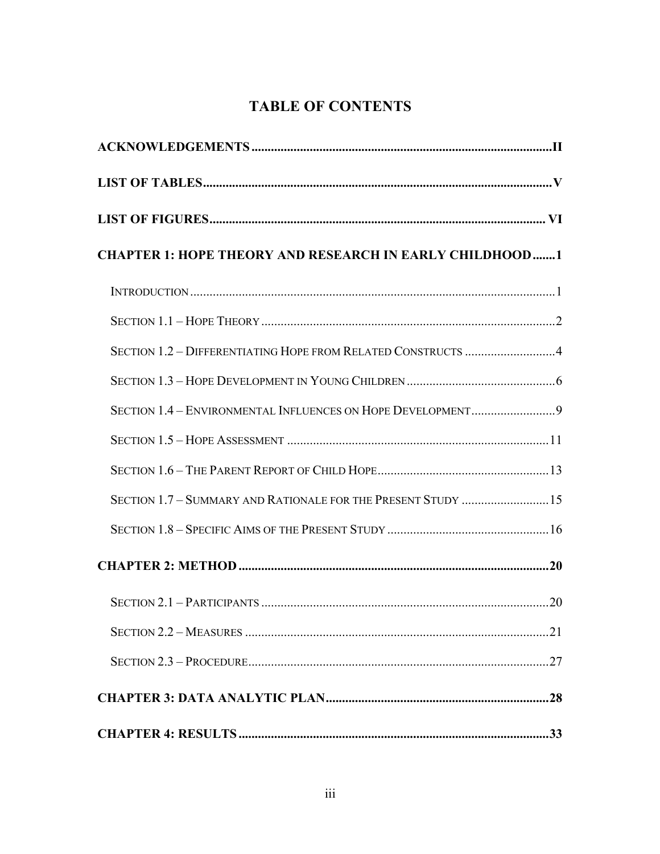# **TABLE OF CONTENTS**

| <b>CHAPTER 1: HOPE THEORY AND RESEARCH IN EARLY CHILDHOOD1</b> |  |
|----------------------------------------------------------------|--|
|                                                                |  |
|                                                                |  |
| SECTION 1.2 - DIFFERENTIATING HOPE FROM RELATED CONSTRUCTS 4   |  |
|                                                                |  |
| SECTION 1.4 - ENVIRONMENTAL INFLUENCES ON HOPE DEVELOPMENT9    |  |
|                                                                |  |
|                                                                |  |
| SECTION 1.7 - SUMMARY AND RATIONALE FOR THE PRESENT STUDY  15  |  |
|                                                                |  |
|                                                                |  |
|                                                                |  |
|                                                                |  |
|                                                                |  |
|                                                                |  |
|                                                                |  |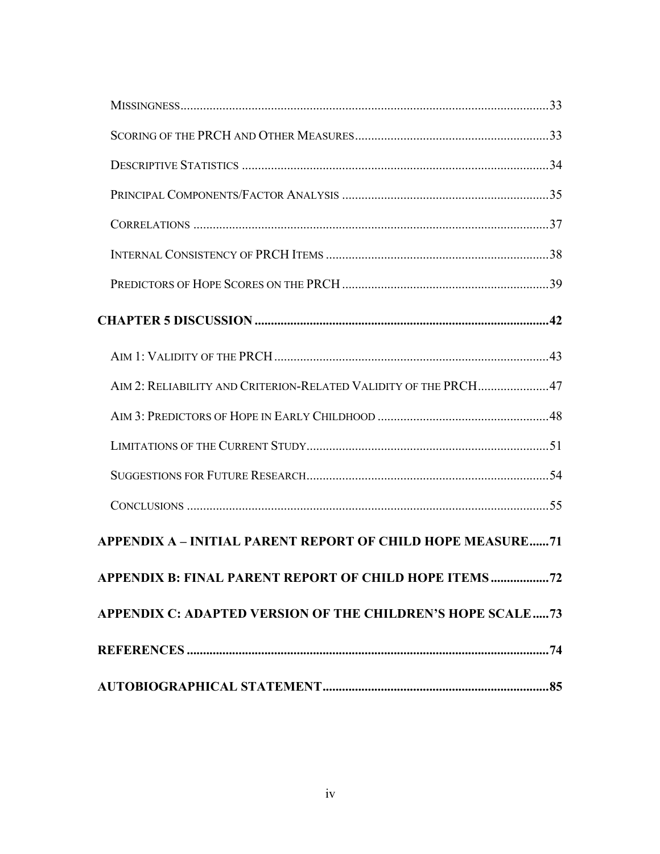| AIM 2: RELIABILITY AND CRITERION-RELATED VALIDITY OF THE PRCH47   |
|-------------------------------------------------------------------|
|                                                                   |
|                                                                   |
|                                                                   |
|                                                                   |
| <b>APPENDIX A - INITIAL PARENT REPORT OF CHILD HOPE MEASURE71</b> |
| APPENDIX B: FINAL PARENT REPORT OF CHILD HOPE ITEMS<br>.72        |
| APPENDIX C: ADAPTED VERSION OF THE CHILDREN'S HOPE SCALE73        |
|                                                                   |
|                                                                   |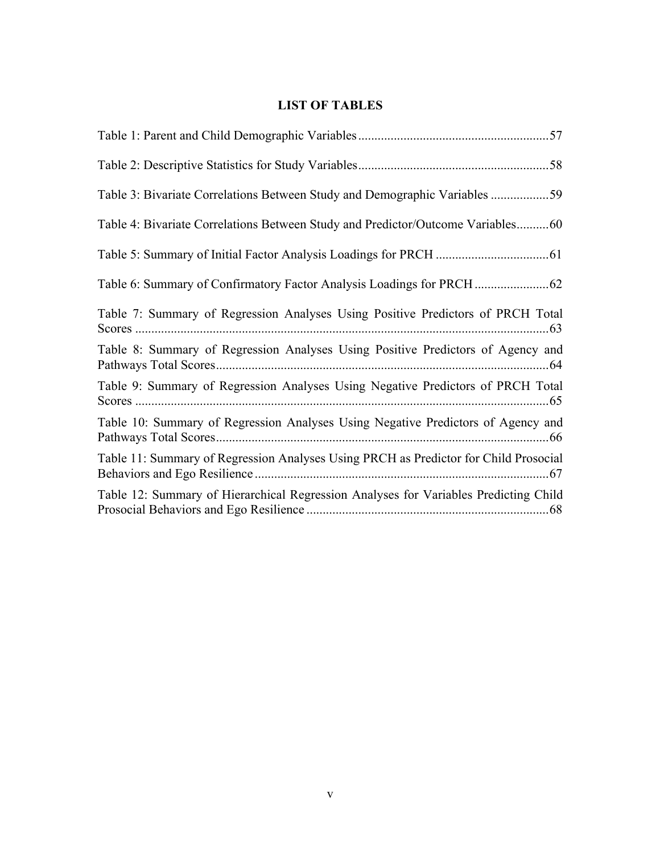# **LIST OF TABLES**

| Table 3: Bivariate Correlations Between Study and Demographic Variables 59           |
|--------------------------------------------------------------------------------------|
| Table 4: Bivariate Correlations Between Study and Predictor/Outcome Variables60      |
|                                                                                      |
|                                                                                      |
| Table 7: Summary of Regression Analyses Using Positive Predictors of PRCH Total      |
| Table 8: Summary of Regression Analyses Using Positive Predictors of Agency and      |
| Table 9: Summary of Regression Analyses Using Negative Predictors of PRCH Total      |
| Table 10: Summary of Regression Analyses Using Negative Predictors of Agency and     |
| Table 11: Summary of Regression Analyses Using PRCH as Predictor for Child Prosocial |
| Table 12: Summary of Hierarchical Regression Analyses for Variables Predicting Child |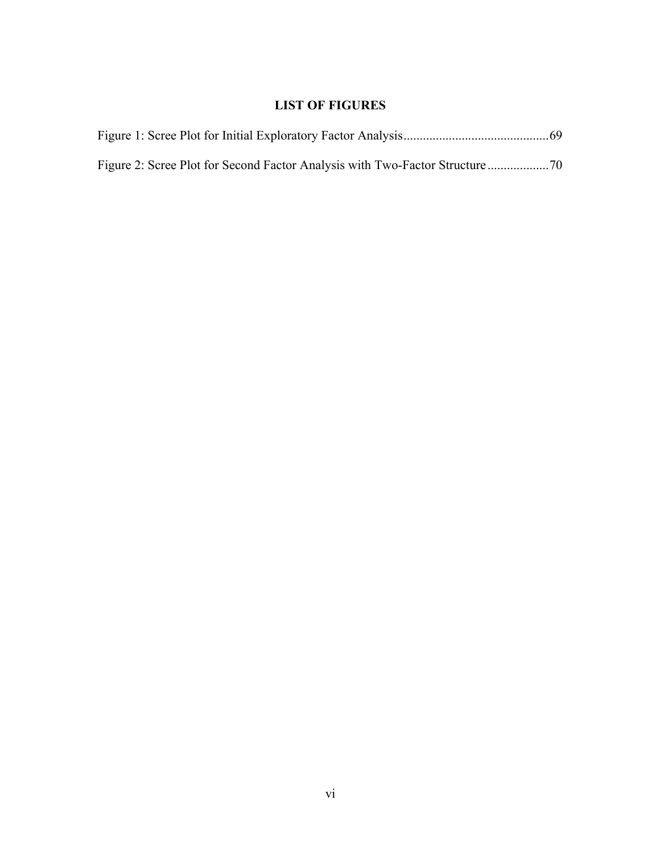# **LIST OF FIGURES**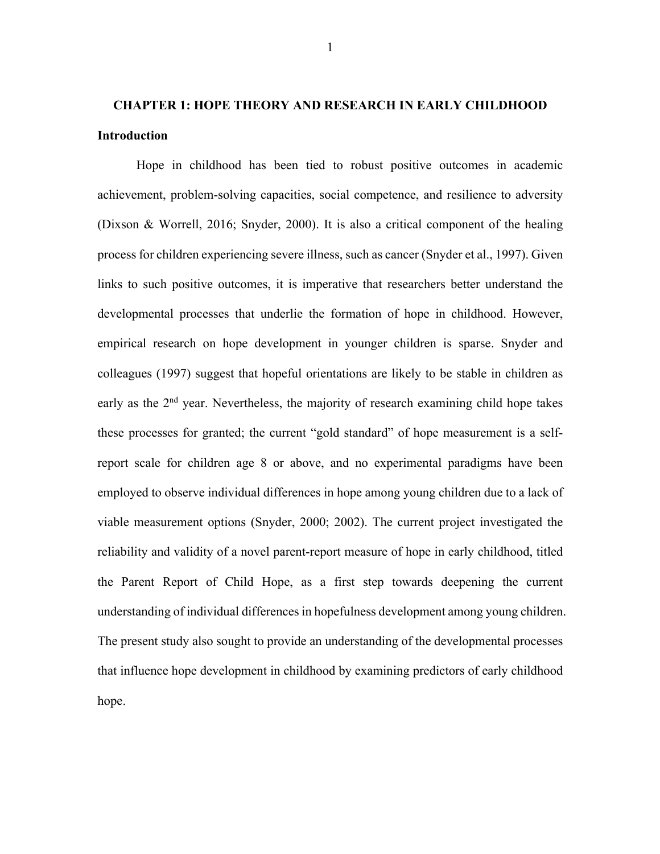# **CHAPTER 1: HOPE THEORY AND RESEARCH IN EARLY CHILDHOOD Introduction**

Hope in childhood has been tied to robust positive outcomes in academic achievement, problem-solving capacities, social competence, and resilience to adversity (Dixson & Worrell, 2016; Snyder, 2000). It is also a critical component of the healing process for children experiencing severe illness, such as cancer (Snyder et al., 1997). Given links to such positive outcomes, it is imperative that researchers better understand the developmental processes that underlie the formation of hope in childhood. However, empirical research on hope development in younger children is sparse. Snyder and colleagues (1997) suggest that hopeful orientations are likely to be stable in children as early as the  $2<sup>nd</sup>$  year. Nevertheless, the majority of research examining child hope takes these processes for granted; the current "gold standard" of hope measurement is a selfreport scale for children age 8 or above, and no experimental paradigms have been employed to observe individual differences in hope among young children due to a lack of viable measurement options (Snyder, 2000; 2002). The current project investigated the reliability and validity of a novel parent-report measure of hope in early childhood, titled the Parent Report of Child Hope, as a first step towards deepening the current understanding of individual differences in hopefulness development among young children. The present study also sought to provide an understanding of the developmental processes that influence hope development in childhood by examining predictors of early childhood hope.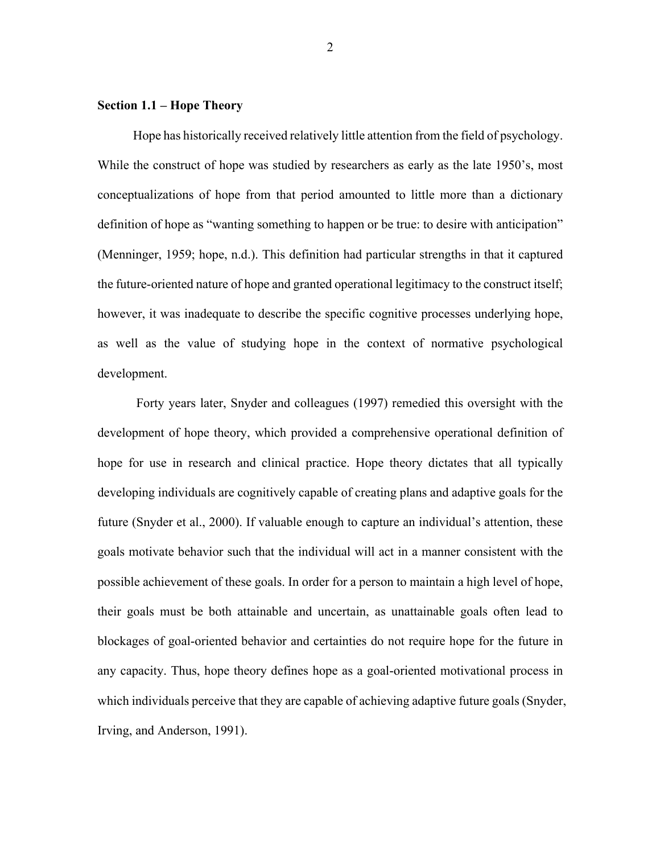### **Section 1.1 – Hope Theory**

Hope has historically received relatively little attention from the field of psychology. While the construct of hope was studied by researchers as early as the late 1950's, most conceptualizations of hope from that period amounted to little more than a dictionary definition of hope as "wanting something to happen or be true: to desire with anticipation" (Menninger, 1959; hope, n.d.). This definition had particular strengths in that it captured the future-oriented nature of hope and granted operational legitimacy to the construct itself; however, it was inadequate to describe the specific cognitive processes underlying hope, as well as the value of studying hope in the context of normative psychological development.

Forty years later, Snyder and colleagues (1997) remedied this oversight with the development of hope theory, which provided a comprehensive operational definition of hope for use in research and clinical practice. Hope theory dictates that all typically developing individuals are cognitively capable of creating plans and adaptive goals for the future (Snyder et al., 2000). If valuable enough to capture an individual's attention, these goals motivate behavior such that the individual will act in a manner consistent with the possible achievement of these goals. In order for a person to maintain a high level of hope, their goals must be both attainable and uncertain, as unattainable goals often lead to blockages of goal-oriented behavior and certainties do not require hope for the future in any capacity. Thus, hope theory defines hope as a goal-oriented motivational process in which individuals perceive that they are capable of achieving adaptive future goals (Snyder, Irving, and Anderson, 1991).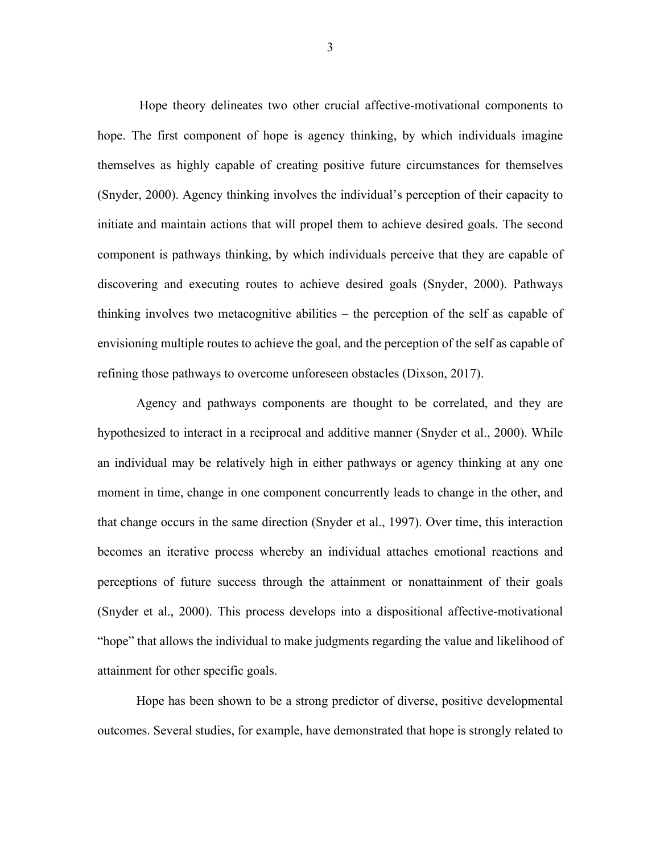Hope theory delineates two other crucial affective-motivational components to hope. The first component of hope is agency thinking, by which individuals imagine themselves as highly capable of creating positive future circumstances for themselves (Snyder, 2000). Agency thinking involves the individual's perception of their capacity to initiate and maintain actions that will propel them to achieve desired goals. The second component is pathways thinking, by which individuals perceive that they are capable of discovering and executing routes to achieve desired goals (Snyder, 2000). Pathways thinking involves two metacognitive abilities – the perception of the self as capable of envisioning multiple routes to achieve the goal, and the perception of the self as capable of refining those pathways to overcome unforeseen obstacles (Dixson, 2017).

Agency and pathways components are thought to be correlated, and they are hypothesized to interact in a reciprocal and additive manner (Snyder et al., 2000). While an individual may be relatively high in either pathways or agency thinking at any one moment in time, change in one component concurrently leads to change in the other, and that change occurs in the same direction (Snyder et al., 1997). Over time, this interaction becomes an iterative process whereby an individual attaches emotional reactions and perceptions of future success through the attainment or nonattainment of their goals (Snyder et al., 2000). This process develops into a dispositional affective-motivational "hope" that allows the individual to make judgments regarding the value and likelihood of attainment for other specific goals.

Hope has been shown to be a strong predictor of diverse, positive developmental outcomes. Several studies, for example, have demonstrated that hope is strongly related to

3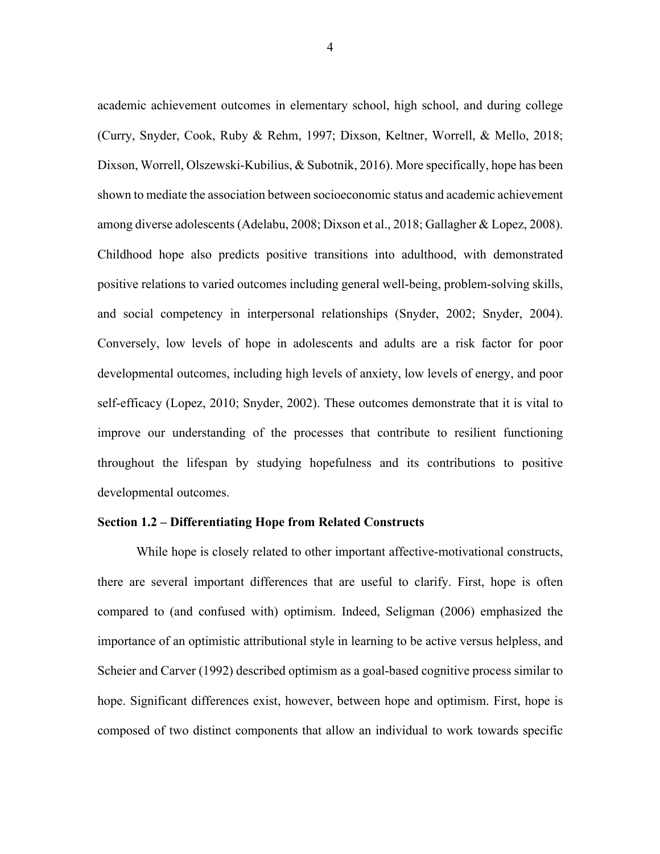academic achievement outcomes in elementary school, high school, and during college (Curry, Snyder, Cook, Ruby & Rehm, 1997; Dixson, Keltner, Worrell, & Mello, 2018; Dixson, Worrell, Olszewski-Kubilius, & Subotnik, 2016). More specifically, hope has been shown to mediate the association between socioeconomic status and academic achievement among diverse adolescents (Adelabu, 2008; Dixson et al., 2018; Gallagher & Lopez, 2008). Childhood hope also predicts positive transitions into adulthood, with demonstrated positive relations to varied outcomes including general well-being, problem-solving skills, and social competency in interpersonal relationships (Snyder, 2002; Snyder, 2004). Conversely, low levels of hope in adolescents and adults are a risk factor for poor developmental outcomes, including high levels of anxiety, low levels of energy, and poor self-efficacy (Lopez, 2010; Snyder, 2002). These outcomes demonstrate that it is vital to improve our understanding of the processes that contribute to resilient functioning throughout the lifespan by studying hopefulness and its contributions to positive developmental outcomes.

#### **Section 1.2 – Differentiating Hope from Related Constructs**

While hope is closely related to other important affective-motivational constructs, there are several important differences that are useful to clarify. First, hope is often compared to (and confused with) optimism. Indeed, Seligman (2006) emphasized the importance of an optimistic attributional style in learning to be active versus helpless, and Scheier and Carver (1992) described optimism as a goal-based cognitive process similar to hope. Significant differences exist, however, between hope and optimism. First, hope is composed of two distinct components that allow an individual to work towards specific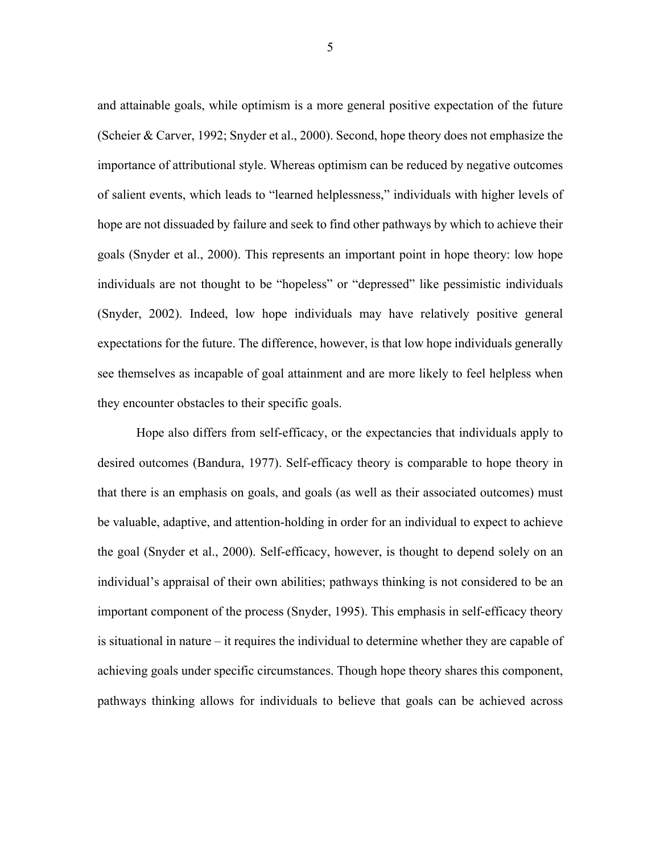and attainable goals, while optimism is a more general positive expectation of the future (Scheier & Carver, 1992; Snyder et al., 2000). Second, hope theory does not emphasize the importance of attributional style. Whereas optimism can be reduced by negative outcomes of salient events, which leads to "learned helplessness," individuals with higher levels of hope are not dissuaded by failure and seek to find other pathways by which to achieve their goals (Snyder et al., 2000). This represents an important point in hope theory: low hope individuals are not thought to be "hopeless" or "depressed" like pessimistic individuals (Snyder, 2002). Indeed, low hope individuals may have relatively positive general expectations for the future. The difference, however, is that low hope individuals generally see themselves as incapable of goal attainment and are more likely to feel helpless when they encounter obstacles to their specific goals.

Hope also differs from self-efficacy, or the expectancies that individuals apply to desired outcomes (Bandura, 1977). Self-efficacy theory is comparable to hope theory in that there is an emphasis on goals, and goals (as well as their associated outcomes) must be valuable, adaptive, and attention-holding in order for an individual to expect to achieve the goal (Snyder et al., 2000). Self-efficacy, however, is thought to depend solely on an individual's appraisal of their own abilities; pathways thinking is not considered to be an important component of the process (Snyder, 1995). This emphasis in self-efficacy theory is situational in nature – it requires the individual to determine whether they are capable of achieving goals under specific circumstances. Though hope theory shares this component, pathways thinking allows for individuals to believe that goals can be achieved across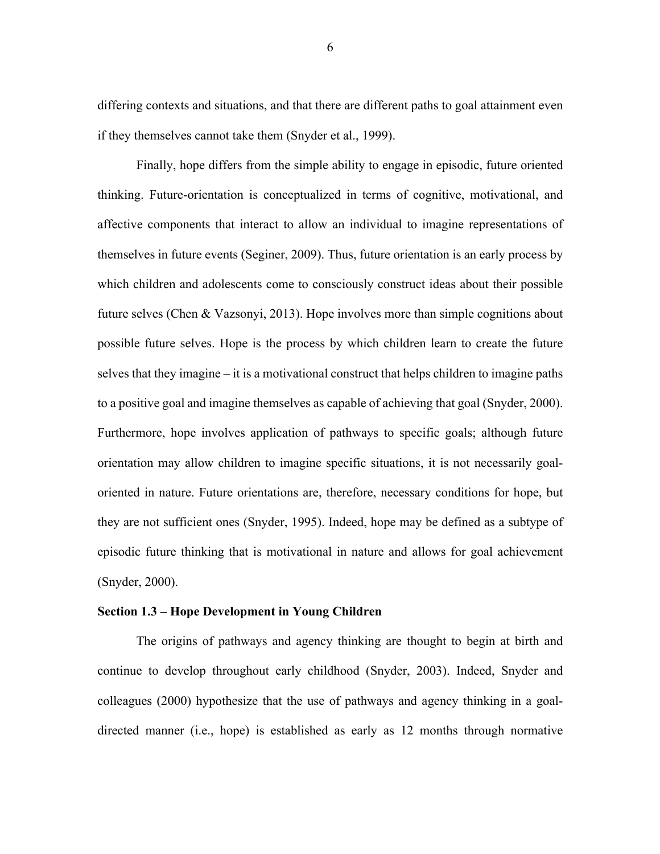differing contexts and situations, and that there are different paths to goal attainment even if they themselves cannot take them (Snyder et al., 1999).

Finally, hope differs from the simple ability to engage in episodic, future oriented thinking. Future-orientation is conceptualized in terms of cognitive, motivational, and affective components that interact to allow an individual to imagine representations of themselves in future events (Seginer, 2009). Thus, future orientation is an early process by which children and adolescents come to consciously construct ideas about their possible future selves (Chen & Vazsonyi, 2013). Hope involves more than simple cognitions about possible future selves. Hope is the process by which children learn to create the future selves that they imagine – it is a motivational construct that helps children to imagine paths to a positive goal and imagine themselves as capable of achieving that goal (Snyder, 2000). Furthermore, hope involves application of pathways to specific goals; although future orientation may allow children to imagine specific situations, it is not necessarily goaloriented in nature. Future orientations are, therefore, necessary conditions for hope, but they are not sufficient ones (Snyder, 1995). Indeed, hope may be defined as a subtype of episodic future thinking that is motivational in nature and allows for goal achievement (Snyder, 2000).

#### **Section 1.3 – Hope Development in Young Children**

The origins of pathways and agency thinking are thought to begin at birth and continue to develop throughout early childhood (Snyder, 2003). Indeed, Snyder and colleagues (2000) hypothesize that the use of pathways and agency thinking in a goaldirected manner (i.e., hope) is established as early as 12 months through normative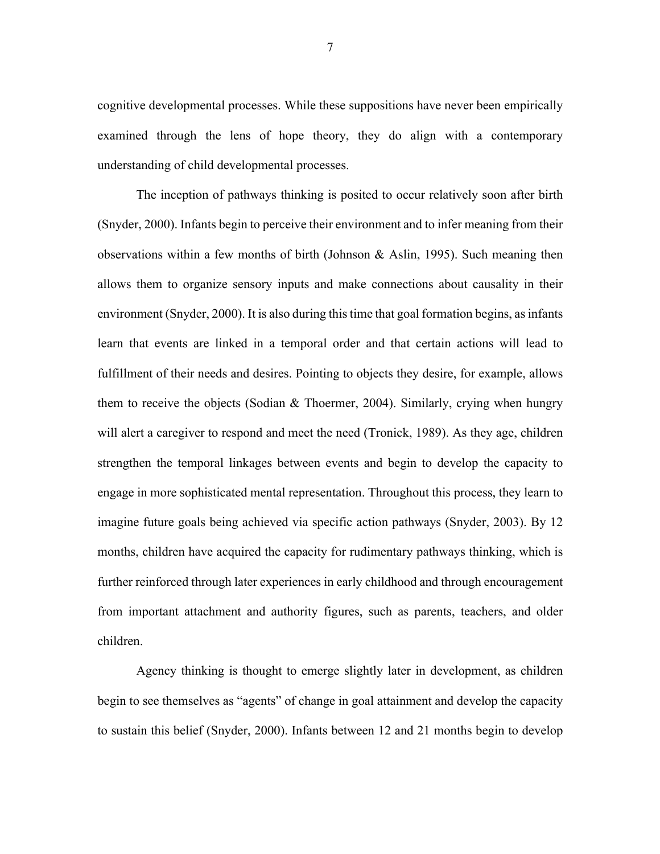cognitive developmental processes. While these suppositions have never been empirically examined through the lens of hope theory, they do align with a contemporary understanding of child developmental processes.

The inception of pathways thinking is posited to occur relatively soon after birth (Snyder, 2000). Infants begin to perceive their environment and to infer meaning from their observations within a few months of birth (Johnson & Aslin, 1995). Such meaning then allows them to organize sensory inputs and make connections about causality in their environment (Snyder, 2000). It is also during this time that goal formation begins, as infants learn that events are linked in a temporal order and that certain actions will lead to fulfillment of their needs and desires. Pointing to objects they desire, for example, allows them to receive the objects (Sodian & Thoermer, 2004). Similarly, crying when hungry will alert a caregiver to respond and meet the need (Tronick, 1989). As they age, children strengthen the temporal linkages between events and begin to develop the capacity to engage in more sophisticated mental representation. Throughout this process, they learn to imagine future goals being achieved via specific action pathways (Snyder, 2003). By 12 months, children have acquired the capacity for rudimentary pathways thinking, which is further reinforced through later experiences in early childhood and through encouragement from important attachment and authority figures, such as parents, teachers, and older children.

Agency thinking is thought to emerge slightly later in development, as children begin to see themselves as "agents" of change in goal attainment and develop the capacity to sustain this belief (Snyder, 2000). Infants between 12 and 21 months begin to develop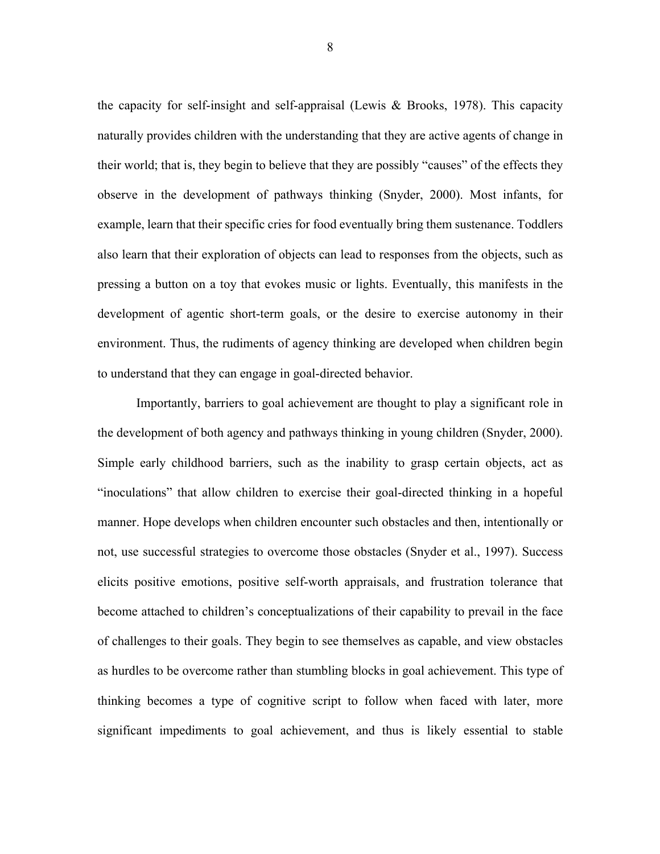the capacity for self-insight and self-appraisal (Lewis & Brooks, 1978). This capacity naturally provides children with the understanding that they are active agents of change in their world; that is, they begin to believe that they are possibly "causes" of the effects they observe in the development of pathways thinking (Snyder, 2000). Most infants, for example, learn that their specific cries for food eventually bring them sustenance. Toddlers also learn that their exploration of objects can lead to responses from the objects, such as pressing a button on a toy that evokes music or lights. Eventually, this manifests in the development of agentic short-term goals, or the desire to exercise autonomy in their environment. Thus, the rudiments of agency thinking are developed when children begin to understand that they can engage in goal-directed behavior.

Importantly, barriers to goal achievement are thought to play a significant role in the development of both agency and pathways thinking in young children (Snyder, 2000). Simple early childhood barriers, such as the inability to grasp certain objects, act as "inoculations" that allow children to exercise their goal-directed thinking in a hopeful manner. Hope develops when children encounter such obstacles and then, intentionally or not, use successful strategies to overcome those obstacles (Snyder et al., 1997). Success elicits positive emotions, positive self-worth appraisals, and frustration tolerance that become attached to children's conceptualizations of their capability to prevail in the face of challenges to their goals. They begin to see themselves as capable, and view obstacles as hurdles to be overcome rather than stumbling blocks in goal achievement. This type of thinking becomes a type of cognitive script to follow when faced with later, more significant impediments to goal achievement, and thus is likely essential to stable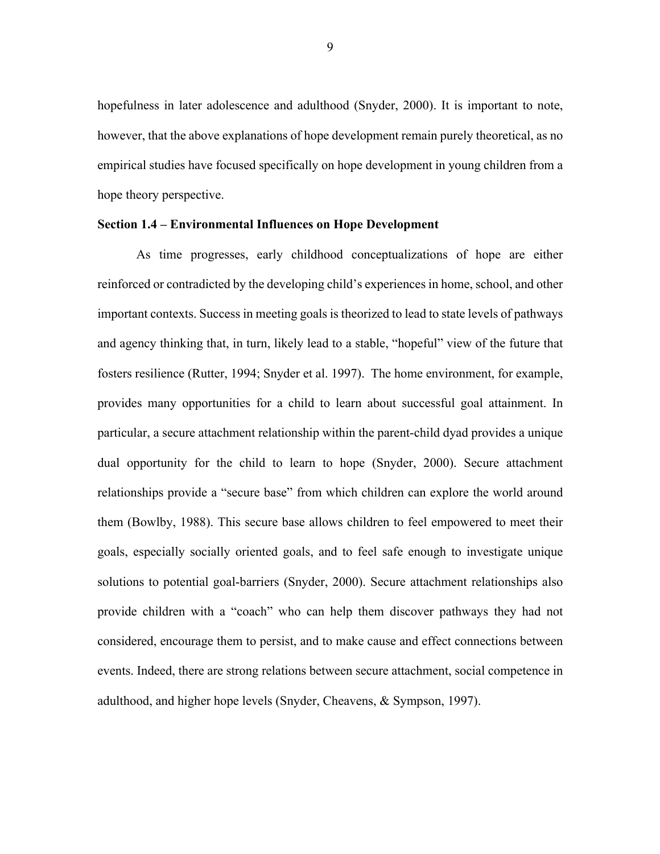hopefulness in later adolescence and adulthood (Snyder, 2000). It is important to note, however, that the above explanations of hope development remain purely theoretical, as no empirical studies have focused specifically on hope development in young children from a hope theory perspective.

#### **Section 1.4 – Environmental Influences on Hope Development**

As time progresses, early childhood conceptualizations of hope are either reinforced or contradicted by the developing child's experiences in home, school, and other important contexts. Success in meeting goals is theorized to lead to state levels of pathways and agency thinking that, in turn, likely lead to a stable, "hopeful" view of the future that fosters resilience (Rutter, 1994; Snyder et al. 1997). The home environment, for example, provides many opportunities for a child to learn about successful goal attainment. In particular, a secure attachment relationship within the parent-child dyad provides a unique dual opportunity for the child to learn to hope (Snyder, 2000). Secure attachment relationships provide a "secure base" from which children can explore the world around them (Bowlby, 1988). This secure base allows children to feel empowered to meet their goals, especially socially oriented goals, and to feel safe enough to investigate unique solutions to potential goal-barriers (Snyder, 2000). Secure attachment relationships also provide children with a "coach" who can help them discover pathways they had not considered, encourage them to persist, and to make cause and effect connections between events. Indeed, there are strong relations between secure attachment, social competence in adulthood, and higher hope levels (Snyder, Cheavens, & Sympson, 1997).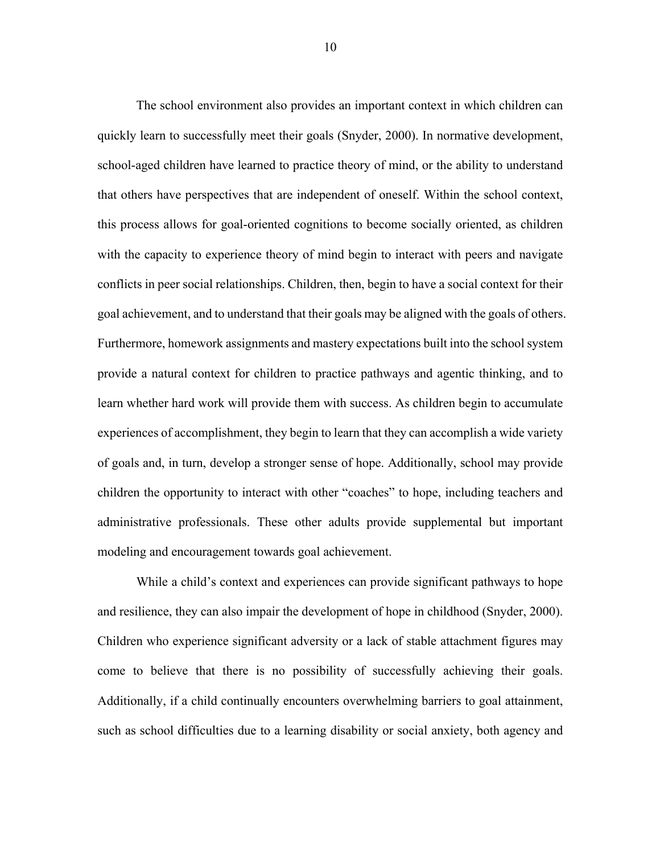The school environment also provides an important context in which children can quickly learn to successfully meet their goals (Snyder, 2000). In normative development, school-aged children have learned to practice theory of mind, or the ability to understand that others have perspectives that are independent of oneself. Within the school context, this process allows for goal-oriented cognitions to become socially oriented, as children with the capacity to experience theory of mind begin to interact with peers and navigate conflicts in peer social relationships. Children, then, begin to have a social context for their goal achievement, and to understand that their goals may be aligned with the goals of others. Furthermore, homework assignments and mastery expectations built into the school system provide a natural context for children to practice pathways and agentic thinking, and to learn whether hard work will provide them with success. As children begin to accumulate experiences of accomplishment, they begin to learn that they can accomplish a wide variety of goals and, in turn, develop a stronger sense of hope. Additionally, school may provide children the opportunity to interact with other "coaches" to hope, including teachers and administrative professionals. These other adults provide supplemental but important modeling and encouragement towards goal achievement.

While a child's context and experiences can provide significant pathways to hope and resilience, they can also impair the development of hope in childhood (Snyder, 2000). Children who experience significant adversity or a lack of stable attachment figures may come to believe that there is no possibility of successfully achieving their goals. Additionally, if a child continually encounters overwhelming barriers to goal attainment, such as school difficulties due to a learning disability or social anxiety, both agency and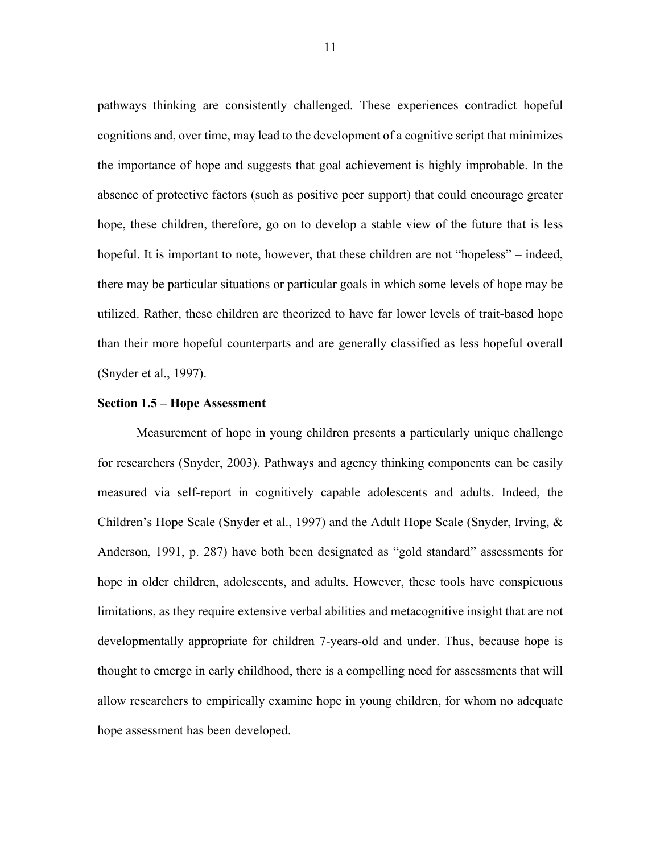pathways thinking are consistently challenged. These experiences contradict hopeful cognitions and, over time, may lead to the development of a cognitive script that minimizes the importance of hope and suggests that goal achievement is highly improbable. In the absence of protective factors (such as positive peer support) that could encourage greater hope, these children, therefore, go on to develop a stable view of the future that is less hopeful. It is important to note, however, that these children are not "hopeless" – indeed, there may be particular situations or particular goals in which some levels of hope may be utilized. Rather, these children are theorized to have far lower levels of trait-based hope than their more hopeful counterparts and are generally classified as less hopeful overall (Snyder et al., 1997).

## **Section 1.5 – Hope Assessment**

Measurement of hope in young children presents a particularly unique challenge for researchers (Snyder, 2003). Pathways and agency thinking components can be easily measured via self-report in cognitively capable adolescents and adults. Indeed, the Children's Hope Scale (Snyder et al., 1997) and the Adult Hope Scale (Snyder, Irving, & Anderson, 1991, p. 287) have both been designated as "gold standard" assessments for hope in older children, adolescents, and adults. However, these tools have conspicuous limitations, as they require extensive verbal abilities and metacognitive insight that are not developmentally appropriate for children 7-years-old and under. Thus, because hope is thought to emerge in early childhood, there is a compelling need for assessments that will allow researchers to empirically examine hope in young children, for whom no adequate hope assessment has been developed.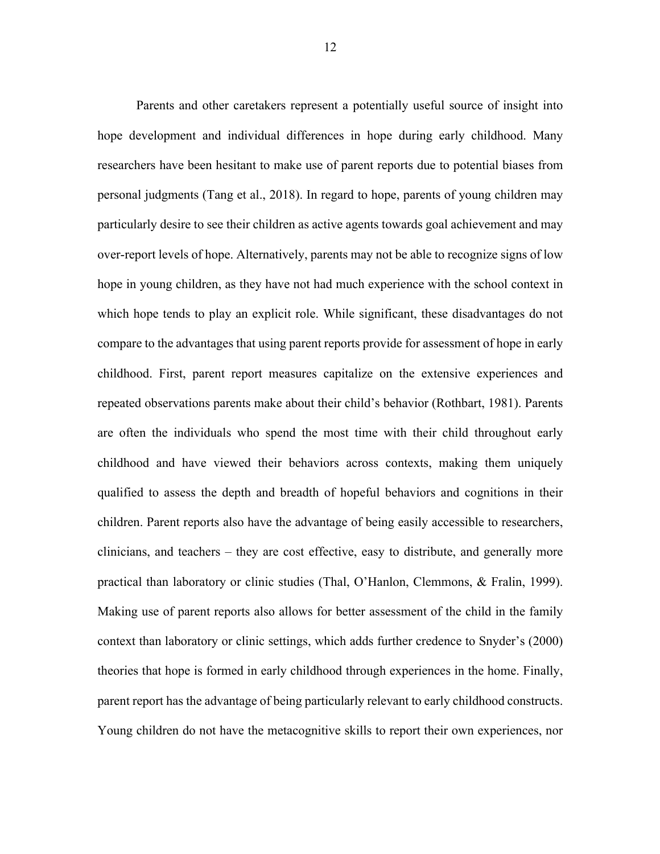Parents and other caretakers represent a potentially useful source of insight into hope development and individual differences in hope during early childhood. Many researchers have been hesitant to make use of parent reports due to potential biases from personal judgments (Tang et al., 2018). In regard to hope, parents of young children may particularly desire to see their children as active agents towards goal achievement and may over-report levels of hope. Alternatively, parents may not be able to recognize signs of low hope in young children, as they have not had much experience with the school context in which hope tends to play an explicit role. While significant, these disadvantages do not compare to the advantages that using parent reports provide for assessment of hope in early childhood. First, parent report measures capitalize on the extensive experiences and repeated observations parents make about their child's behavior (Rothbart, 1981). Parents are often the individuals who spend the most time with their child throughout early childhood and have viewed their behaviors across contexts, making them uniquely qualified to assess the depth and breadth of hopeful behaviors and cognitions in their children. Parent reports also have the advantage of being easily accessible to researchers, clinicians, and teachers – they are cost effective, easy to distribute, and generally more practical than laboratory or clinic studies (Thal, O'Hanlon, Clemmons, & Fralin, 1999). Making use of parent reports also allows for better assessment of the child in the family context than laboratory or clinic settings, which adds further credence to Snyder's (2000) theories that hope is formed in early childhood through experiences in the home. Finally, parent report has the advantage of being particularly relevant to early childhood constructs. Young children do not have the metacognitive skills to report their own experiences, nor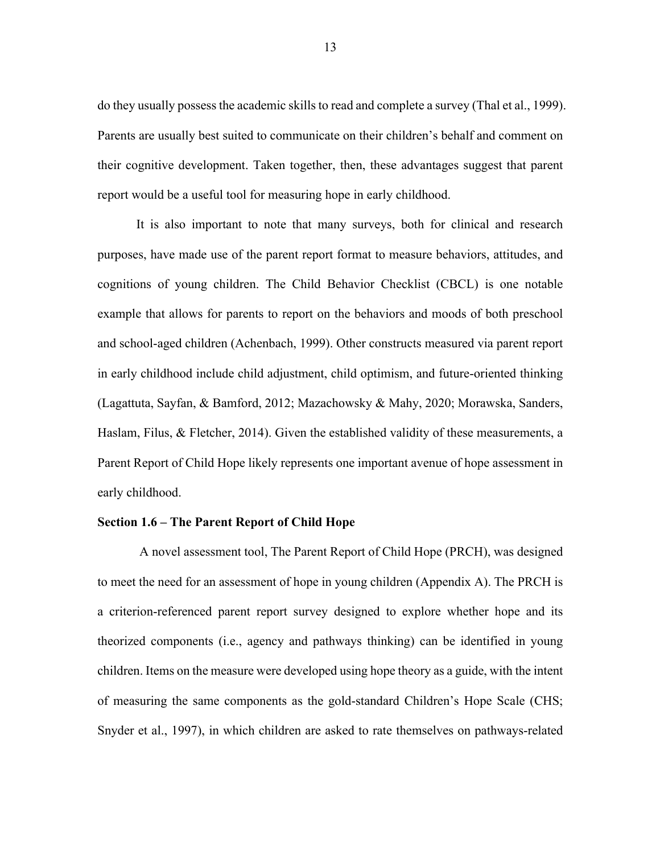do they usually possess the academic skills to read and complete a survey (Thal et al., 1999). Parents are usually best suited to communicate on their children's behalf and comment on their cognitive development. Taken together, then, these advantages suggest that parent report would be a useful tool for measuring hope in early childhood.

It is also important to note that many surveys, both for clinical and research purposes, have made use of the parent report format to measure behaviors, attitudes, and cognitions of young children. The Child Behavior Checklist (CBCL) is one notable example that allows for parents to report on the behaviors and moods of both preschool and school-aged children (Achenbach, 1999). Other constructs measured via parent report in early childhood include child adjustment, child optimism, and future-oriented thinking (Lagattuta, Sayfan, & Bamford, 2012; Mazachowsky & Mahy, 2020; Morawska, Sanders, Haslam, Filus, & Fletcher, 2014). Given the established validity of these measurements, a Parent Report of Child Hope likely represents one important avenue of hope assessment in early childhood.

#### **Section 1.6 – The Parent Report of Child Hope**

A novel assessment tool, The Parent Report of Child Hope (PRCH), was designed to meet the need for an assessment of hope in young children (Appendix A). The PRCH is a criterion-referenced parent report survey designed to explore whether hope and its theorized components (i.e., agency and pathways thinking) can be identified in young children. Items on the measure were developed using hope theory as a guide, with the intent of measuring the same components as the gold-standard Children's Hope Scale (CHS; Snyder et al., 1997), in which children are asked to rate themselves on pathways-related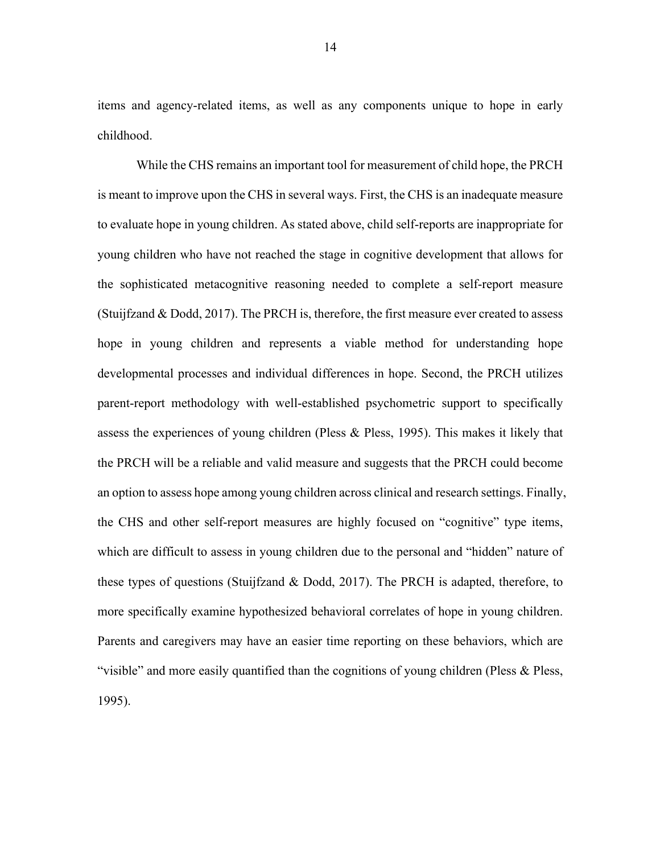items and agency-related items, as well as any components unique to hope in early childhood.

While the CHS remains an important tool for measurement of child hope, the PRCH is meant to improve upon the CHS in several ways. First, the CHS is an inadequate measure to evaluate hope in young children. As stated above, child self-reports are inappropriate for young children who have not reached the stage in cognitive development that allows for the sophisticated metacognitive reasoning needed to complete a self-report measure (Stuijfzand & Dodd, 2017). The PRCH is, therefore, the first measure ever created to assess hope in young children and represents a viable method for understanding hope developmental processes and individual differences in hope. Second, the PRCH utilizes parent-report methodology with well-established psychometric support to specifically assess the experiences of young children (Pless & Pless, 1995). This makes it likely that the PRCH will be a reliable and valid measure and suggests that the PRCH could become an option to assess hope among young children across clinical and research settings. Finally, the CHS and other self-report measures are highly focused on "cognitive" type items, which are difficult to assess in young children due to the personal and "hidden" nature of these types of questions (Stuijfzand & Dodd, 2017). The PRCH is adapted, therefore, to more specifically examine hypothesized behavioral correlates of hope in young children. Parents and caregivers may have an easier time reporting on these behaviors, which are "visible" and more easily quantified than the cognitions of young children (Pless & Pless, 1995).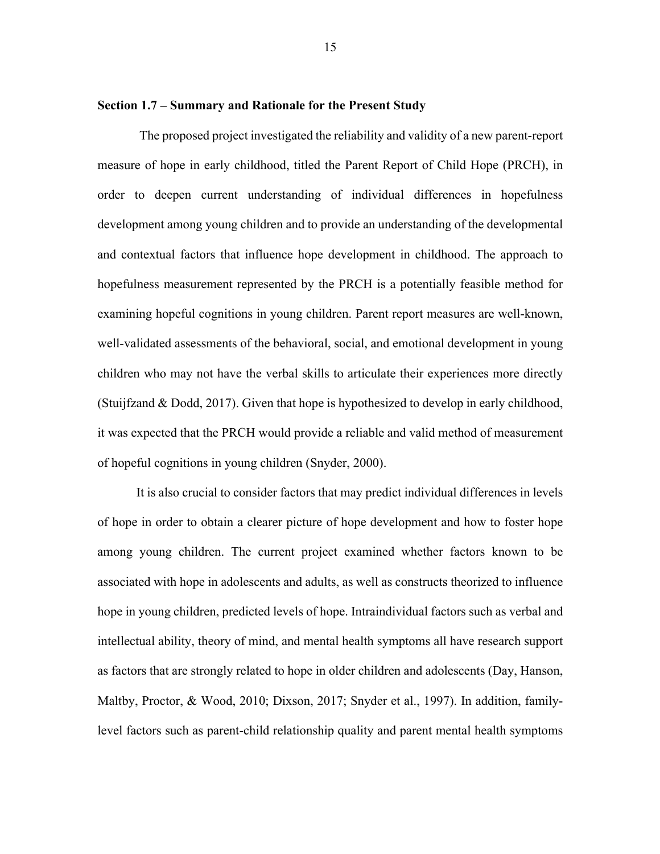#### **Section 1.7 – Summary and Rationale for the Present Study**

The proposed project investigated the reliability and validity of a new parent-report measure of hope in early childhood, titled the Parent Report of Child Hope (PRCH), in order to deepen current understanding of individual differences in hopefulness development among young children and to provide an understanding of the developmental and contextual factors that influence hope development in childhood. The approach to hopefulness measurement represented by the PRCH is a potentially feasible method for examining hopeful cognitions in young children. Parent report measures are well-known, well-validated assessments of the behavioral, social, and emotional development in young children who may not have the verbal skills to articulate their experiences more directly (Stuijfzand & Dodd, 2017). Given that hope is hypothesized to develop in early childhood, it was expected that the PRCH would provide a reliable and valid method of measurement of hopeful cognitions in young children (Snyder, 2000).

It is also crucial to consider factors that may predict individual differences in levels of hope in order to obtain a clearer picture of hope development and how to foster hope among young children. The current project examined whether factors known to be associated with hope in adolescents and adults, as well as constructs theorized to influence hope in young children, predicted levels of hope. Intraindividual factors such as verbal and intellectual ability, theory of mind, and mental health symptoms all have research support as factors that are strongly related to hope in older children and adolescents (Day, Hanson, Maltby, Proctor, & Wood, 2010; Dixson, 2017; Snyder et al., 1997). In addition, familylevel factors such as parent-child relationship quality and parent mental health symptoms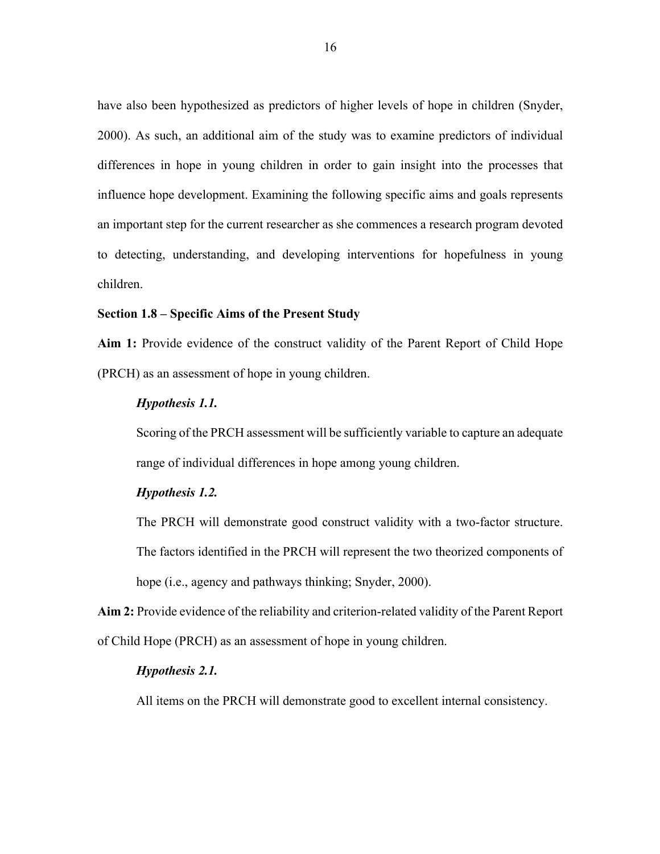have also been hypothesized as predictors of higher levels of hope in children (Snyder, 2000). As such, an additional aim of the study was to examine predictors of individual differences in hope in young children in order to gain insight into the processes that influence hope development. Examining the following specific aims and goals represents an important step for the current researcher as she commences a research program devoted to detecting, understanding, and developing interventions for hopefulness in young children.

#### **Section 1.8 – Specific Aims of the Present Study**

**Aim 1:** Provide evidence of the construct validity of the Parent Report of Child Hope (PRCH) as an assessment of hope in young children.

#### *Hypothesis 1.1.*

Scoring of the PRCH assessment will be sufficiently variable to capture an adequate range of individual differences in hope among young children.

### *Hypothesis 1.2.*

The PRCH will demonstrate good construct validity with a two-factor structure. The factors identified in the PRCH will represent the two theorized components of hope (*i.e.*, agency and pathways thinking; Snyder, 2000).

**Aim 2:** Provide evidence of the reliability and criterion-related validity of the Parent Report of Child Hope (PRCH) as an assessment of hope in young children.

#### *Hypothesis 2.1.*

All items on the PRCH will demonstrate good to excellent internal consistency.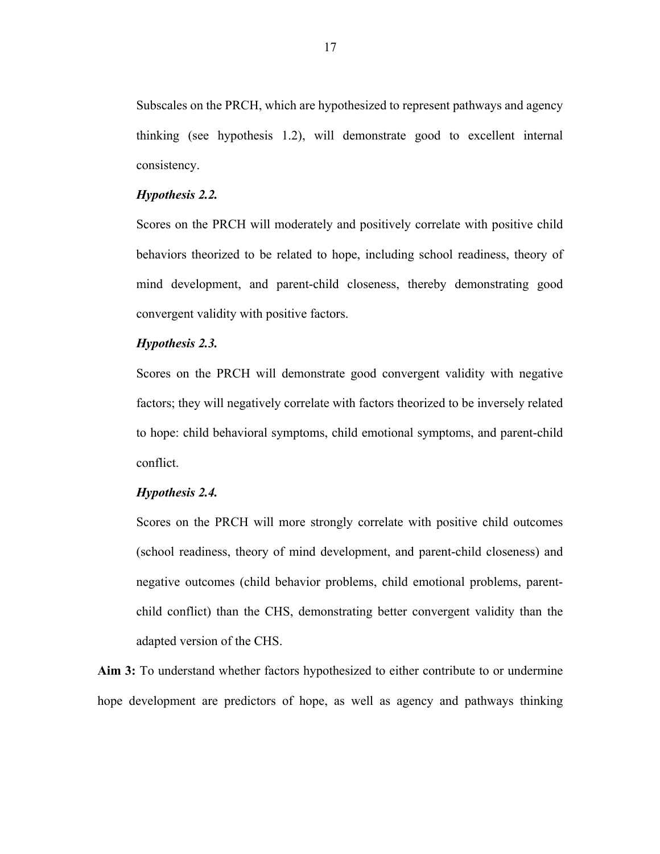Subscales on the PRCH, which are hypothesized to represent pathways and agency thinking (see hypothesis 1.2), will demonstrate good to excellent internal consistency.

#### *Hypothesis 2.2.*

Scores on the PRCH will moderately and positively correlate with positive child behaviors theorized to be related to hope, including school readiness, theory of mind development, and parent-child closeness, thereby demonstrating good convergent validity with positive factors.

### *Hypothesis 2.3.*

Scores on the PRCH will demonstrate good convergent validity with negative factors; they will negatively correlate with factors theorized to be inversely related to hope: child behavioral symptoms, child emotional symptoms, and parent-child conflict.

#### *Hypothesis 2.4.*

Scores on the PRCH will more strongly correlate with positive child outcomes (school readiness, theory of mind development, and parent-child closeness) and negative outcomes (child behavior problems, child emotional problems, parentchild conflict) than the CHS, demonstrating better convergent validity than the adapted version of the CHS.

**Aim 3:** To understand whether factors hypothesized to either contribute to or undermine hope development are predictors of hope, as well as agency and pathways thinking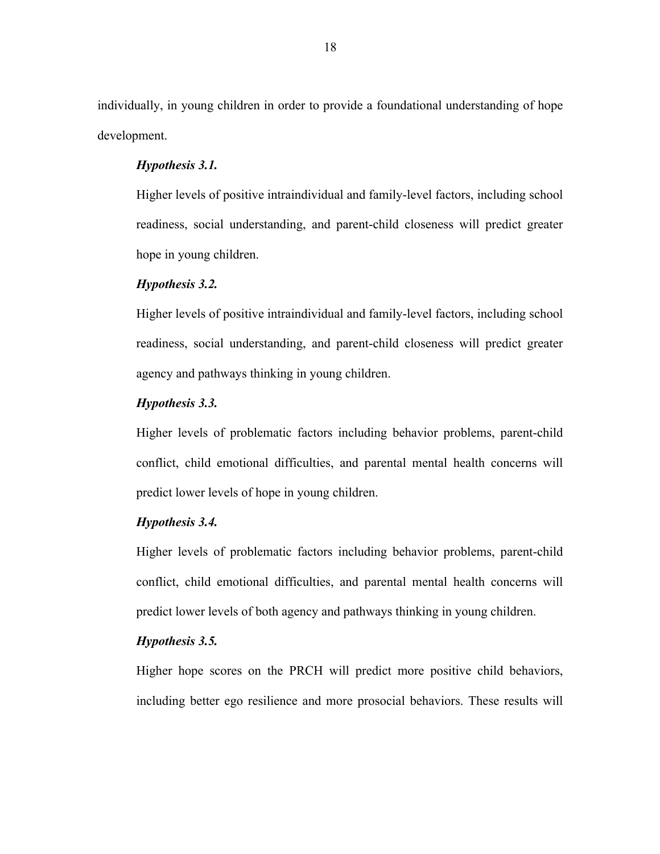individually, in young children in order to provide a foundational understanding of hope development.

#### *Hypothesis 3.1.*

Higher levels of positive intraindividual and family-level factors, including school readiness, social understanding, and parent-child closeness will predict greater hope in young children.

### *Hypothesis 3.2.*

Higher levels of positive intraindividual and family-level factors, including school readiness, social understanding, and parent-child closeness will predict greater agency and pathways thinking in young children.

#### *Hypothesis 3.3.*

Higher levels of problematic factors including behavior problems, parent-child conflict, child emotional difficulties, and parental mental health concerns will predict lower levels of hope in young children.

### *Hypothesis 3.4.*

Higher levels of problematic factors including behavior problems, parent-child conflict, child emotional difficulties, and parental mental health concerns will predict lower levels of both agency and pathways thinking in young children.

### *Hypothesis 3.5.*

Higher hope scores on the PRCH will predict more positive child behaviors, including better ego resilience and more prosocial behaviors. These results will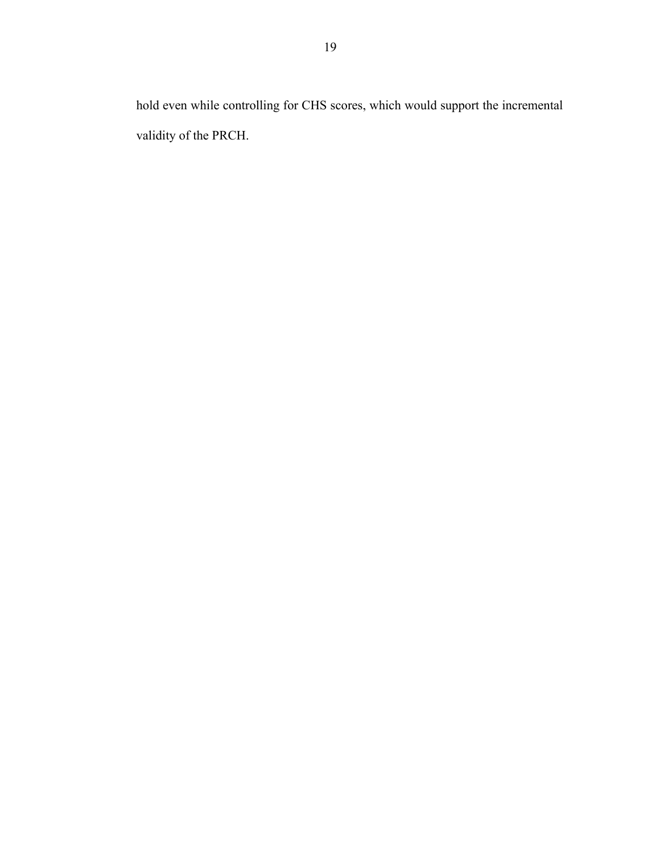hold even while controlling for CHS scores, which would support the incremental validity of the PRCH.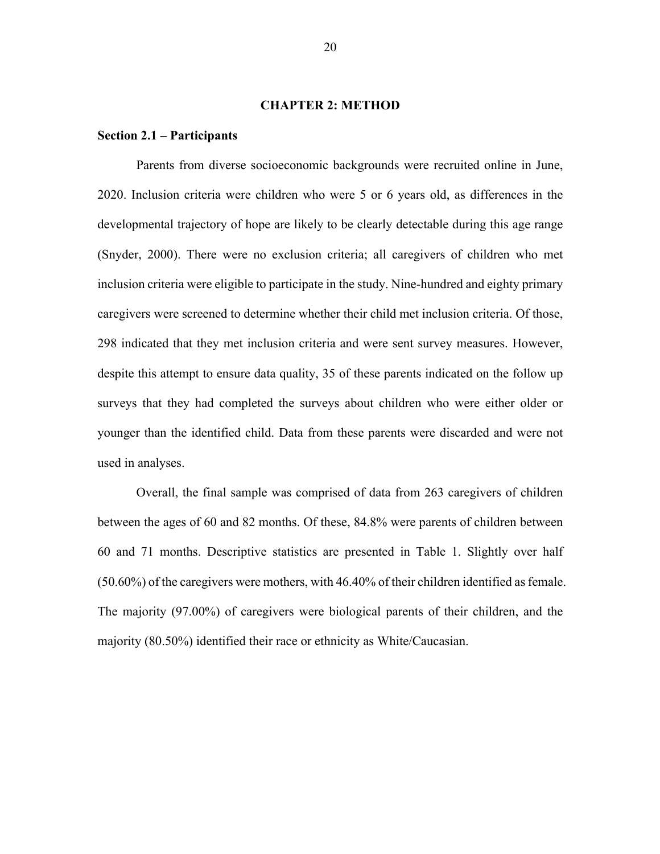#### **CHAPTER 2: METHOD**

#### **Section 2.1 – Participants**

Parents from diverse socioeconomic backgrounds were recruited online in June, 2020. Inclusion criteria were children who were 5 or 6 years old, as differences in the developmental trajectory of hope are likely to be clearly detectable during this age range (Snyder, 2000). There were no exclusion criteria; all caregivers of children who met inclusion criteria were eligible to participate in the study. Nine-hundred and eighty primary caregivers were screened to determine whether their child met inclusion criteria. Of those, 298 indicated that they met inclusion criteria and were sent survey measures. However, despite this attempt to ensure data quality, 35 of these parents indicated on the follow up surveys that they had completed the surveys about children who were either older or younger than the identified child. Data from these parents were discarded and were not used in analyses.

Overall, the final sample was comprised of data from 263 caregivers of children between the ages of 60 and 82 months. Of these, 84.8% were parents of children between 60 and 71 months. Descriptive statistics are presented in Table 1. Slightly over half (50.60%) of the caregivers were mothers, with 46.40% of their children identified as female. The majority (97.00%) of caregivers were biological parents of their children, and the majority (80.50%) identified their race or ethnicity as White/Caucasian.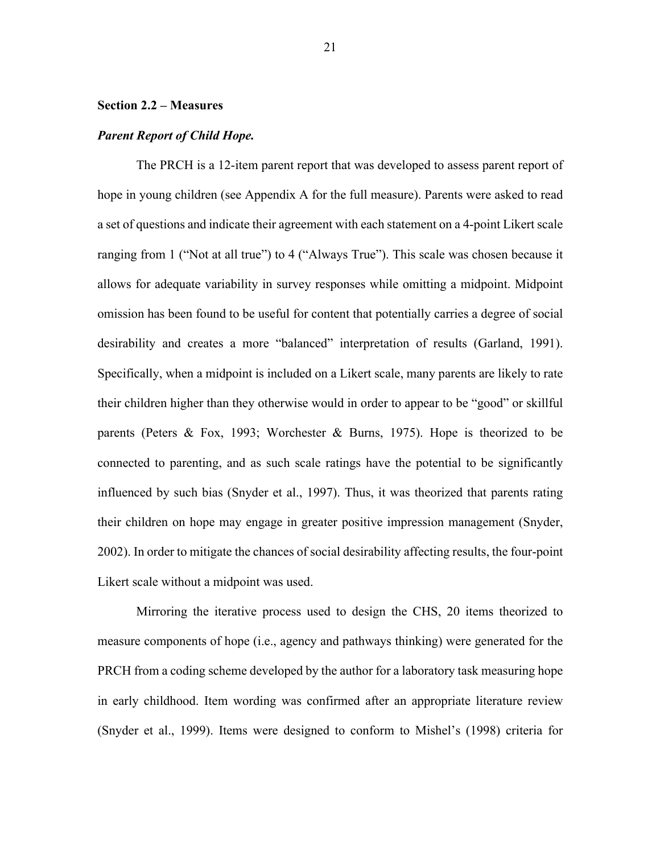#### **Section 2.2 – Measures**

#### *Parent Report of Child Hope.*

The PRCH is a 12-item parent report that was developed to assess parent report of hope in young children (see Appendix A for the full measure). Parents were asked to read a set of questions and indicate their agreement with each statement on a 4-point Likert scale ranging from 1 ("Not at all true") to 4 ("Always True"). This scale was chosen because it allows for adequate variability in survey responses while omitting a midpoint. Midpoint omission has been found to be useful for content that potentially carries a degree of social desirability and creates a more "balanced" interpretation of results (Garland, 1991). Specifically, when a midpoint is included on a Likert scale, many parents are likely to rate their children higher than they otherwise would in order to appear to be "good" or skillful parents (Peters & Fox, 1993; Worchester & Burns, 1975). Hope is theorized to be connected to parenting, and as such scale ratings have the potential to be significantly influenced by such bias (Snyder et al., 1997). Thus, it was theorized that parents rating their children on hope may engage in greater positive impression management (Snyder, 2002). In order to mitigate the chances of social desirability affecting results, the four-point Likert scale without a midpoint was used.

Mirroring the iterative process used to design the CHS, 20 items theorized to measure components of hope (i.e., agency and pathways thinking) were generated for the PRCH from a coding scheme developed by the author for a laboratory task measuring hope in early childhood. Item wording was confirmed after an appropriate literature review (Snyder et al., 1999). Items were designed to conform to Mishel's (1998) criteria for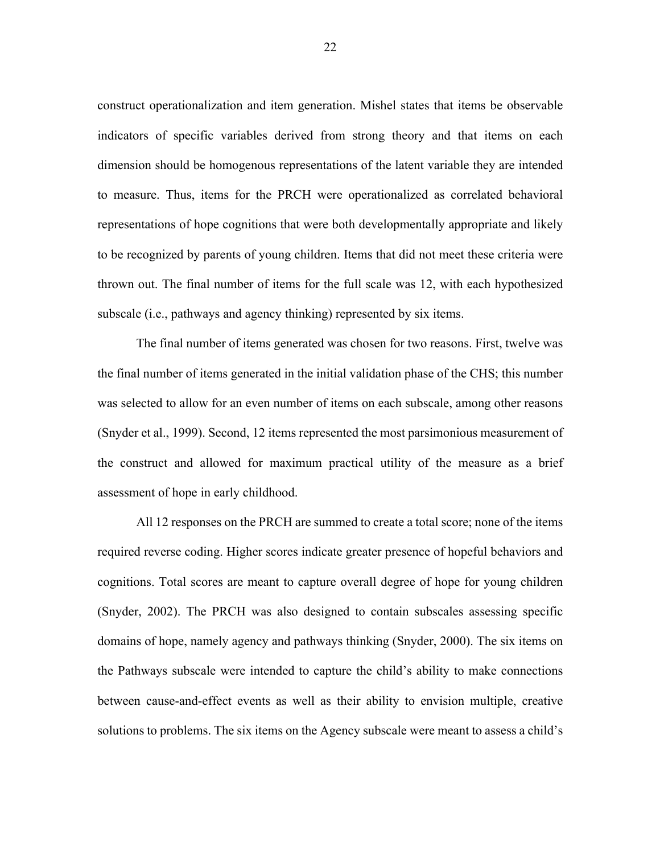construct operationalization and item generation. Mishel states that items be observable indicators of specific variables derived from strong theory and that items on each dimension should be homogenous representations of the latent variable they are intended to measure. Thus, items for the PRCH were operationalized as correlated behavioral representations of hope cognitions that were both developmentally appropriate and likely to be recognized by parents of young children. Items that did not meet these criteria were thrown out. The final number of items for the full scale was 12, with each hypothesized subscale (i.e., pathways and agency thinking) represented by six items.

The final number of items generated was chosen for two reasons. First, twelve was the final number of items generated in the initial validation phase of the CHS; this number was selected to allow for an even number of items on each subscale, among other reasons (Snyder et al., 1999). Second, 12 items represented the most parsimonious measurement of the construct and allowed for maximum practical utility of the measure as a brief assessment of hope in early childhood.

All 12 responses on the PRCH are summed to create a total score; none of the items required reverse coding. Higher scores indicate greater presence of hopeful behaviors and cognitions. Total scores are meant to capture overall degree of hope for young children (Snyder, 2002). The PRCH was also designed to contain subscales assessing specific domains of hope, namely agency and pathways thinking (Snyder, 2000). The six items on the Pathways subscale were intended to capture the child's ability to make connections between cause-and-effect events as well as their ability to envision multiple, creative solutions to problems. The six items on the Agency subscale were meant to assess a child's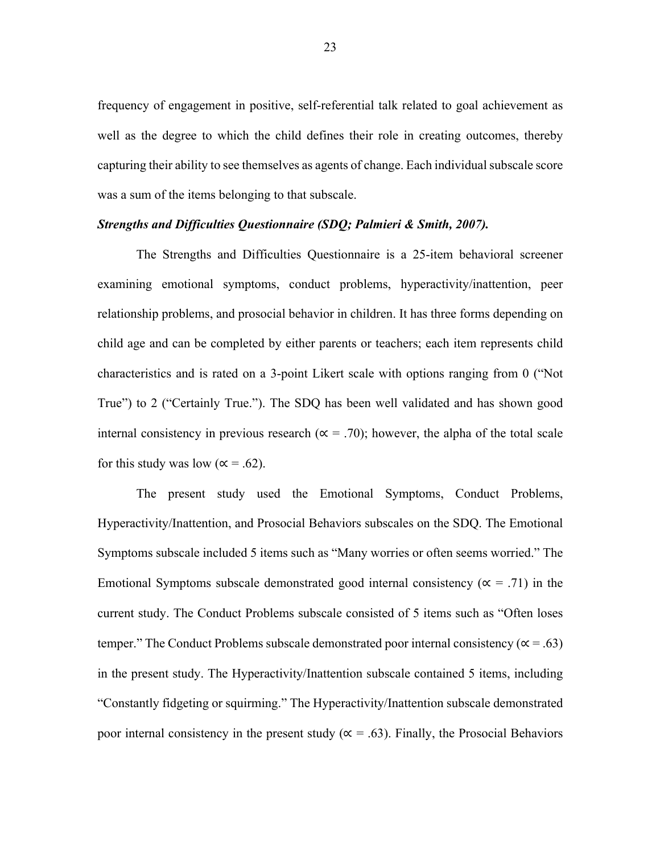frequency of engagement in positive, self-referential talk related to goal achievement as well as the degree to which the child defines their role in creating outcomes, thereby capturing their ability to see themselves as agents of change. Each individual subscale score was a sum of the items belonging to that subscale.

### *Strengths and Difficulties Questionnaire (SDQ; Palmieri & Smith, 2007).*

The Strengths and Difficulties Questionnaire is a 25-item behavioral screener examining emotional symptoms, conduct problems, hyperactivity/inattention, peer relationship problems, and prosocial behavior in children. It has three forms depending on child age and can be completed by either parents or teachers; each item represents child characteristics and is rated on a 3-point Likert scale with options ranging from 0 ("Not True") to 2 ("Certainly True."). The SDQ has been well validated and has shown good internal consistency in previous research ( $\alpha$  = .70); however, the alpha of the total scale for this study was low ( $\alpha$  = .62).

The present study used the Emotional Symptoms, Conduct Problems, Hyperactivity/Inattention, and Prosocial Behaviors subscales on the SDQ. The Emotional Symptoms subscale included 5 items such as "Many worries or often seems worried." The Emotional Symptoms subscale demonstrated good internal consistency ( $\alpha$  = .71) in the current study. The Conduct Problems subscale consisted of 5 items such as "Often loses temper." The Conduct Problems subscale demonstrated poor internal consistency ( $\alpha$  = .63) in the present study. The Hyperactivity/Inattention subscale contained 5 items, including "Constantly fidgeting or squirming." The Hyperactivity/Inattention subscale demonstrated poor internal consistency in the present study ( $\alpha = .63$ ). Finally, the Prosocial Behaviors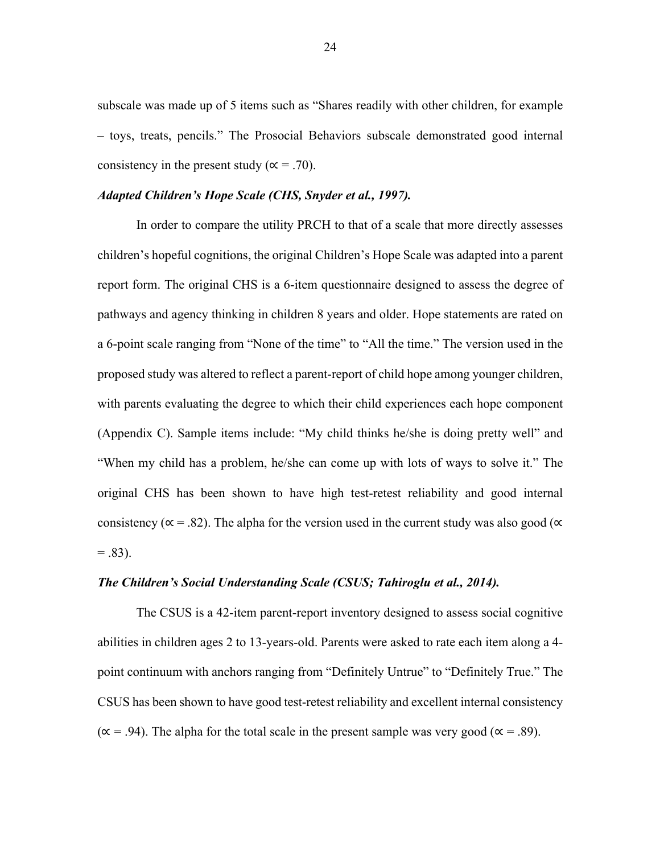subscale was made up of 5 items such as "Shares readily with other children, for example – toys, treats, pencils." The Prosocial Behaviors subscale demonstrated good internal consistency in the present study ( $\alpha = .70$ ).

### *Adapted Children's Hope Scale (CHS, Snyder et al., 1997).*

In order to compare the utility PRCH to that of a scale that more directly assesses children's hopeful cognitions, the original Children's Hope Scale was adapted into a parent report form. The original CHS is a 6-item questionnaire designed to assess the degree of pathways and agency thinking in children 8 years and older. Hope statements are rated on a 6-point scale ranging from "None of the time" to "All the time." The version used in the proposed study was altered to reflect a parent-report of child hope among younger children, with parents evaluating the degree to which their child experiences each hope component (Appendix C). Sample items include: "My child thinks he/she is doing pretty well" and "When my child has a problem, he/she can come up with lots of ways to solve it." The original CHS has been shown to have high test-retest reliability and good internal consistency ( $\alpha$  = .82). The alpha for the version used in the current study was also good ( $\alpha$ )  $= .83$ ).

## *The Children's Social Understanding Scale (CSUS; Tahiroglu et al., 2014).*

The CSUS is a 42-item parent-report inventory designed to assess social cognitive abilities in children ages 2 to 13-years-old. Parents were asked to rate each item along a 4 point continuum with anchors ranging from "Definitely Untrue" to "Definitely True." The CSUS has been shown to have good test-retest reliability and excellent internal consistency  $(\alpha = .94)$ . The alpha for the total scale in the present sample was very good ( $\alpha = .89$ ).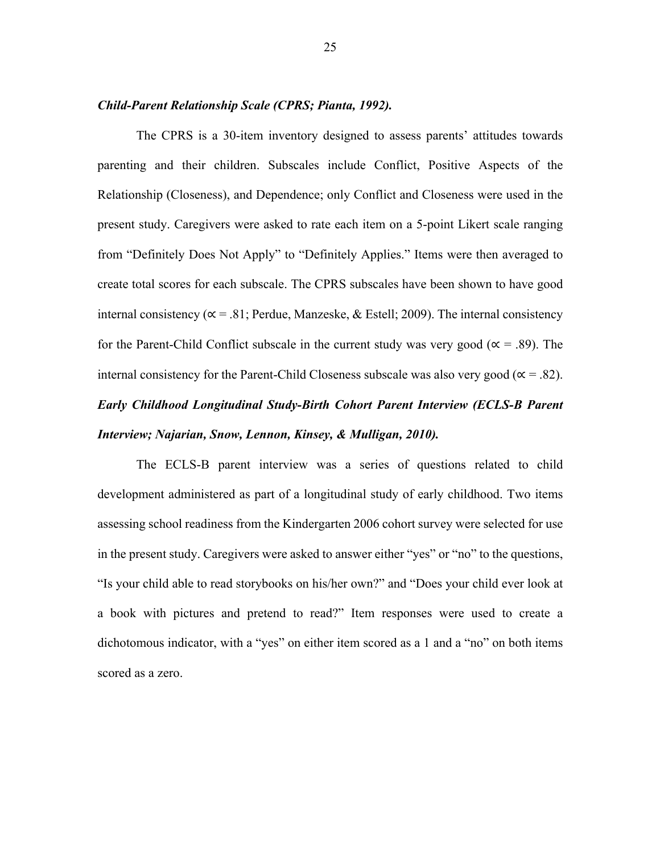#### *Child-Parent Relationship Scale (CPRS; Pianta, 1992).*

The CPRS is a 30-item inventory designed to assess parents' attitudes towards parenting and their children. Subscales include Conflict, Positive Aspects of the Relationship (Closeness), and Dependence; only Conflict and Closeness were used in the present study. Caregivers were asked to rate each item on a 5-point Likert scale ranging from "Definitely Does Not Apply" to "Definitely Applies." Items were then averaged to create total scores for each subscale. The CPRS subscales have been shown to have good internal consistency ( $\alpha$  = .81; Perdue, Manzeske, & Estell; 2009). The internal consistency for the Parent-Child Conflict subscale in the current study was very good ( $\alpha = .89$ ). The internal consistency for the Parent-Child Closeness subscale was also very good ( $\alpha$  = .82).

# *Early Childhood Longitudinal Study-Birth Cohort Parent Interview (ECLS-B Parent Interview; Najarian, Snow, Lennon, Kinsey, & Mulligan, 2010).*

The ECLS-B parent interview was a series of questions related to child development administered as part of a longitudinal study of early childhood. Two items assessing school readiness from the Kindergarten 2006 cohort survey were selected for use in the present study. Caregivers were asked to answer either "yes" or "no" to the questions, "Is your child able to read storybooks on his/her own?" and "Does your child ever look at a book with pictures and pretend to read?" Item responses were used to create a dichotomous indicator, with a "yes" on either item scored as a 1 and a "no" on both items scored as a zero.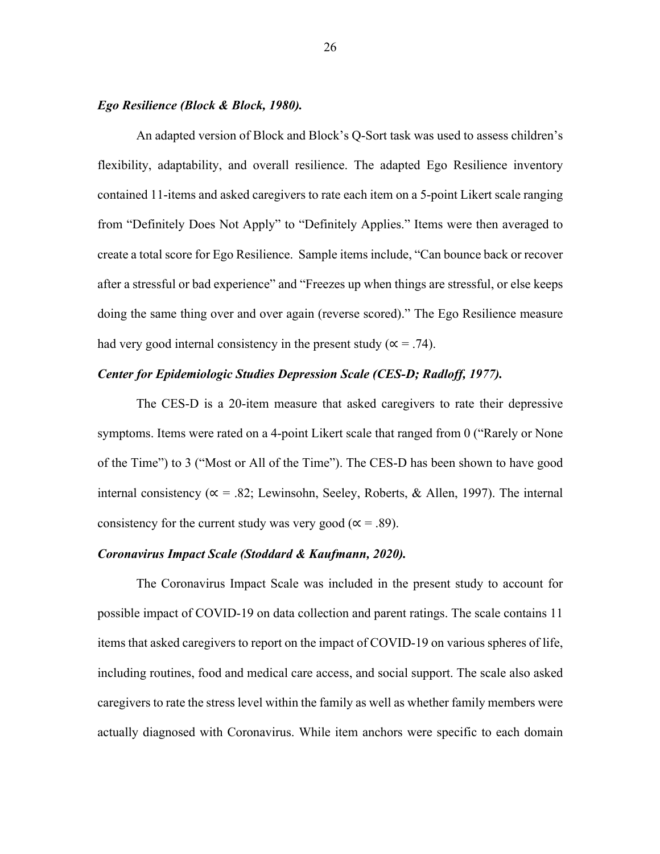#### *Ego Resilience (Block & Block, 1980).*

An adapted version of Block and Block's Q-Sort task was used to assess children's flexibility, adaptability, and overall resilience. The adapted Ego Resilience inventory contained 11-items and asked caregivers to rate each item on a 5-point Likert scale ranging from "Definitely Does Not Apply" to "Definitely Applies." Items were then averaged to create a total score for Ego Resilience. Sample items include, "Can bounce back or recover after a stressful or bad experience" and "Freezes up when things are stressful, or else keeps doing the same thing over and over again (reverse scored)." The Ego Resilience measure had very good internal consistency in the present study ( $\alpha = .74$ ).

## *Center for Epidemiologic Studies Depression Scale (CES-D; Radloff, 1977).*

The CES-D is a 20-item measure that asked caregivers to rate their depressive symptoms. Items were rated on a 4-point Likert scale that ranged from 0 ("Rarely or None of the Time") to 3 ("Most or All of the Time"). The CES-D has been shown to have good internal consistency ( $\alpha = .82$ ; Lewinsohn, Seeley, Roberts, & Allen, 1997). The internal consistency for the current study was very good ( $\alpha$  = .89).

#### *Coronavirus Impact Scale (Stoddard & Kaufmann, 2020).*

The Coronavirus Impact Scale was included in the present study to account for possible impact of COVID-19 on data collection and parent ratings. The scale contains 11 items that asked caregivers to report on the impact of COVID-19 on various spheres of life, including routines, food and medical care access, and social support. The scale also asked caregivers to rate the stress level within the family as well as whether family members were actually diagnosed with Coronavirus. While item anchors were specific to each domain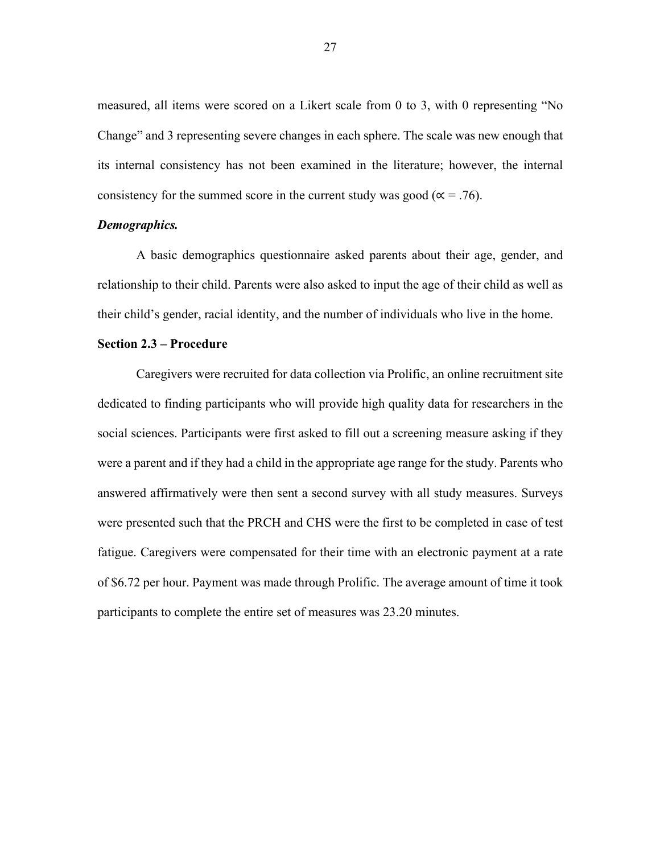measured, all items were scored on a Likert scale from 0 to 3, with 0 representing "No Change" and 3 representing severe changes in each sphere. The scale was new enough that its internal consistency has not been examined in the literature; however, the internal consistency for the summed score in the current study was good ( $\alpha = .76$ ).

#### *Demographics.*

A basic demographics questionnaire asked parents about their age, gender, and relationship to their child. Parents were also asked to input the age of their child as well as their child's gender, racial identity, and the number of individuals who live in the home.

#### **Section 2.3 – Procedure**

Caregivers were recruited for data collection via Prolific, an online recruitment site dedicated to finding participants who will provide high quality data for researchers in the social sciences. Participants were first asked to fill out a screening measure asking if they were a parent and if they had a child in the appropriate age range for the study. Parents who answered affirmatively were then sent a second survey with all study measures. Surveys were presented such that the PRCH and CHS were the first to be completed in case of test fatigue. Caregivers were compensated for their time with an electronic payment at a rate of \$6.72 per hour. Payment was made through Prolific. The average amount of time it took participants to complete the entire set of measures was 23.20 minutes.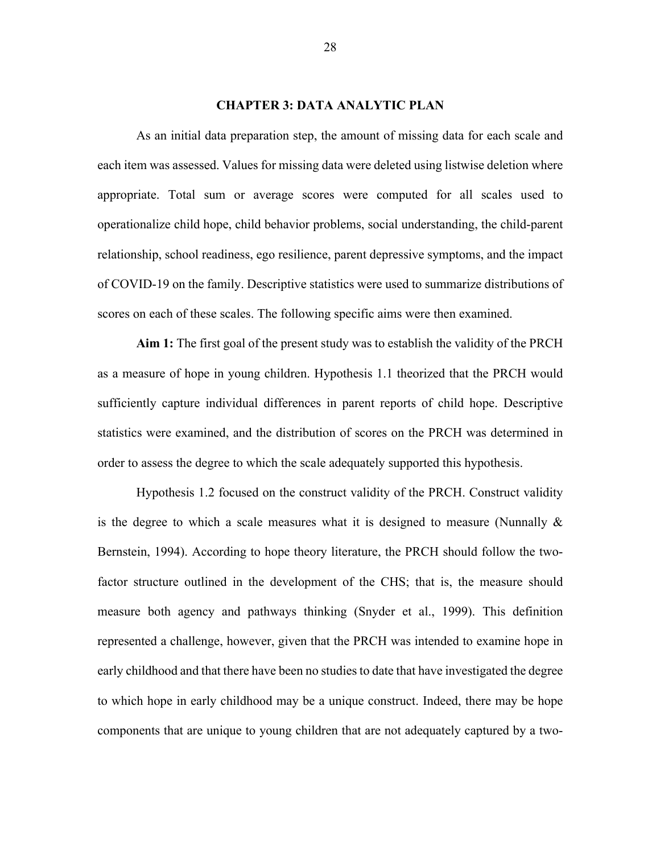#### **CHAPTER 3: DATA ANALYTIC PLAN**

As an initial data preparation step, the amount of missing data for each scale and each item was assessed. Values for missing data were deleted using listwise deletion where appropriate. Total sum or average scores were computed for all scales used to operationalize child hope, child behavior problems, social understanding, the child-parent relationship, school readiness, ego resilience, parent depressive symptoms, and the impact of COVID-19 on the family. Descriptive statistics were used to summarize distributions of scores on each of these scales. The following specific aims were then examined.

**Aim 1:** The first goal of the present study was to establish the validity of the PRCH as a measure of hope in young children. Hypothesis 1.1 theorized that the PRCH would sufficiently capture individual differences in parent reports of child hope. Descriptive statistics were examined, and the distribution of scores on the PRCH was determined in order to assess the degree to which the scale adequately supported this hypothesis.

Hypothesis 1.2 focused on the construct validity of the PRCH. Construct validity is the degree to which a scale measures what it is designed to measure (Nunnally & Bernstein, 1994). According to hope theory literature, the PRCH should follow the twofactor structure outlined in the development of the CHS; that is, the measure should measure both agency and pathways thinking (Snyder et al., 1999). This definition represented a challenge, however, given that the PRCH was intended to examine hope in early childhood and that there have been no studies to date that have investigated the degree to which hope in early childhood may be a unique construct. Indeed, there may be hope components that are unique to young children that are not adequately captured by a two-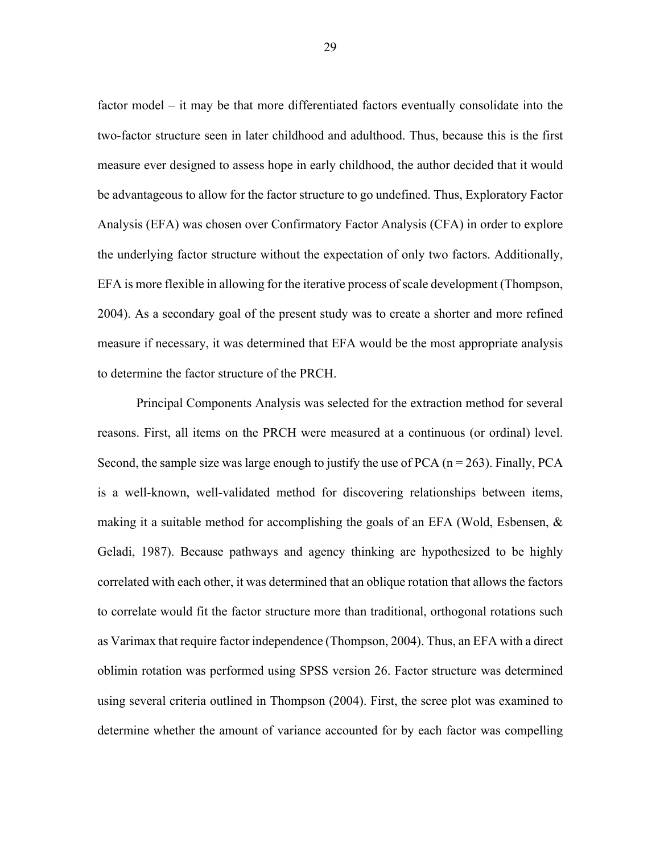factor model – it may be that more differentiated factors eventually consolidate into the two-factor structure seen in later childhood and adulthood. Thus, because this is the first measure ever designed to assess hope in early childhood, the author decided that it would be advantageous to allow for the factor structure to go undefined. Thus, Exploratory Factor Analysis (EFA) was chosen over Confirmatory Factor Analysis (CFA) in order to explore the underlying factor structure without the expectation of only two factors. Additionally, EFA is more flexible in allowing for the iterative process of scale development (Thompson, 2004). As a secondary goal of the present study was to create a shorter and more refined measure if necessary, it was determined that EFA would be the most appropriate analysis to determine the factor structure of the PRCH.

Principal Components Analysis was selected for the extraction method for several reasons. First, all items on the PRCH were measured at a continuous (or ordinal) level. Second, the sample size was large enough to justify the use of PCA ( $n = 263$ ). Finally, PCA is a well-known, well-validated method for discovering relationships between items, making it a suitable method for accomplishing the goals of an EFA (Wold, Esbensen, & Geladi, 1987). Because pathways and agency thinking are hypothesized to be highly correlated with each other, it was determined that an oblique rotation that allows the factors to correlate would fit the factor structure more than traditional, orthogonal rotations such as Varimax that require factor independence (Thompson, 2004). Thus, an EFA with a direct oblimin rotation was performed using SPSS version 26. Factor structure was determined using several criteria outlined in Thompson (2004). First, the scree plot was examined to determine whether the amount of variance accounted for by each factor was compelling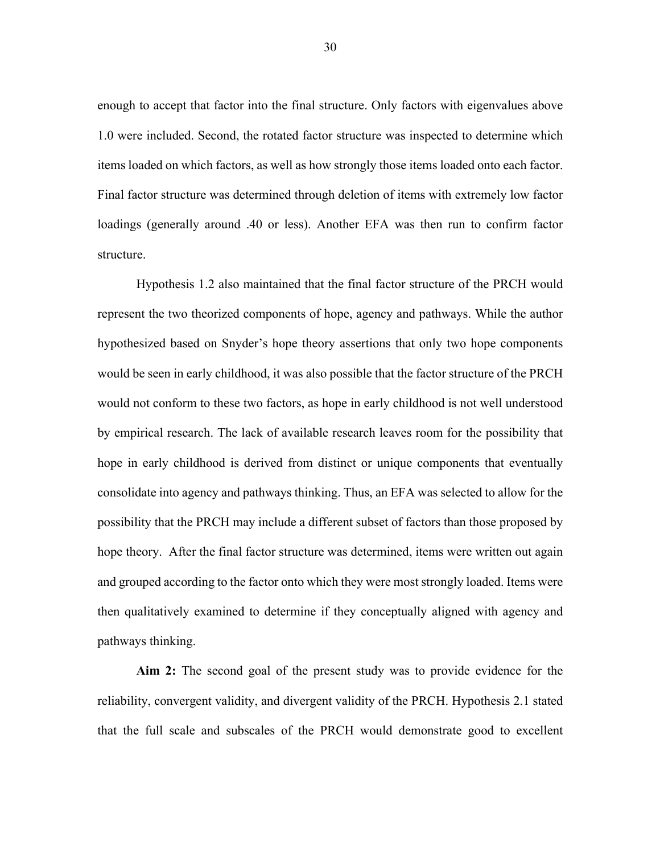enough to accept that factor into the final structure. Only factors with eigenvalues above 1.0 were included. Second, the rotated factor structure was inspected to determine which items loaded on which factors, as well as how strongly those items loaded onto each factor. Final factor structure was determined through deletion of items with extremely low factor loadings (generally around .40 or less). Another EFA was then run to confirm factor structure.

Hypothesis 1.2 also maintained that the final factor structure of the PRCH would represent the two theorized components of hope, agency and pathways. While the author hypothesized based on Snyder's hope theory assertions that only two hope components would be seen in early childhood, it was also possible that the factor structure of the PRCH would not conform to these two factors, as hope in early childhood is not well understood by empirical research. The lack of available research leaves room for the possibility that hope in early childhood is derived from distinct or unique components that eventually consolidate into agency and pathways thinking. Thus, an EFA was selected to allow for the possibility that the PRCH may include a different subset of factors than those proposed by hope theory. After the final factor structure was determined, items were written out again and grouped according to the factor onto which they were most strongly loaded. Items were then qualitatively examined to determine if they conceptually aligned with agency and pathways thinking.

**Aim 2:** The second goal of the present study was to provide evidence for the reliability, convergent validity, and divergent validity of the PRCH. Hypothesis 2.1 stated that the full scale and subscales of the PRCH would demonstrate good to excellent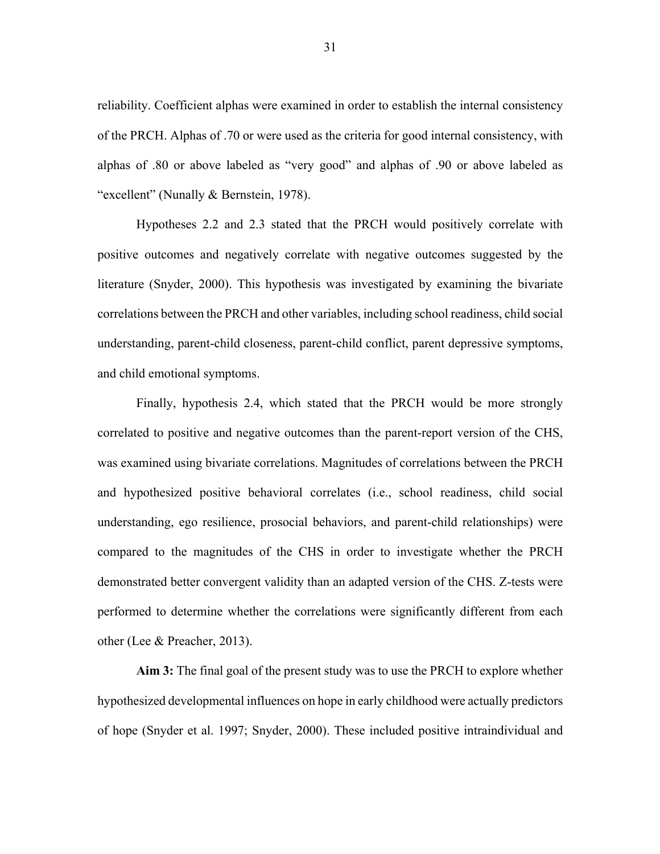reliability. Coefficient alphas were examined in order to establish the internal consistency of the PRCH. Alphas of .70 or were used as the criteria for good internal consistency, with alphas of .80 or above labeled as "very good" and alphas of .90 or above labeled as "excellent" (Nunally & Bernstein, 1978).

Hypotheses 2.2 and 2.3 stated that the PRCH would positively correlate with positive outcomes and negatively correlate with negative outcomes suggested by the literature (Snyder, 2000). This hypothesis was investigated by examining the bivariate correlations between the PRCH and other variables, including school readiness, child social understanding, parent-child closeness, parent-child conflict, parent depressive symptoms, and child emotional symptoms.

Finally, hypothesis 2.4, which stated that the PRCH would be more strongly correlated to positive and negative outcomes than the parent-report version of the CHS, was examined using bivariate correlations. Magnitudes of correlations between the PRCH and hypothesized positive behavioral correlates (i.e., school readiness, child social understanding, ego resilience, prosocial behaviors, and parent-child relationships) were compared to the magnitudes of the CHS in order to investigate whether the PRCH demonstrated better convergent validity than an adapted version of the CHS. Z-tests were performed to determine whether the correlations were significantly different from each other (Lee & Preacher, 2013).

**Aim 3:** The final goal of the present study was to use the PRCH to explore whether hypothesized developmental influences on hope in early childhood were actually predictors of hope (Snyder et al. 1997; Snyder, 2000). These included positive intraindividual and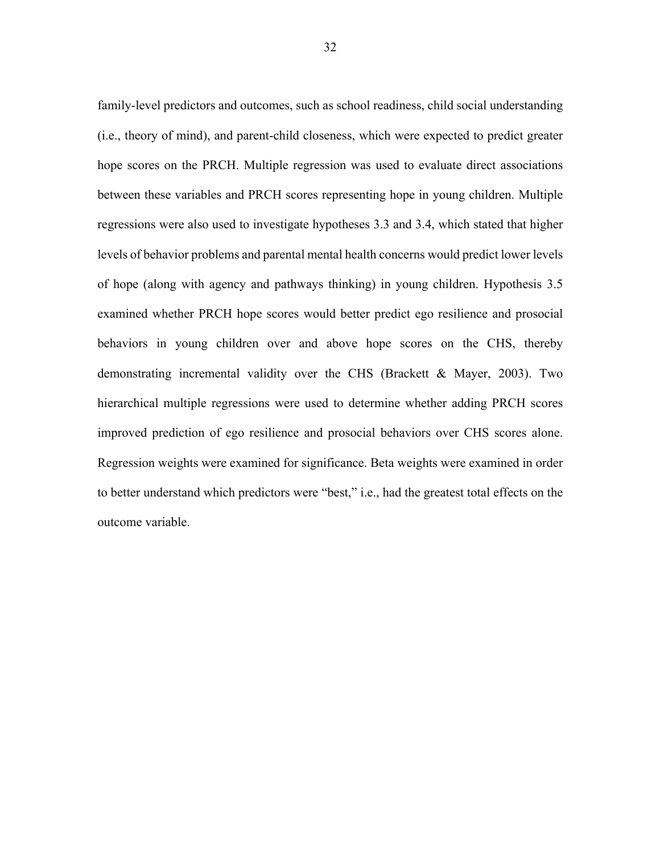family-level predictors and outcomes, such as school readiness, child social understanding (i.e., theory of mind), and parent-child closeness, which were expected to predict greater hope scores on the PRCH. Multiple regression was used to evaluate direct associations between these variables and PRCH scores representing hope in young children. Multiple regressions were also used to investigate hypotheses 3.3 and 3.4, which stated that higher levels of behavior problems and parental mental health concerns would predict lower levels of hope (along with agency and pathways thinking) in young children. Hypothesis 3.5 examined whether PRCH hope scores would better predict ego resilience and prosocial behaviors in young children over and above hope scores on the CHS, thereby demonstrating incremental validity over the CHS (Brackett & Mayer, 2003). Two hierarchical multiple regressions were used to determine whether adding PRCH scores improved prediction of ego resilience and prosocial behaviors over CHS scores alone. Regression weights were examined for significance. Beta weights were examined in order to better understand which predictors were "best," i.e., had the greatest total effects on the outcome variable.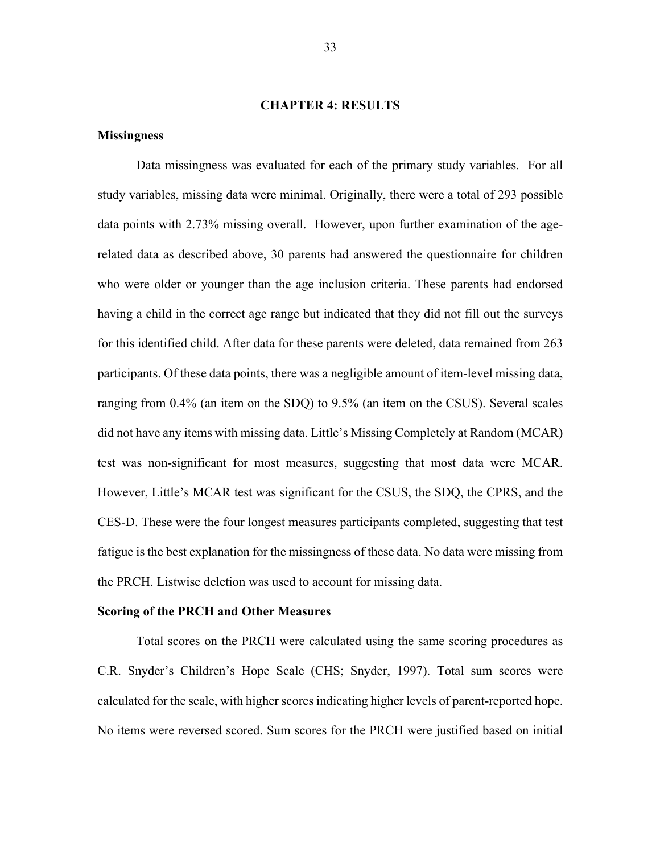#### **CHAPTER 4: RESULTS**

## **Missingness**

Data missingness was evaluated for each of the primary study variables. For all study variables, missing data were minimal. Originally, there were a total of 293 possible data points with 2.73% missing overall. However, upon further examination of the agerelated data as described above, 30 parents had answered the questionnaire for children who were older or younger than the age inclusion criteria. These parents had endorsed having a child in the correct age range but indicated that they did not fill out the surveys for this identified child. After data for these parents were deleted, data remained from 263 participants. Of these data points, there was a negligible amount of item-level missing data, ranging from 0.4% (an item on the SDQ) to 9.5% (an item on the CSUS). Several scales did not have any items with missing data. Little's Missing Completely at Random (MCAR) test was non-significant for most measures, suggesting that most data were MCAR. However, Little's MCAR test was significant for the CSUS, the SDQ, the CPRS, and the CES-D. These were the four longest measures participants completed, suggesting that test fatigue is the best explanation for the missingness of these data. No data were missing from the PRCH. Listwise deletion was used to account for missing data.

#### **Scoring of the PRCH and Other Measures**

Total scores on the PRCH were calculated using the same scoring procedures as C.R. Snyder's Children's Hope Scale (CHS; Snyder, 1997). Total sum scores were calculated for the scale, with higher scores indicating higher levels of parent-reported hope. No items were reversed scored. Sum scores for the PRCH were justified based on initial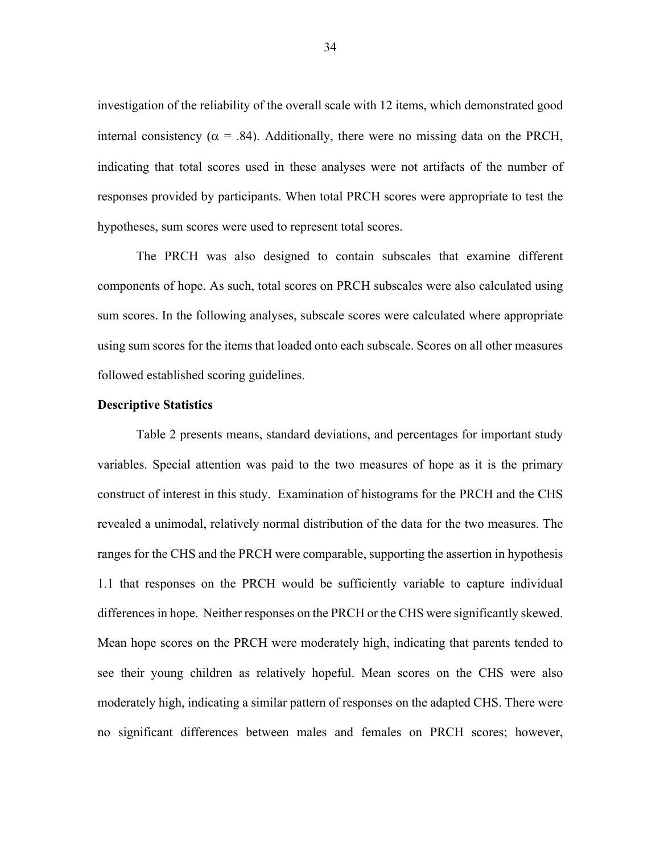investigation of the reliability of the overall scale with 12 items, which demonstrated good internal consistency ( $\alpha$  = .84). Additionally, there were no missing data on the PRCH, indicating that total scores used in these analyses were not artifacts of the number of responses provided by participants. When total PRCH scores were appropriate to test the hypotheses, sum scores were used to represent total scores.

The PRCH was also designed to contain subscales that examine different components of hope. As such, total scores on PRCH subscales were also calculated using sum scores. In the following analyses, subscale scores were calculated where appropriate using sum scores for the items that loaded onto each subscale. Scores on all other measures followed established scoring guidelines.

#### **Descriptive Statistics**

Table 2 presents means, standard deviations, and percentages for important study variables. Special attention was paid to the two measures of hope as it is the primary construct of interest in this study. Examination of histograms for the PRCH and the CHS revealed a unimodal, relatively normal distribution of the data for the two measures. The ranges for the CHS and the PRCH were comparable, supporting the assertion in hypothesis 1.1 that responses on the PRCH would be sufficiently variable to capture individual differences in hope. Neither responses on the PRCH or the CHS were significantly skewed. Mean hope scores on the PRCH were moderately high, indicating that parents tended to see their young children as relatively hopeful. Mean scores on the CHS were also moderately high, indicating a similar pattern of responses on the adapted CHS. There were no significant differences between males and females on PRCH scores; however,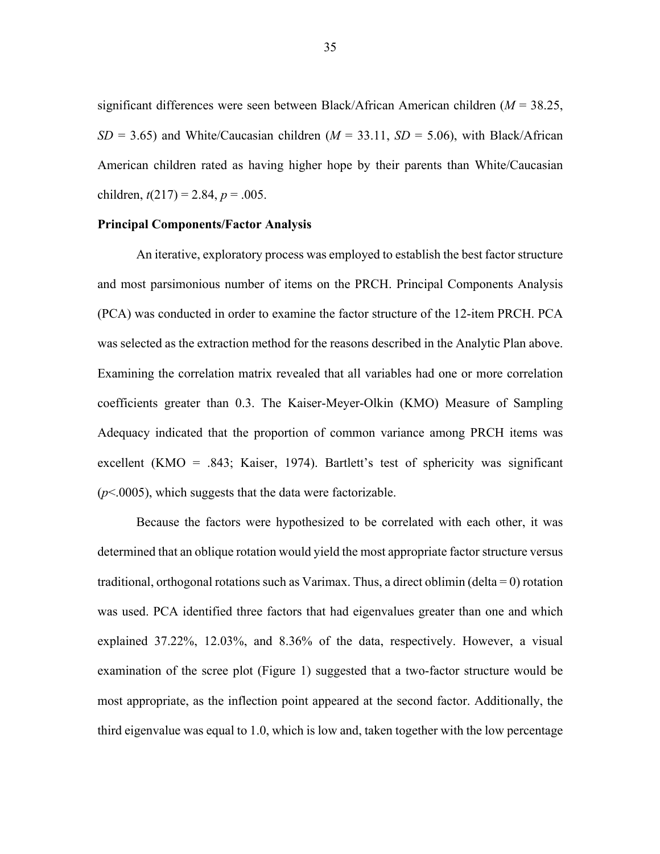significant differences were seen between Black/African American children (*M* = 38.25,  $SD = 3.65$ ) and White/Caucasian children ( $M = 33.11$ ,  $SD = 5.06$ ), with Black/African American children rated as having higher hope by their parents than White/Caucasian children,  $t(217) = 2.84$ ,  $p = .005$ .

#### **Principal Components/Factor Analysis**

An iterative, exploratory process was employed to establish the best factor structure and most parsimonious number of items on the PRCH. Principal Components Analysis (PCA) was conducted in order to examine the factor structure of the 12-item PRCH. PCA was selected as the extraction method for the reasons described in the Analytic Plan above. Examining the correlation matrix revealed that all variables had one or more correlation coefficients greater than 0.3. The Kaiser-Meyer-Olkin (KMO) Measure of Sampling Adequacy indicated that the proportion of common variance among PRCH items was excellent (KMO = .843; Kaiser, 1974). Bartlett's test of sphericity was significant (*p*<.0005), which suggests that the data were factorizable.

Because the factors were hypothesized to be correlated with each other, it was determined that an oblique rotation would yield the most appropriate factor structure versus traditional, orthogonal rotations such as Varimax. Thus, a direct oblimin (delta =  $0$ ) rotation was used. PCA identified three factors that had eigenvalues greater than one and which explained 37.22%, 12.03%, and 8.36% of the data, respectively. However, a visual examination of the scree plot (Figure 1) suggested that a two-factor structure would be most appropriate, as the inflection point appeared at the second factor. Additionally, the third eigenvalue was equal to 1.0, which is low and, taken together with the low percentage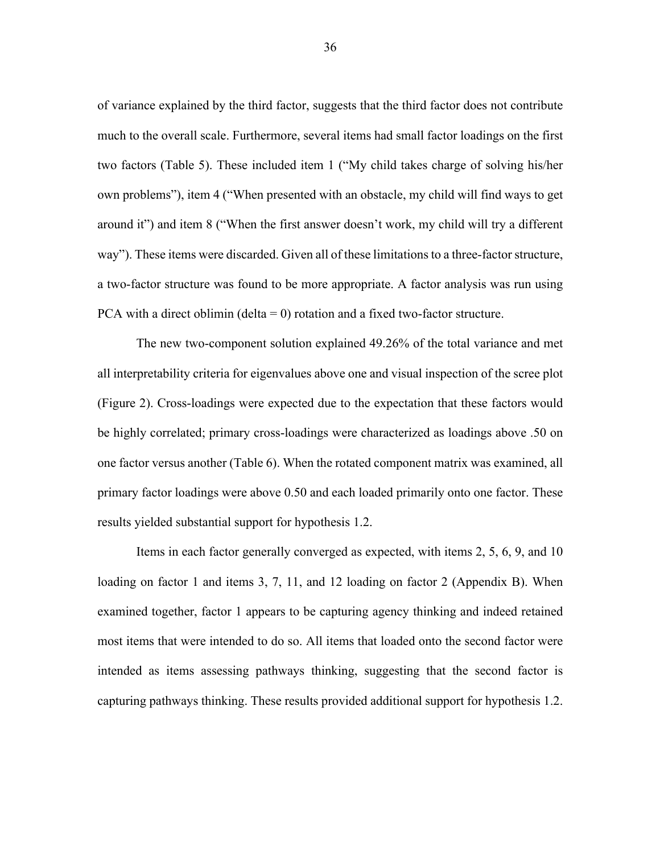of variance explained by the third factor, suggests that the third factor does not contribute much to the overall scale. Furthermore, several items had small factor loadings on the first two factors (Table 5). These included item 1 ("My child takes charge of solving his/her own problems"), item 4 ("When presented with an obstacle, my child will find ways to get around it") and item 8 ("When the first answer doesn't work, my child will try a different way"). These items were discarded. Given all of these limitations to a three-factor structure, a two-factor structure was found to be more appropriate. A factor analysis was run using PCA with a direct oblimin (delta  $= 0$ ) rotation and a fixed two-factor structure.

The new two-component solution explained 49.26% of the total variance and met all interpretability criteria for eigenvalues above one and visual inspection of the scree plot (Figure 2). Cross-loadings were expected due to the expectation that these factors would be highly correlated; primary cross-loadings were characterized as loadings above .50 on one factor versus another (Table 6). When the rotated component matrix was examined, all primary factor loadings were above 0.50 and each loaded primarily onto one factor. These results yielded substantial support for hypothesis 1.2.

Items in each factor generally converged as expected, with items 2, 5, 6, 9, and 10 loading on factor 1 and items 3, 7, 11, and 12 loading on factor 2 (Appendix B). When examined together, factor 1 appears to be capturing agency thinking and indeed retained most items that were intended to do so. All items that loaded onto the second factor were intended as items assessing pathways thinking, suggesting that the second factor is capturing pathways thinking. These results provided additional support for hypothesis 1.2.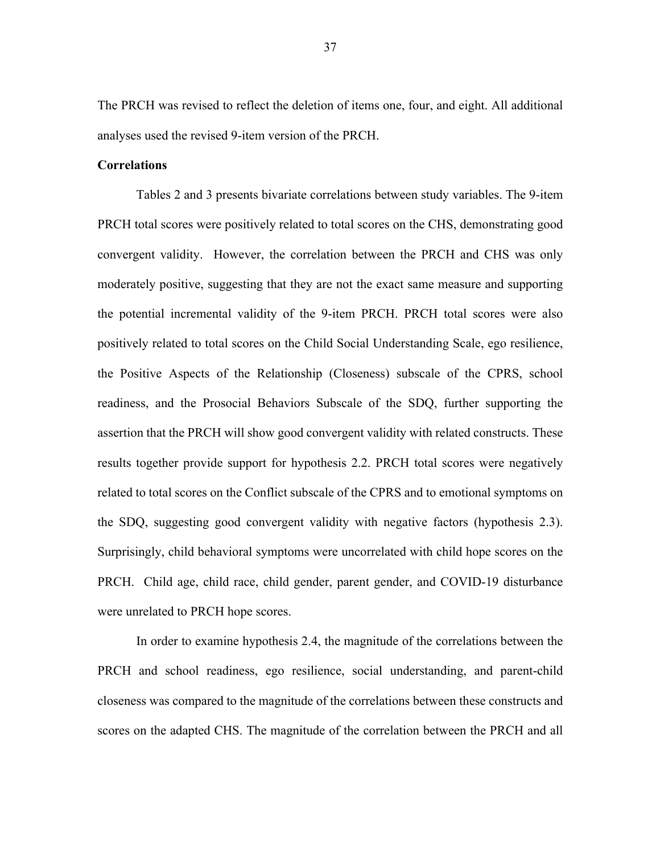The PRCH was revised to reflect the deletion of items one, four, and eight. All additional analyses used the revised 9-item version of the PRCH.

#### **Correlations**

Tables 2 and 3 presents bivariate correlations between study variables. The 9-item PRCH total scores were positively related to total scores on the CHS, demonstrating good convergent validity. However, the correlation between the PRCH and CHS was only moderately positive, suggesting that they are not the exact same measure and supporting the potential incremental validity of the 9-item PRCH. PRCH total scores were also positively related to total scores on the Child Social Understanding Scale, ego resilience, the Positive Aspects of the Relationship (Closeness) subscale of the CPRS, school readiness, and the Prosocial Behaviors Subscale of the SDQ, further supporting the assertion that the PRCH will show good convergent validity with related constructs. These results together provide support for hypothesis 2.2. PRCH total scores were negatively related to total scores on the Conflict subscale of the CPRS and to emotional symptoms on the SDQ, suggesting good convergent validity with negative factors (hypothesis 2.3). Surprisingly, child behavioral symptoms were uncorrelated with child hope scores on the PRCH. Child age, child race, child gender, parent gender, and COVID-19 disturbance were unrelated to PRCH hope scores.

In order to examine hypothesis 2.4, the magnitude of the correlations between the PRCH and school readiness, ego resilience, social understanding, and parent-child closeness was compared to the magnitude of the correlations between these constructs and scores on the adapted CHS. The magnitude of the correlation between the PRCH and all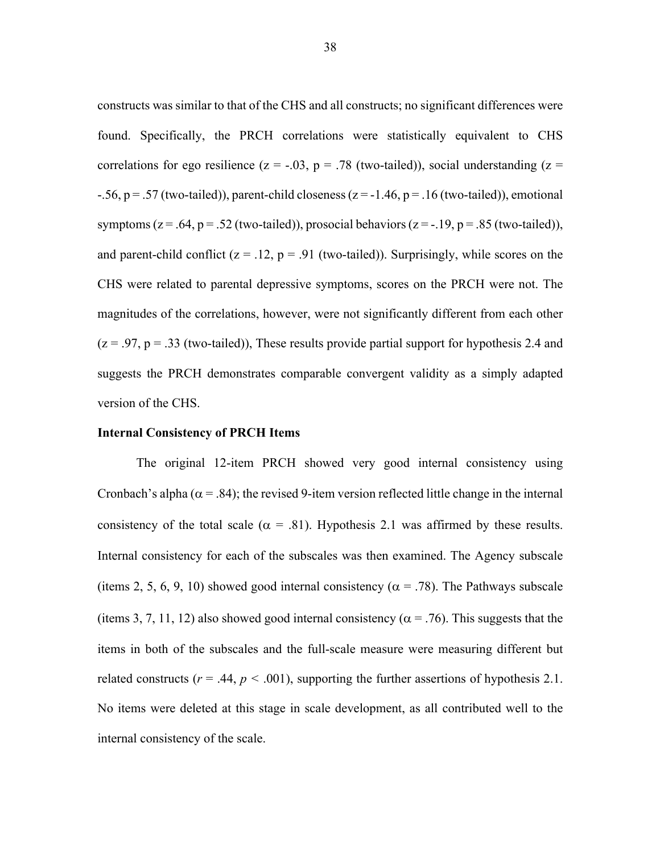constructs was similar to that of the CHS and all constructs; no significant differences were found. Specifically, the PRCH correlations were statistically equivalent to CHS correlations for ego resilience ( $z = -0.03$ ,  $p = 0.78$  (two-tailed)), social understanding ( $z =$  $-0.56$ , p = .57 (two-tailed)), parent-child closeness (z = -1.46, p = .16 (two-tailed)), emotional symptoms ( $z = .64$ ,  $p = .52$  (two-tailed)), prosocial behaviors ( $z = -.19$ ,  $p = .85$  (two-tailed)), and parent-child conflict ( $z = .12$ ,  $p = .91$  (two-tailed)). Surprisingly, while scores on the CHS were related to parental depressive symptoms, scores on the PRCH were not. The magnitudes of the correlations, however, were not significantly different from each other  $(z = .97, p = .33$  (two-tailed)), These results provide partial support for hypothesis 2.4 and suggests the PRCH demonstrates comparable convergent validity as a simply adapted version of the CHS.

# **Internal Consistency of PRCH Items**

The original 12-item PRCH showed very good internal consistency using Cronbach's alpha ( $\alpha$  = .84); the revised 9-item version reflected little change in the internal consistency of the total scale ( $\alpha$  = .81). Hypothesis 2.1 was affirmed by these results. Internal consistency for each of the subscales was then examined. The Agency subscale (items 2, 5, 6, 9, 10) showed good internal consistency ( $\alpha$  = .78). The Pathways subscale (items 3, 7, 11, 12) also showed good internal consistency ( $\alpha$  = .76). This suggests that the items in both of the subscales and the full-scale measure were measuring different but related constructs ( $r = .44$ ,  $p < .001$ ), supporting the further assertions of hypothesis 2.1. No items were deleted at this stage in scale development, as all contributed well to the internal consistency of the scale.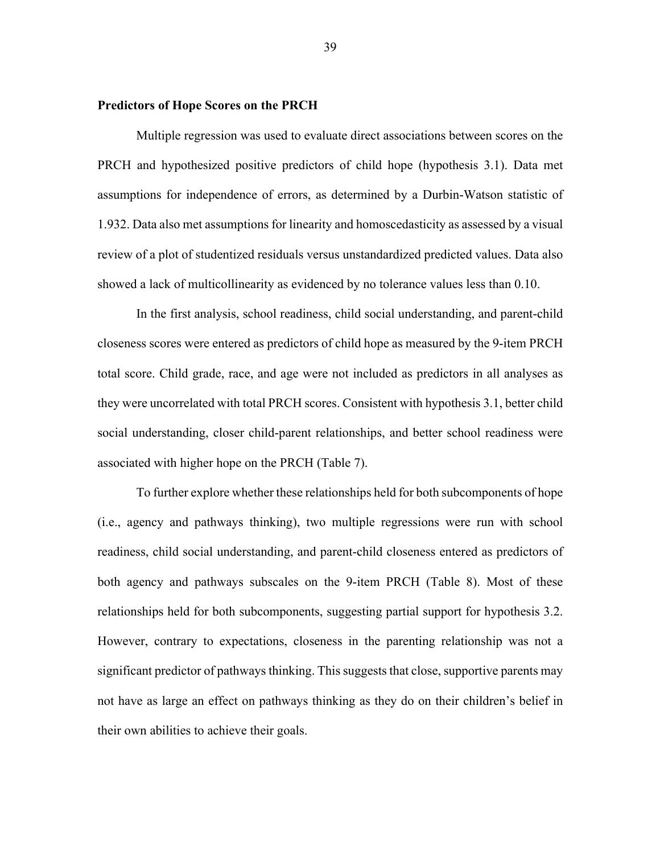# **Predictors of Hope Scores on the PRCH**

Multiple regression was used to evaluate direct associations between scores on the PRCH and hypothesized positive predictors of child hope (hypothesis 3.1). Data met assumptions for independence of errors, as determined by a Durbin-Watson statistic of 1.932. Data also met assumptions for linearity and homoscedasticity as assessed by a visual review of a plot of studentized residuals versus unstandardized predicted values. Data also showed a lack of multicollinearity as evidenced by no tolerance values less than 0.10.

In the first analysis, school readiness, child social understanding, and parent-child closeness scores were entered as predictors of child hope as measured by the 9-item PRCH total score. Child grade, race, and age were not included as predictors in all analyses as they were uncorrelated with total PRCH scores. Consistent with hypothesis 3.1, better child social understanding, closer child-parent relationships, and better school readiness were associated with higher hope on the PRCH (Table 7).

To further explore whether these relationships held for both subcomponents of hope (i.e., agency and pathways thinking), two multiple regressions were run with school readiness, child social understanding, and parent-child closeness entered as predictors of both agency and pathways subscales on the 9-item PRCH (Table 8). Most of these relationships held for both subcomponents, suggesting partial support for hypothesis 3.2. However, contrary to expectations, closeness in the parenting relationship was not a significant predictor of pathways thinking. This suggests that close, supportive parents may not have as large an effect on pathways thinking as they do on their children's belief in their own abilities to achieve their goals.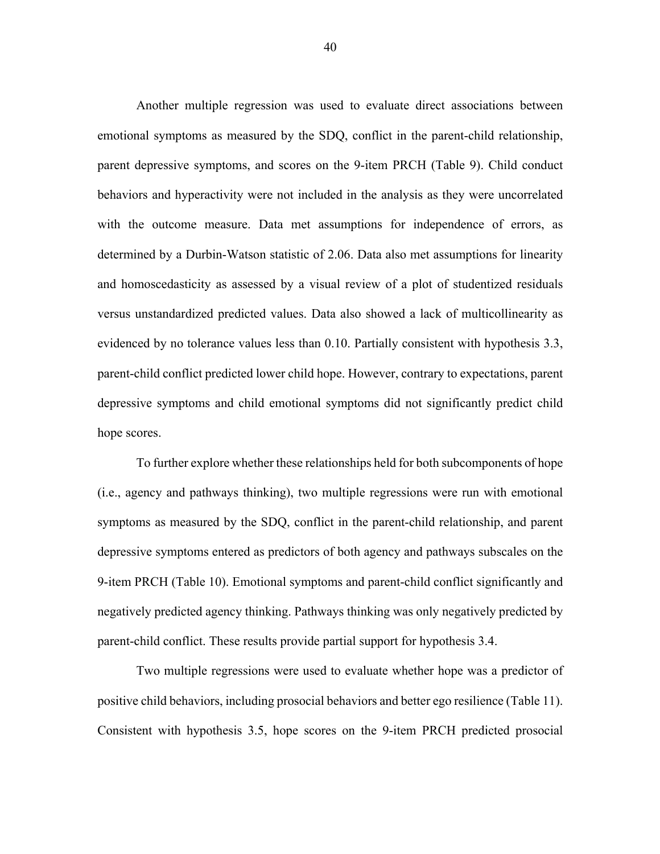Another multiple regression was used to evaluate direct associations between emotional symptoms as measured by the SDQ, conflict in the parent-child relationship, parent depressive symptoms, and scores on the 9-item PRCH (Table 9). Child conduct behaviors and hyperactivity were not included in the analysis as they were uncorrelated with the outcome measure. Data met assumptions for independence of errors, as determined by a Durbin-Watson statistic of 2.06. Data also met assumptions for linearity and homoscedasticity as assessed by a visual review of a plot of studentized residuals versus unstandardized predicted values. Data also showed a lack of multicollinearity as evidenced by no tolerance values less than 0.10. Partially consistent with hypothesis 3.3, parent-child conflict predicted lower child hope. However, contrary to expectations, parent depressive symptoms and child emotional symptoms did not significantly predict child hope scores.

To further explore whether these relationships held for both subcomponents of hope (i.e., agency and pathways thinking), two multiple regressions were run with emotional symptoms as measured by the SDQ, conflict in the parent-child relationship, and parent depressive symptoms entered as predictors of both agency and pathways subscales on the 9-item PRCH (Table 10). Emotional symptoms and parent-child conflict significantly and negatively predicted agency thinking. Pathways thinking was only negatively predicted by parent-child conflict. These results provide partial support for hypothesis 3.4.

Two multiple regressions were used to evaluate whether hope was a predictor of positive child behaviors, including prosocial behaviors and better ego resilience (Table 11). Consistent with hypothesis 3.5, hope scores on the 9-item PRCH predicted prosocial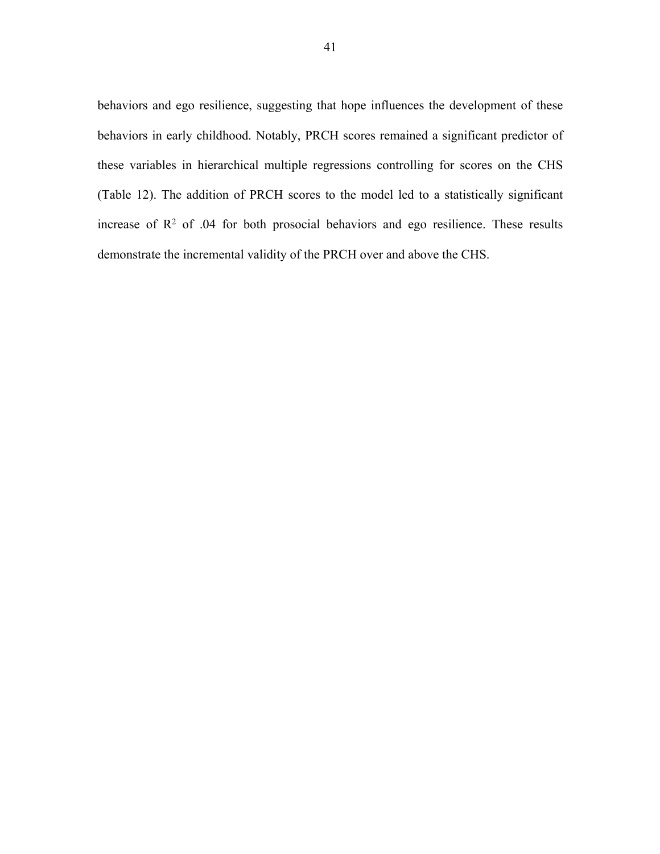behaviors and ego resilience, suggesting that hope influences the development of these behaviors in early childhood. Notably, PRCH scores remained a significant predictor of these variables in hierarchical multiple regressions controlling for scores on the CHS (Table 12). The addition of PRCH scores to the model led to a statistically significant increase of  $\mathbb{R}^2$  of .04 for both prosocial behaviors and ego resilience. These results demonstrate the incremental validity of the PRCH over and above the CHS.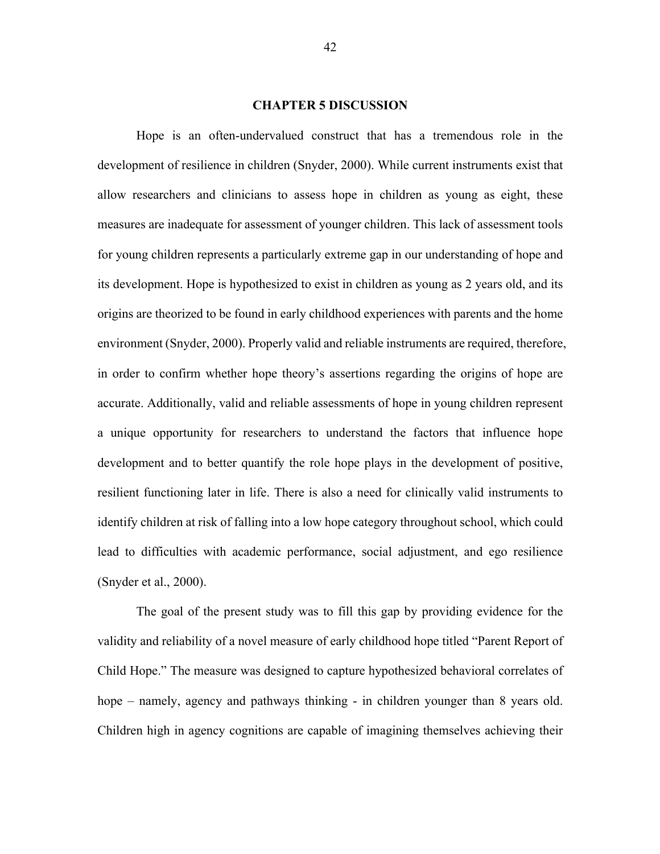#### **CHAPTER 5 DISCUSSION**

Hope is an often-undervalued construct that has a tremendous role in the development of resilience in children (Snyder, 2000). While current instruments exist that allow researchers and clinicians to assess hope in children as young as eight, these measures are inadequate for assessment of younger children. This lack of assessment tools for young children represents a particularly extreme gap in our understanding of hope and its development. Hope is hypothesized to exist in children as young as 2 years old, and its origins are theorized to be found in early childhood experiences with parents and the home environment (Snyder, 2000). Properly valid and reliable instruments are required, therefore, in order to confirm whether hope theory's assertions regarding the origins of hope are accurate. Additionally, valid and reliable assessments of hope in young children represent a unique opportunity for researchers to understand the factors that influence hope development and to better quantify the role hope plays in the development of positive, resilient functioning later in life. There is also a need for clinically valid instruments to identify children at risk of falling into a low hope category throughout school, which could lead to difficulties with academic performance, social adjustment, and ego resilience (Snyder et al., 2000).

The goal of the present study was to fill this gap by providing evidence for the validity and reliability of a novel measure of early childhood hope titled "Parent Report of Child Hope." The measure was designed to capture hypothesized behavioral correlates of hope – namely, agency and pathways thinking - in children younger than 8 years old. Children high in agency cognitions are capable of imagining themselves achieving their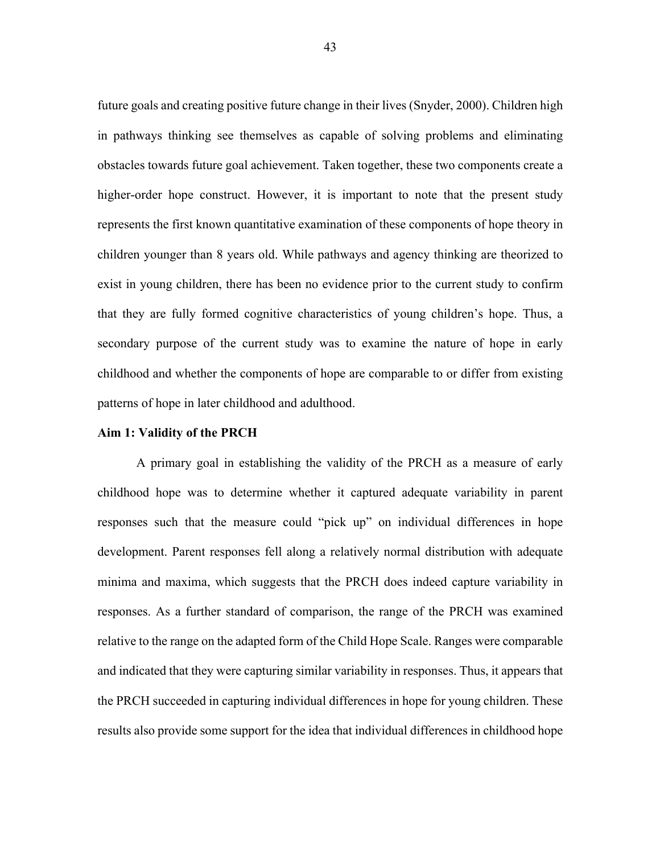future goals and creating positive future change in their lives (Snyder, 2000). Children high in pathways thinking see themselves as capable of solving problems and eliminating obstacles towards future goal achievement. Taken together, these two components create a higher-order hope construct. However, it is important to note that the present study represents the first known quantitative examination of these components of hope theory in children younger than 8 years old. While pathways and agency thinking are theorized to exist in young children, there has been no evidence prior to the current study to confirm that they are fully formed cognitive characteristics of young children's hope. Thus, a secondary purpose of the current study was to examine the nature of hope in early childhood and whether the components of hope are comparable to or differ from existing patterns of hope in later childhood and adulthood.

## **Aim 1: Validity of the PRCH**

A primary goal in establishing the validity of the PRCH as a measure of early childhood hope was to determine whether it captured adequate variability in parent responses such that the measure could "pick up" on individual differences in hope development. Parent responses fell along a relatively normal distribution with adequate minima and maxima, which suggests that the PRCH does indeed capture variability in responses. As a further standard of comparison, the range of the PRCH was examined relative to the range on the adapted form of the Child Hope Scale. Ranges were comparable and indicated that they were capturing similar variability in responses. Thus, it appears that the PRCH succeeded in capturing individual differences in hope for young children. These results also provide some support for the idea that individual differences in childhood hope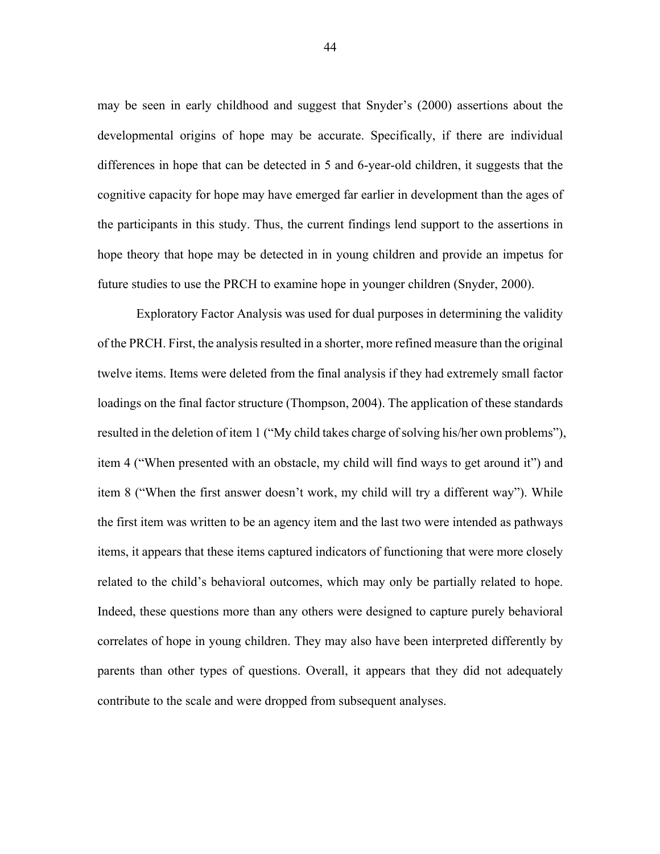may be seen in early childhood and suggest that Snyder's (2000) assertions about the developmental origins of hope may be accurate. Specifically, if there are individual differences in hope that can be detected in 5 and 6-year-old children, it suggests that the cognitive capacity for hope may have emerged far earlier in development than the ages of the participants in this study. Thus, the current findings lend support to the assertions in hope theory that hope may be detected in in young children and provide an impetus for future studies to use the PRCH to examine hope in younger children (Snyder, 2000).

Exploratory Factor Analysis was used for dual purposes in determining the validity of the PRCH. First, the analysis resulted in a shorter, more refined measure than the original twelve items. Items were deleted from the final analysis if they had extremely small factor loadings on the final factor structure (Thompson, 2004). The application of these standards resulted in the deletion of item 1 ("My child takes charge of solving his/her own problems"), item 4 ("When presented with an obstacle, my child will find ways to get around it") and item 8 ("When the first answer doesn't work, my child will try a different way"). While the first item was written to be an agency item and the last two were intended as pathways items, it appears that these items captured indicators of functioning that were more closely related to the child's behavioral outcomes, which may only be partially related to hope. Indeed, these questions more than any others were designed to capture purely behavioral correlates of hope in young children. They may also have been interpreted differently by parents than other types of questions. Overall, it appears that they did not adequately contribute to the scale and were dropped from subsequent analyses.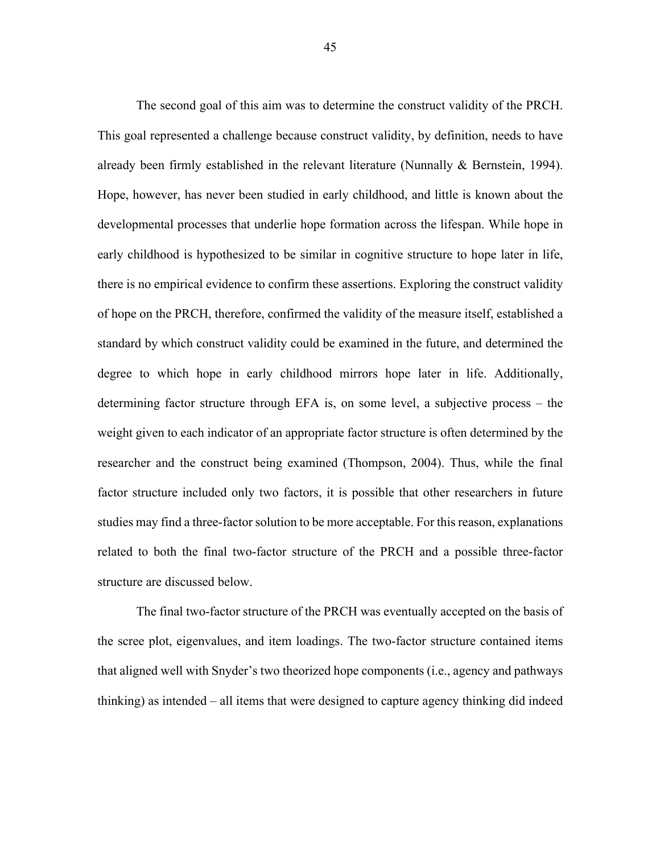The second goal of this aim was to determine the construct validity of the PRCH. This goal represented a challenge because construct validity, by definition, needs to have already been firmly established in the relevant literature (Nunnally & Bernstein, 1994). Hope, however, has never been studied in early childhood, and little is known about the developmental processes that underlie hope formation across the lifespan. While hope in early childhood is hypothesized to be similar in cognitive structure to hope later in life, there is no empirical evidence to confirm these assertions. Exploring the construct validity of hope on the PRCH, therefore, confirmed the validity of the measure itself, established a standard by which construct validity could be examined in the future, and determined the degree to which hope in early childhood mirrors hope later in life. Additionally, determining factor structure through EFA is, on some level, a subjective process – the weight given to each indicator of an appropriate factor structure is often determined by the researcher and the construct being examined (Thompson, 2004). Thus, while the final factor structure included only two factors, it is possible that other researchers in future studies may find a three-factor solution to be more acceptable. For this reason, explanations related to both the final two-factor structure of the PRCH and a possible three-factor structure are discussed below.

The final two-factor structure of the PRCH was eventually accepted on the basis of the scree plot, eigenvalues, and item loadings. The two-factor structure contained items that aligned well with Snyder's two theorized hope components (i.e., agency and pathways thinking) as intended – all items that were designed to capture agency thinking did indeed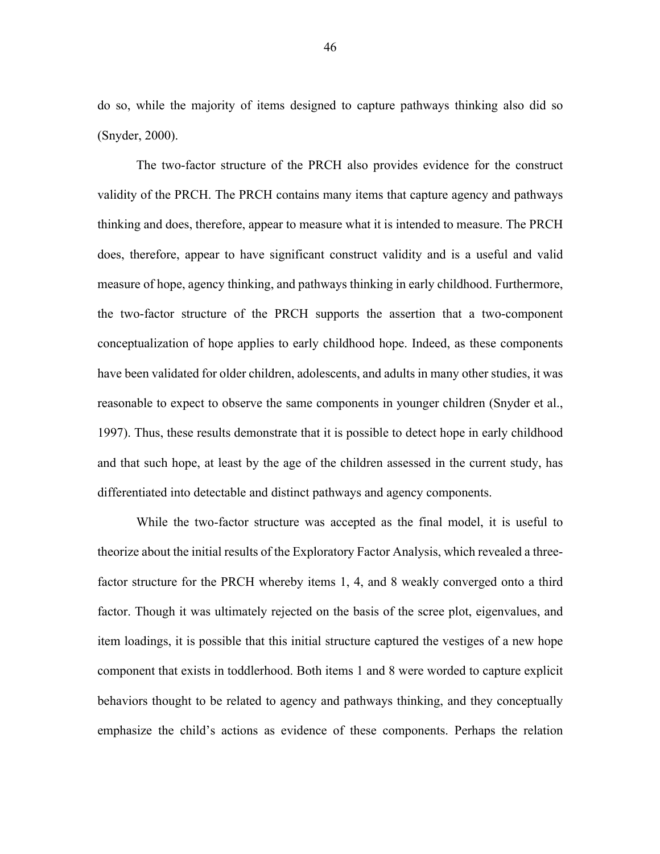do so, while the majority of items designed to capture pathways thinking also did so (Snyder, 2000).

The two-factor structure of the PRCH also provides evidence for the construct validity of the PRCH. The PRCH contains many items that capture agency and pathways thinking and does, therefore, appear to measure what it is intended to measure. The PRCH does, therefore, appear to have significant construct validity and is a useful and valid measure of hope, agency thinking, and pathways thinking in early childhood. Furthermore, the two-factor structure of the PRCH supports the assertion that a two-component conceptualization of hope applies to early childhood hope. Indeed, as these components have been validated for older children, adolescents, and adults in many other studies, it was reasonable to expect to observe the same components in younger children (Snyder et al., 1997). Thus, these results demonstrate that it is possible to detect hope in early childhood and that such hope, at least by the age of the children assessed in the current study, has differentiated into detectable and distinct pathways and agency components.

While the two-factor structure was accepted as the final model, it is useful to theorize about the initial results of the Exploratory Factor Analysis, which revealed a threefactor structure for the PRCH whereby items 1, 4, and 8 weakly converged onto a third factor. Though it was ultimately rejected on the basis of the scree plot, eigenvalues, and item loadings, it is possible that this initial structure captured the vestiges of a new hope component that exists in toddlerhood. Both items 1 and 8 were worded to capture explicit behaviors thought to be related to agency and pathways thinking, and they conceptually emphasize the child's actions as evidence of these components. Perhaps the relation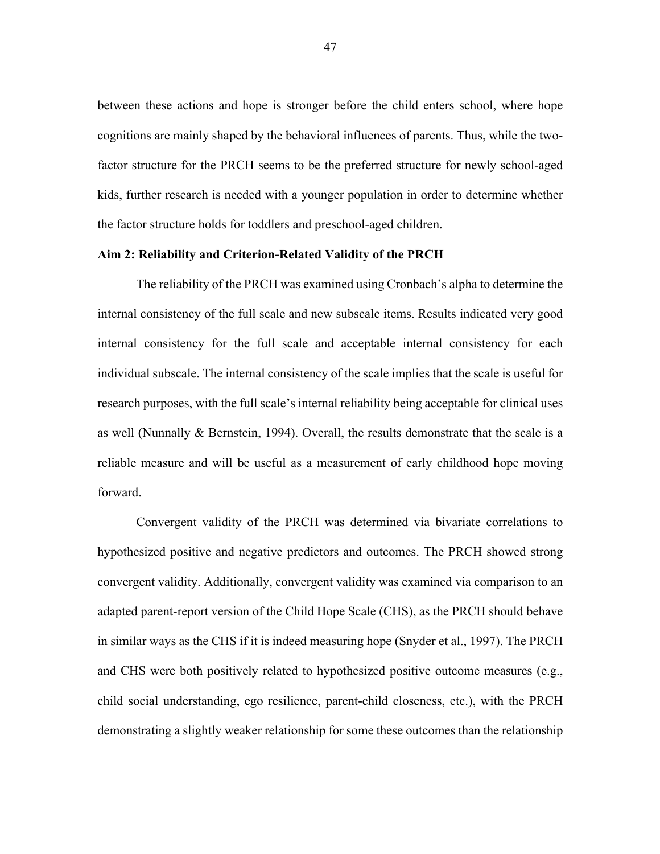between these actions and hope is stronger before the child enters school, where hope cognitions are mainly shaped by the behavioral influences of parents. Thus, while the twofactor structure for the PRCH seems to be the preferred structure for newly school-aged kids, further research is needed with a younger population in order to determine whether the factor structure holds for toddlers and preschool-aged children.

# **Aim 2: Reliability and Criterion-Related Validity of the PRCH**

The reliability of the PRCH was examined using Cronbach's alpha to determine the internal consistency of the full scale and new subscale items. Results indicated very good internal consistency for the full scale and acceptable internal consistency for each individual subscale. The internal consistency of the scale implies that the scale is useful for research purposes, with the full scale's internal reliability being acceptable for clinical uses as well (Nunnally & Bernstein, 1994). Overall, the results demonstrate that the scale is a reliable measure and will be useful as a measurement of early childhood hope moving forward.

Convergent validity of the PRCH was determined via bivariate correlations to hypothesized positive and negative predictors and outcomes. The PRCH showed strong convergent validity. Additionally, convergent validity was examined via comparison to an adapted parent-report version of the Child Hope Scale (CHS), as the PRCH should behave in similar ways as the CHS if it is indeed measuring hope (Snyder et al., 1997). The PRCH and CHS were both positively related to hypothesized positive outcome measures (e.g., child social understanding, ego resilience, parent-child closeness, etc.), with the PRCH demonstrating a slightly weaker relationship for some these outcomes than the relationship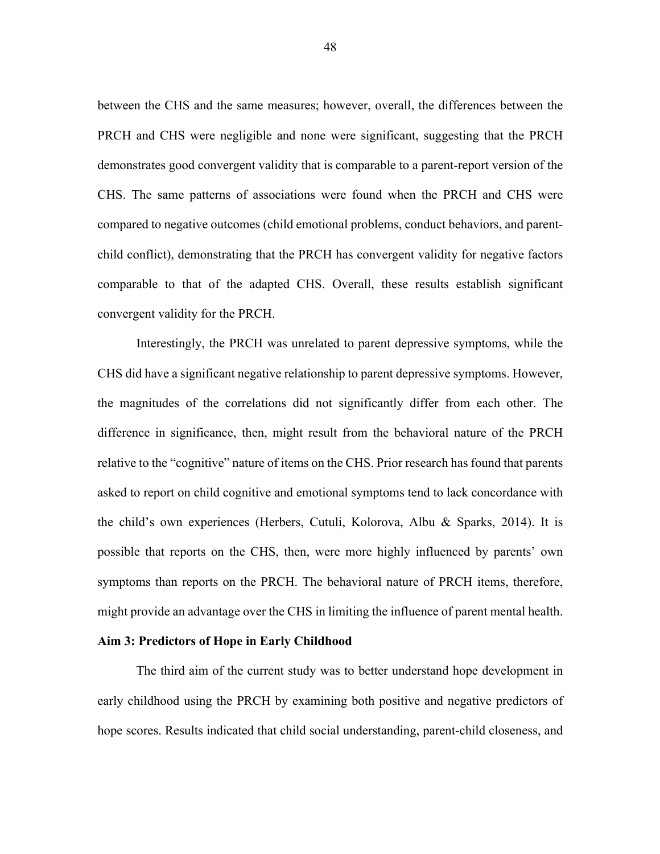between the CHS and the same measures; however, overall, the differences between the PRCH and CHS were negligible and none were significant, suggesting that the PRCH demonstrates good convergent validity that is comparable to a parent-report version of the CHS. The same patterns of associations were found when the PRCH and CHS were compared to negative outcomes (child emotional problems, conduct behaviors, and parentchild conflict), demonstrating that the PRCH has convergent validity for negative factors comparable to that of the adapted CHS. Overall, these results establish significant convergent validity for the PRCH.

Interestingly, the PRCH was unrelated to parent depressive symptoms, while the CHS did have a significant negative relationship to parent depressive symptoms. However, the magnitudes of the correlations did not significantly differ from each other. The difference in significance, then, might result from the behavioral nature of the PRCH relative to the "cognitive" nature of items on the CHS. Prior research has found that parents asked to report on child cognitive and emotional symptoms tend to lack concordance with the child's own experiences (Herbers, Cutuli, Kolorova, Albu & Sparks, 2014). It is possible that reports on the CHS, then, were more highly influenced by parents' own symptoms than reports on the PRCH. The behavioral nature of PRCH items, therefore, might provide an advantage over the CHS in limiting the influence of parent mental health.

## **Aim 3: Predictors of Hope in Early Childhood**

The third aim of the current study was to better understand hope development in early childhood using the PRCH by examining both positive and negative predictors of hope scores. Results indicated that child social understanding, parent-child closeness, and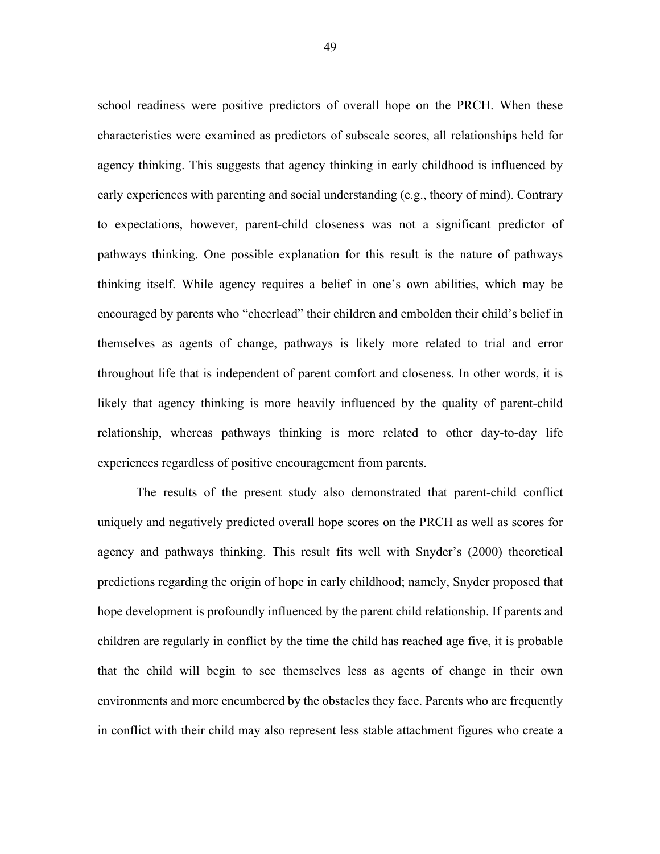school readiness were positive predictors of overall hope on the PRCH. When these characteristics were examined as predictors of subscale scores, all relationships held for agency thinking. This suggests that agency thinking in early childhood is influenced by early experiences with parenting and social understanding (e.g., theory of mind). Contrary to expectations, however, parent-child closeness was not a significant predictor of pathways thinking. One possible explanation for this result is the nature of pathways thinking itself. While agency requires a belief in one's own abilities, which may be encouraged by parents who "cheerlead" their children and embolden their child's belief in themselves as agents of change, pathways is likely more related to trial and error throughout life that is independent of parent comfort and closeness. In other words, it is likely that agency thinking is more heavily influenced by the quality of parent-child relationship, whereas pathways thinking is more related to other day-to-day life experiences regardless of positive encouragement from parents.

The results of the present study also demonstrated that parent-child conflict uniquely and negatively predicted overall hope scores on the PRCH as well as scores for agency and pathways thinking. This result fits well with Snyder's (2000) theoretical predictions regarding the origin of hope in early childhood; namely, Snyder proposed that hope development is profoundly influenced by the parent child relationship. If parents and children are regularly in conflict by the time the child has reached age five, it is probable that the child will begin to see themselves less as agents of change in their own environments and more encumbered by the obstacles they face. Parents who are frequently in conflict with their child may also represent less stable attachment figures who create a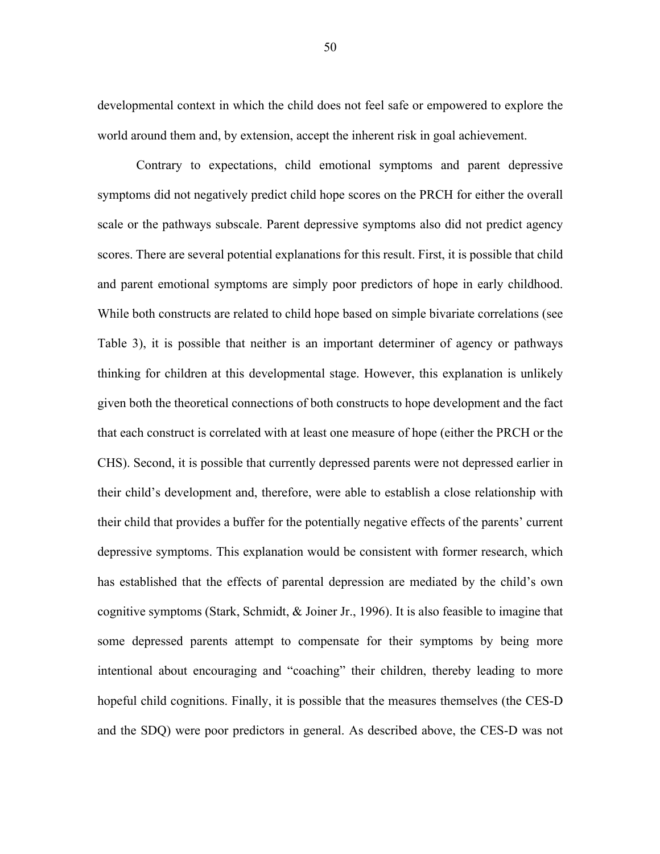developmental context in which the child does not feel safe or empowered to explore the world around them and, by extension, accept the inherent risk in goal achievement.

Contrary to expectations, child emotional symptoms and parent depressive symptoms did not negatively predict child hope scores on the PRCH for either the overall scale or the pathways subscale. Parent depressive symptoms also did not predict agency scores. There are several potential explanations for this result. First, it is possible that child and parent emotional symptoms are simply poor predictors of hope in early childhood. While both constructs are related to child hope based on simple bivariate correlations (see Table 3), it is possible that neither is an important determiner of agency or pathways thinking for children at this developmental stage. However, this explanation is unlikely given both the theoretical connections of both constructs to hope development and the fact that each construct is correlated with at least one measure of hope (either the PRCH or the CHS). Second, it is possible that currently depressed parents were not depressed earlier in their child's development and, therefore, were able to establish a close relationship with their child that provides a buffer for the potentially negative effects of the parents' current depressive symptoms. This explanation would be consistent with former research, which has established that the effects of parental depression are mediated by the child's own cognitive symptoms (Stark, Schmidt, & Joiner Jr., 1996). It is also feasible to imagine that some depressed parents attempt to compensate for their symptoms by being more intentional about encouraging and "coaching" their children, thereby leading to more hopeful child cognitions. Finally, it is possible that the measures themselves (the CES-D and the SDQ) were poor predictors in general. As described above, the CES-D was not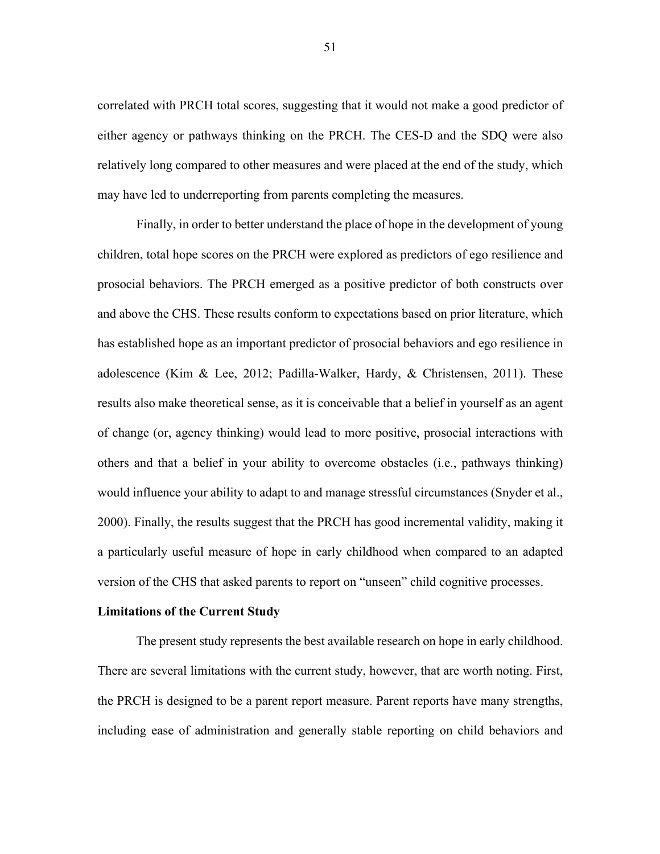correlated with PRCH total scores, suggesting that it would not make a good predictor of either agency or pathways thinking on the PRCH. The CES-D and the SDQ were also relatively long compared to other measures and were placed at the end of the study, which may have led to underreporting from parents completing the measures.

Finally, in order to better understand the place of hope in the development of young children, total hope scores on the PRCH were explored as predictors of ego resilience and prosocial behaviors. The PRCH emerged as a positive predictor of both constructs over and above the CHS. These results conform to expectations based on prior literature, which has established hope as an important predictor of prosocial behaviors and ego resilience in adolescence (Kim & Lee, 2012; Padilla-Walker, Hardy, & Christensen, 2011). These results also make theoretical sense, as it is conceivable that a belief in yourself as an agent of change (or, agency thinking) would lead to more positive, prosocial interactions with others and that a belief in your ability to overcome obstacles (i.e., pathways thinking) would influence your ability to adapt to and manage stressful circumstances (Snyder et al., 2000). Finally, the results suggest that the PRCH has good incremental validity, making it a particularly useful measure of hope in early childhood when compared to an adapted version of the CHS that asked parents to report on "unseen" child cognitive processes.

## **Limitations of the Current Study**

The present study represents the best available research on hope in early childhood. There are several limitations with the current study, however, that are worth noting. First, the PRCH is designed to be a parent report measure. Parent reports have many strengths, including ease of administration and generally stable reporting on child behaviors and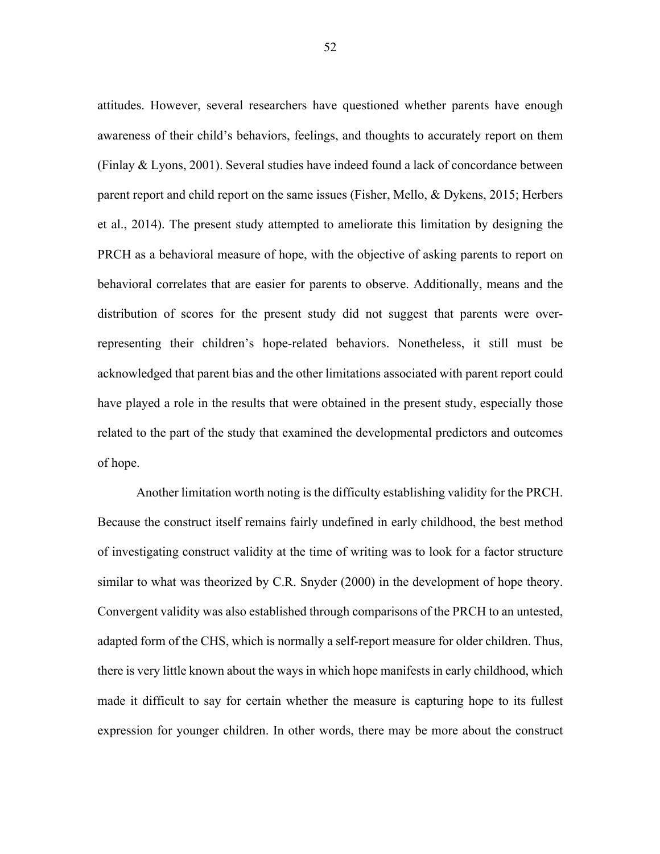attitudes. However, several researchers have questioned whether parents have enough awareness of their child's behaviors, feelings, and thoughts to accurately report on them (Finlay & Lyons, 2001). Several studies have indeed found a lack of concordance between parent report and child report on the same issues (Fisher, Mello, & Dykens, 2015; Herbers et al., 2014). The present study attempted to ameliorate this limitation by designing the PRCH as a behavioral measure of hope, with the objective of asking parents to report on behavioral correlates that are easier for parents to observe. Additionally, means and the distribution of scores for the present study did not suggest that parents were overrepresenting their children's hope-related behaviors. Nonetheless, it still must be acknowledged that parent bias and the other limitations associated with parent report could have played a role in the results that were obtained in the present study, especially those related to the part of the study that examined the developmental predictors and outcomes of hope.

Another limitation worth noting is the difficulty establishing validity for the PRCH. Because the construct itself remains fairly undefined in early childhood, the best method of investigating construct validity at the time of writing was to look for a factor structure similar to what was theorized by C.R. Snyder (2000) in the development of hope theory. Convergent validity was also established through comparisons of the PRCH to an untested, adapted form of the CHS, which is normally a self-report measure for older children. Thus, there is very little known about the ways in which hope manifests in early childhood, which made it difficult to say for certain whether the measure is capturing hope to its fullest expression for younger children. In other words, there may be more about the construct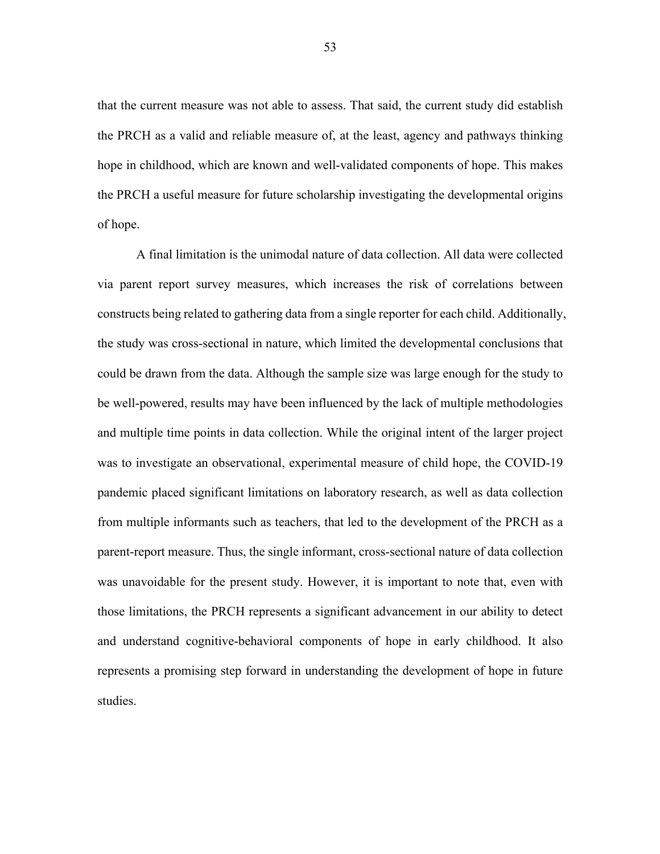that the current measure was not able to assess. That said, the current study did establish the PRCH as a valid and reliable measure of, at the least, agency and pathways thinking hope in childhood, which are known and well-validated components of hope. This makes the PRCH a useful measure for future scholarship investigating the developmental origins of hope.

A final limitation is the unimodal nature of data collection. All data were collected via parent report survey measures, which increases the risk of correlations between constructs being related to gathering data from a single reporter for each child. Additionally, the study was cross-sectional in nature, which limited the developmental conclusions that could be drawn from the data. Although the sample size was large enough for the study to be well-powered, results may have been influenced by the lack of multiple methodologies and multiple time points in data collection. While the original intent of the larger project was to investigate an observational, experimental measure of child hope, the COVID-19 pandemic placed significant limitations on laboratory research, as well as data collection from multiple informants such as teachers, that led to the development of the PRCH as a parent-report measure. Thus, the single informant, cross-sectional nature of data collection was unavoidable for the present study. However, it is important to note that, even with those limitations, the PRCH represents a significant advancement in our ability to detect and understand cognitive-behavioral components of hope in early childhood. It also represents a promising step forward in understanding the development of hope in future studies.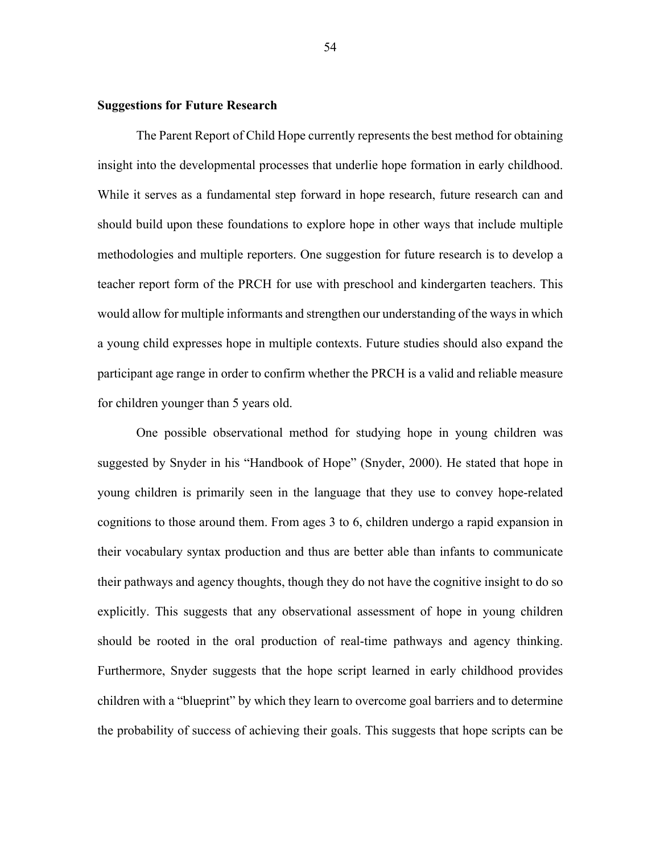# **Suggestions for Future Research**

The Parent Report of Child Hope currently represents the best method for obtaining insight into the developmental processes that underlie hope formation in early childhood. While it serves as a fundamental step forward in hope research, future research can and should build upon these foundations to explore hope in other ways that include multiple methodologies and multiple reporters. One suggestion for future research is to develop a teacher report form of the PRCH for use with preschool and kindergarten teachers. This would allow for multiple informants and strengthen our understanding of the ways in which a young child expresses hope in multiple contexts. Future studies should also expand the participant age range in order to confirm whether the PRCH is a valid and reliable measure for children younger than 5 years old.

One possible observational method for studying hope in young children was suggested by Snyder in his "Handbook of Hope" (Snyder, 2000). He stated that hope in young children is primarily seen in the language that they use to convey hope-related cognitions to those around them. From ages 3 to 6, children undergo a rapid expansion in their vocabulary syntax production and thus are better able than infants to communicate their pathways and agency thoughts, though they do not have the cognitive insight to do so explicitly. This suggests that any observational assessment of hope in young children should be rooted in the oral production of real-time pathways and agency thinking. Furthermore, Snyder suggests that the hope script learned in early childhood provides children with a "blueprint" by which they learn to overcome goal barriers and to determine the probability of success of achieving their goals. This suggests that hope scripts can be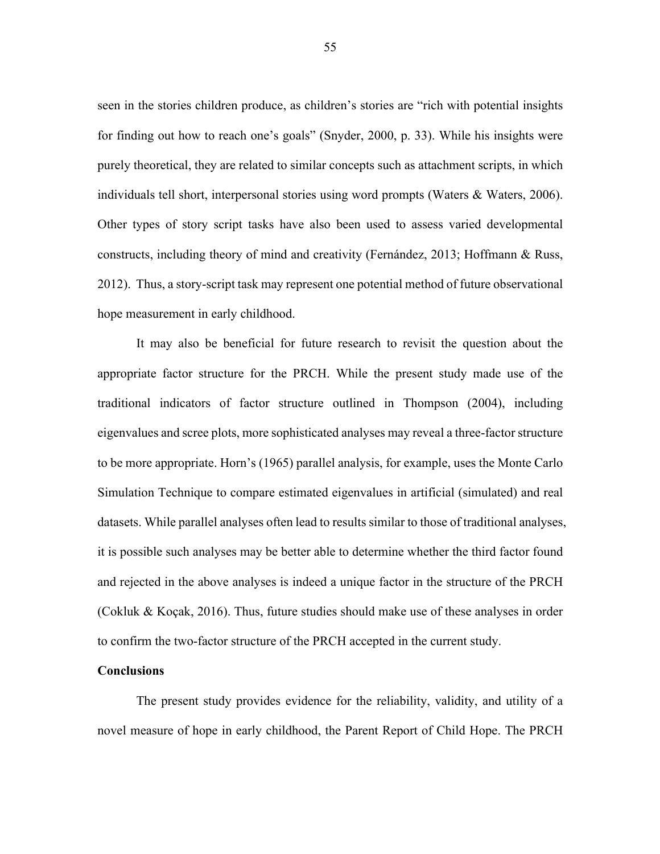seen in the stories children produce, as children's stories are "rich with potential insights for finding out how to reach one's goals" (Snyder, 2000, p. 33). While his insights were purely theoretical, they are related to similar concepts such as attachment scripts, in which individuals tell short, interpersonal stories using word prompts (Waters & Waters, 2006). Other types of story script tasks have also been used to assess varied developmental constructs, including theory of mind and creativity (Fernández, 2013; Hoffmann & Russ, 2012). Thus, a story-script task may represent one potential method of future observational hope measurement in early childhood.

It may also be beneficial for future research to revisit the question about the appropriate factor structure for the PRCH. While the present study made use of the traditional indicators of factor structure outlined in Thompson (2004), including eigenvalues and scree plots, more sophisticated analyses may reveal a three-factor structure to be more appropriate. Horn's (1965) parallel analysis, for example, uses the Monte Carlo Simulation Technique to compare estimated eigenvalues in artificial (simulated) and real datasets. While parallel analyses often lead to results similar to those of traditional analyses, it is possible such analyses may be better able to determine whether the third factor found and rejected in the above analyses is indeed a unique factor in the structure of the PRCH (Cokluk & Koçak, 2016). Thus, future studies should make use of these analyses in order to confirm the two-factor structure of the PRCH accepted in the current study.

## **Conclusions**

The present study provides evidence for the reliability, validity, and utility of a novel measure of hope in early childhood, the Parent Report of Child Hope. The PRCH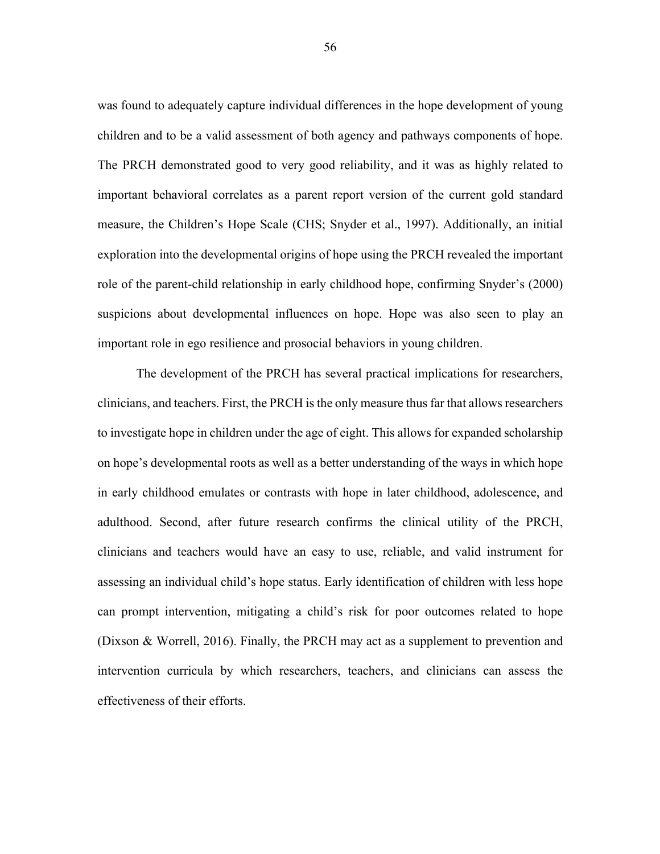was found to adequately capture individual differences in the hope development of young children and to be a valid assessment of both agency and pathways components of hope. The PRCH demonstrated good to very good reliability, and it was as highly related to important behavioral correlates as a parent report version of the current gold standard measure, the Children's Hope Scale (CHS; Snyder et al., 1997). Additionally, an initial exploration into the developmental origins of hope using the PRCH revealed the important role of the parent-child relationship in early childhood hope, confirming Snyder's (2000) suspicions about developmental influences on hope. Hope was also seen to play an important role in ego resilience and prosocial behaviors in young children.

The development of the PRCH has several practical implications for researchers, clinicians, and teachers. First, the PRCH is the only measure thus far that allowsresearchers to investigate hope in children under the age of eight. This allows for expanded scholarship on hope's developmental roots as well as a better understanding of the ways in which hope in early childhood emulates or contrasts with hope in later childhood, adolescence, and adulthood. Second, after future research confirms the clinical utility of the PRCH, clinicians and teachers would have an easy to use, reliable, and valid instrument for assessing an individual child's hope status. Early identification of children with less hope can prompt intervention, mitigating a child's risk for poor outcomes related to hope (Dixson & Worrell, 2016). Finally, the PRCH may act as a supplement to prevention and intervention curricula by which researchers, teachers, and clinicians can assess the effectiveness of their efforts.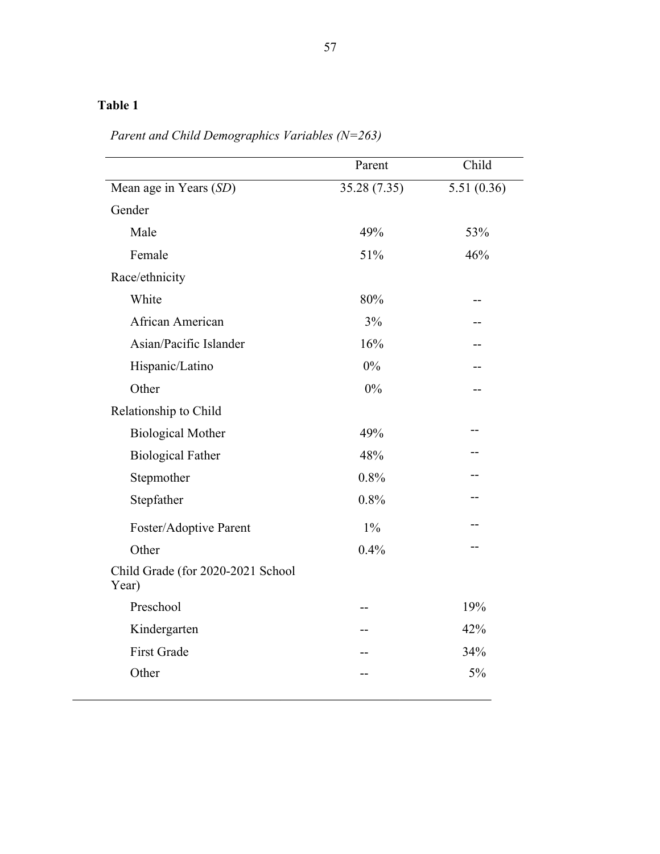|                                            | Parent       | Child      |
|--------------------------------------------|--------------|------------|
| Mean age in Years (SD)                     | 35.28 (7.35) | 5.51(0.36) |
| Gender                                     |              |            |
| Male                                       | 49%          | 53%        |
| Female                                     | 51%          | 46%        |
| Race/ethnicity                             |              |            |
| White                                      | 80%          |            |
| African American                           | 3%           |            |
| Asian/Pacific Islander                     | 16%          |            |
| Hispanic/Latino                            | 0%           |            |
| Other                                      | 0%           |            |
| Relationship to Child                      |              |            |
| <b>Biological Mother</b>                   | 49%          |            |
| <b>Biological Father</b>                   | 48%          |            |
| Stepmother                                 | 0.8%         |            |
| Stepfather                                 | 0.8%         |            |
| Foster/Adoptive Parent                     | $1\%$        |            |
| Other                                      | 0.4%         | --         |
| Child Grade (for 2020-2021 School<br>Year) |              |            |
| Preschool                                  |              | 19%        |
| Kindergarten                               |              | 42%        |
| <b>First Grade</b>                         |              | 34%        |
| Other                                      |              | 5%         |

*Parent and Child Demographics Variables (N=263)*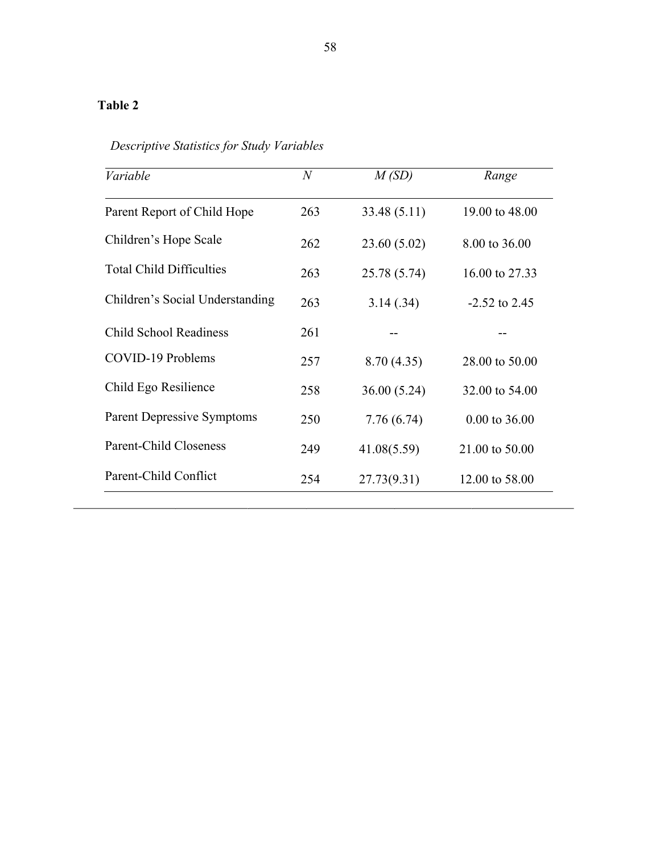| Variable                          | $\mathcal N$ | M(SD)        | Range           |
|-----------------------------------|--------------|--------------|-----------------|
| Parent Report of Child Hope       | 263          | 33.48 (5.11) | 19.00 to 48.00  |
| Children's Hope Scale             | 262          | 23.60 (5.02) | 8.00 to 36.00   |
| <b>Total Child Difficulties</b>   | 263          | 25.78 (5.74) | 16.00 to 27.33  |
| Children's Social Understanding   | 263          | 3.14(.34)    | $-2.52$ to 2.45 |
| <b>Child School Readiness</b>     | 261          |              |                 |
| COVID-19 Problems                 | 257          | 8.70(4.35)   | 28.00 to 50.00  |
| Child Ego Resilience              | 258          | 36.00(5.24)  | 32.00 to 54.00  |
| <b>Parent Depressive Symptoms</b> | 250          | 7.76(6.74)   | 0.00 to 36.00   |
| <b>Parent-Child Closeness</b>     | 249          | 41.08(5.59)  | 21.00 to 50.00  |
| Parent-Child Conflict             | 254          | 27.73(9.31)  | 12.00 to 58.00  |

*Descriptive Statistics for Study Variables*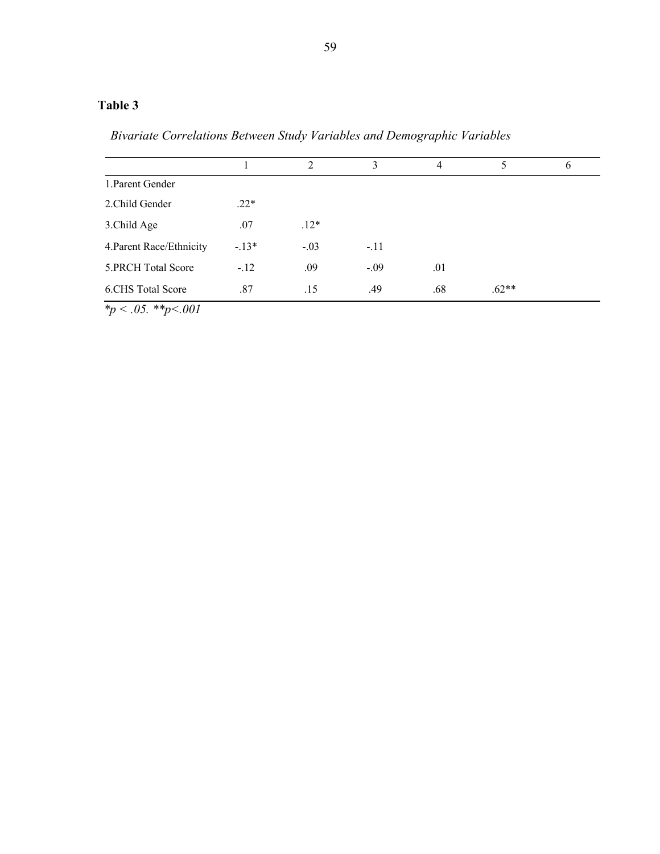*Bivariate Correlations Between Study Variables and Demographic Variables*

|                            |        | $\mathfrak{D}$ | 3      | 4   | 5       | 6 |
|----------------------------|--------|----------------|--------|-----|---------|---|
| 1. Parent Gender           |        |                |        |     |         |   |
| 2. Child Gender            | $.22*$ |                |        |     |         |   |
| 3. Child Age               | .07    | $.12*$         |        |     |         |   |
| 4. Parent Race/Ethnicity   | $-13*$ | $-.03$         | $-.11$ |     |         |   |
| 5. PRCH Total Score        | $-.12$ | .09            | $-.09$ | .01 |         |   |
| 6.CHS Total Score          | .87    | .15            | .49    | .68 | $.62**$ |   |
| $*_p$ .<br>$.05.$ **p<.001 |        |                |        |     |         |   |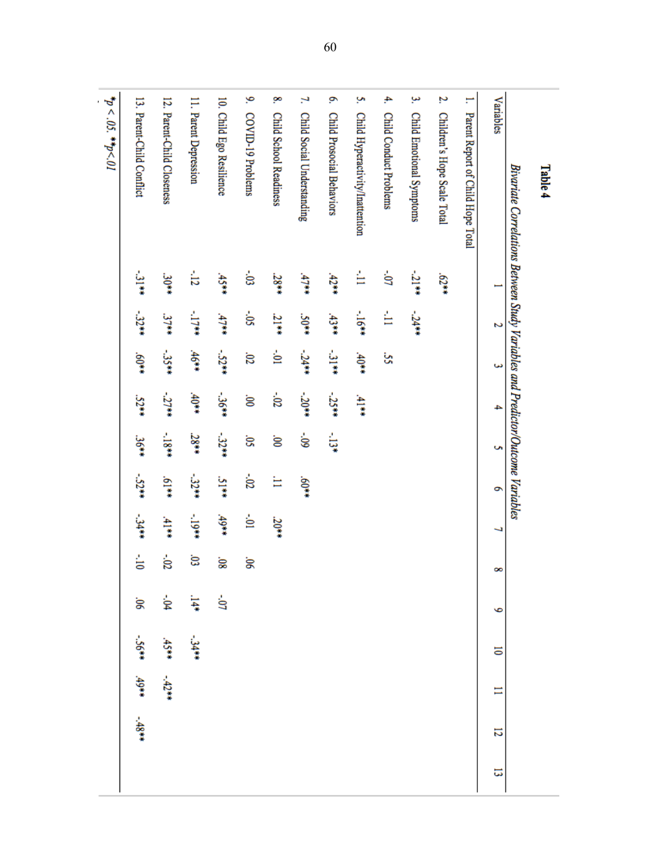| Table 4                                                                        |                |         |         |         |         |              |         |                |            |         |         |         |   |
|--------------------------------------------------------------------------------|----------------|---------|---------|---------|---------|--------------|---------|----------------|------------|---------|---------|---------|---|
| Bivariate Correlations Between Study Variables and Predictor/Outcome Variables |                |         |         |         |         |              |         |                |            |         |         |         |   |
| Variables                                                                      | Η              | 2       | ω       | 4       | S       | G            | ب       | œ              | P          | 5       | Ξ       | 12      | 5 |
| H<br>Parent Report of Child Hope Total                                         |                |         |         |         |         |              |         |                |            |         |         |         |   |
| N.<br>Children's Hope Scale Total                                              | $23*79$        |         |         |         |         |              |         |                |            |         |         |         |   |
| یبا<br>Child Emotional Symptoms                                                | $-21**$        | $-24**$ |         |         |         |              |         |                |            |         |         |         |   |
| 4,<br><b>Child Conduct Problems</b>                                            | $\sim 0$       | Ė       | š       |         |         |              |         |                |            |         |         |         |   |
| Š,<br>Child Hyperactivity/Inattention                                          | È              | $-16**$ | $40**$  | 4144    |         |              |         |                |            |         |         |         |   |
| ō.<br>Child Prosocial Behaviors                                                | $42**$         | $43**$  | $-31**$ | $-25**$ | ្បូរ    |              |         |                |            |         |         |         |   |
| 2<br>Child Social Understanding                                                | 47             | $50**$  | $-24**$ | $-20**$ | ś.      | $*09"$       |         |                |            |         |         |         |   |
| œ,<br><b>Child School Readiness</b>                                            | $38**$         | $21**$  | έ       | $-02$   | ġ       | ₩            | .20**   |                |            |         |         |         |   |
| 9.<br>COVID-19 Problems                                                        | ່ອ             | ś.      | .02     | ġ       | Ŝ.      | $30^{\circ}$ | ģ       | 90°            |            |         |         |         |   |
| 10. Child Ego Resilience                                                       | $45**$         | 47      | $-52**$ | $-36**$ | $-32**$ | 5144         | $49**$  | 30             | $-07$      |         |         |         |   |
| 11. Parent Depression                                                          | $\frac{1}{12}$ | $-1744$ | $46**$  | $40**$  | .28**   | $-32**$      | $-19**$ | Ġ,             | $14*$      | -34##   |         |         |   |
| 12. Parent-Child Closeness                                                     | $30**$         | 37**    | $-35**$ | $-27**$ | $-1844$ | $*19$        | 4144    | $-02$          | -,04       | $45**$  | $-42**$ |         |   |
| 13. Parent-Child Conflict                                                      | نا<br>پند      | $-3244$ | $*409$  | .52**   | 36**    | $-52**$      | -34**   | $\frac{1}{10}$ | $90^\circ$ | $-56**$ | $49**$  | $-48**$ |   |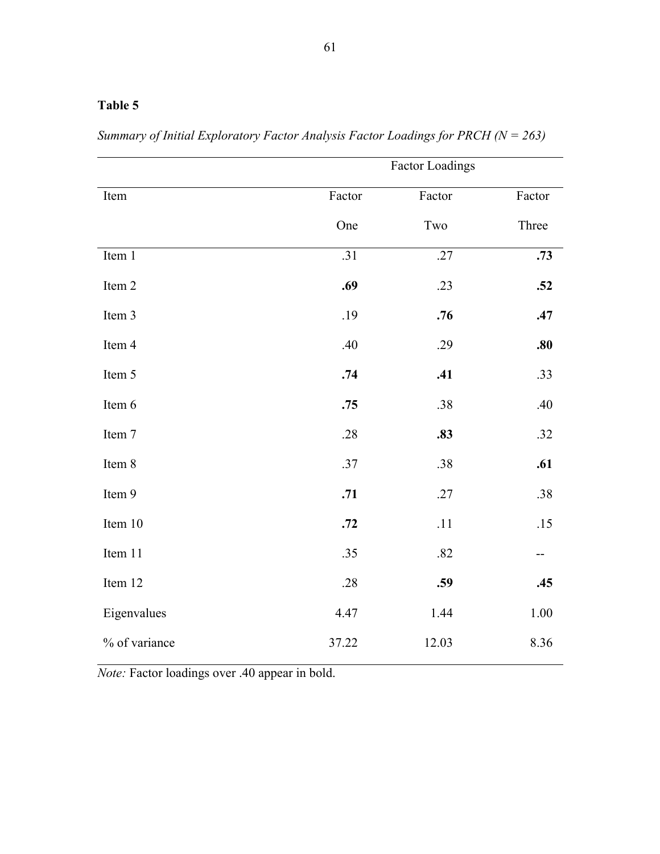*Summary of Initial Exploratory Factor Analysis Factor Loadings for PRCH (N = 263)*

|               |        | <b>Factor Loadings</b> |          |
|---------------|--------|------------------------|----------|
| Item          | Factor | Factor                 | Factor   |
|               | One    | Two                    | Three    |
| Item 1        | .31    | .27                    | .73      |
| Item 2        | .69    | .23                    | .52      |
| Item 3        | .19    | .76                    | .47      |
| Item 4        | .40    | .29                    | .80      |
| Item 5        | .74    | .41                    | .33      |
| Item 6        | .75    | .38                    | .40      |
| Item 7        | .28    | .83                    | .32      |
| Item 8        | .37    | .38                    | .61      |
| Item 9        | .71    | .27                    | .38      |
| Item 10       | .72    | $.11\,$                | .15      |
| Item 11       | .35    | .82                    | --       |
| Item 12       | .28    | .59                    | .45      |
| Eigenvalues   | 4.47   | 1.44                   | $1.00\,$ |
| % of variance | 37.22  | 12.03                  | 8.36     |

*Note:* Factor loadings over .40 appear in bold.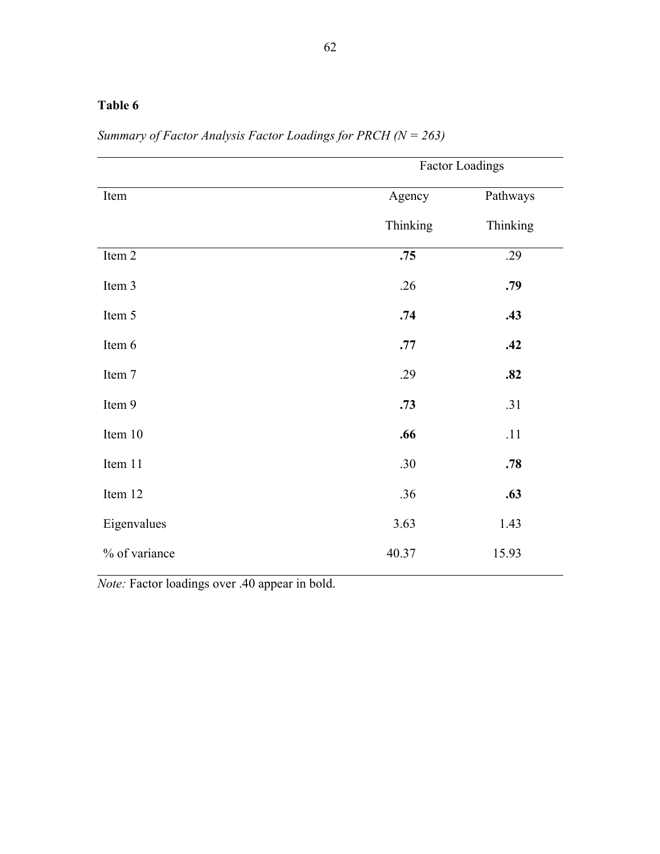| 62 |  |
|----|--|
|    |  |
|    |  |
|    |  |

|               |          | Factor Loadings |
|---------------|----------|-----------------|
| Item          | Agency   | Pathways        |
|               | Thinking | Thinking        |
| Item 2        | .75      | .29             |
| Item 3        | .26      | .79             |
| Item 5        | .74      | .43             |
| Item 6        | .77      | .42             |
| Item 7        | .29      | .82             |
| Item 9        | .73      | .31             |
| Item 10       | .66      | .11             |
| Item 11       | .30      | .78             |
| Item 12       | .36      | .63             |
| Eigenvalues   | 3.63     | 1.43            |
| % of variance | 40.37    | 15.93           |

*Summary of Factor Analysis Factor Loadings for PRCH (N = 263)*

*Note:* Factor loadings over .40 appear in bold.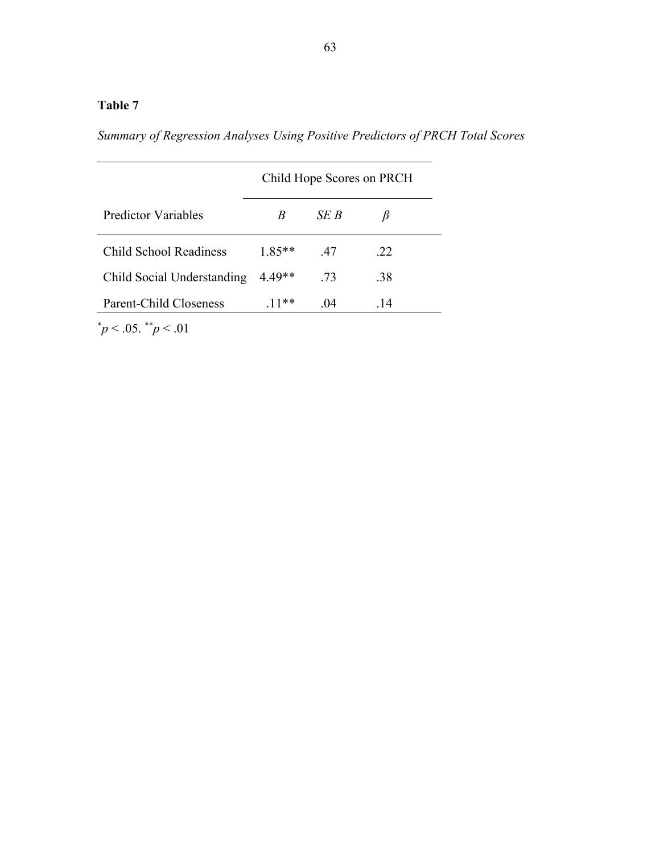*Summary of Regression Analyses Using Positive Predictors of PRCH Total Scores*

|                            |          |      | Child Hope Scores on PRCH |  |
|----------------------------|----------|------|---------------------------|--|
| Predictor Variables        | R        | SE B |                           |  |
| Child School Readiness     | $1.85**$ | .47  | .22                       |  |
| Child Social Understanding | $4.49**$ | .73  | .38                       |  |
| Parent-Child Closeness     | $11**$   | .04  | .14                       |  |

 $\frac{*}{p}$  < .05.  $\frac{*}{p}$  < .01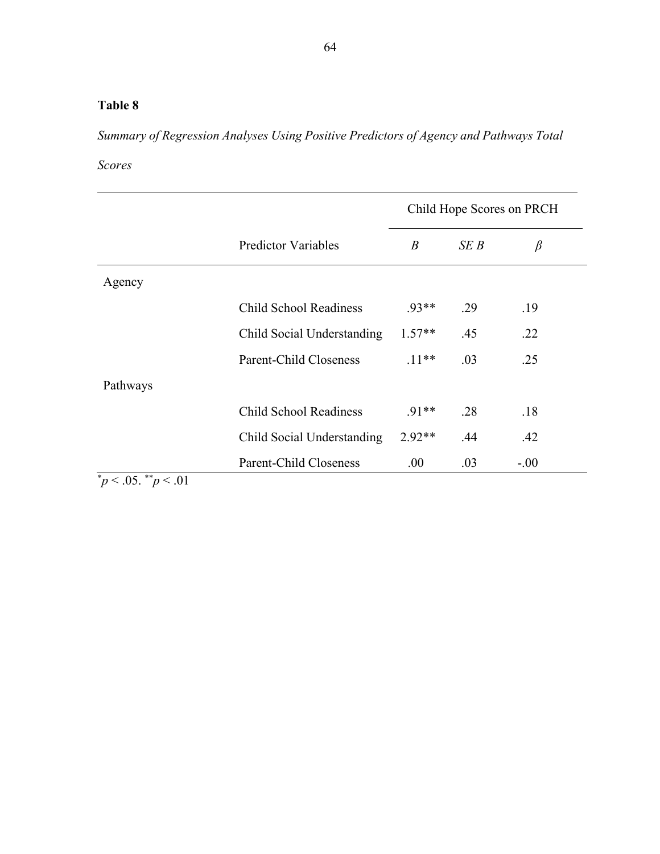*Summary of Regression Analyses Using Positive Predictors of Agency and Pathways Total* 

*Scores*

|          |                            |                  |      | Child Hope Scores on PRCH |
|----------|----------------------------|------------------|------|---------------------------|
|          | <b>Predictor Variables</b> | $\boldsymbol{B}$ | SE B | $\beta$                   |
| Agency   |                            |                  |      |                           |
|          | Child School Readiness     | $.93**$          | .29  | .19                       |
|          | Child Social Understanding | $1.57**$         | .45  | .22                       |
|          | Parent-Child Closeness     | $.11**$          | .03  | .25                       |
| Pathways |                            |                  |      |                           |
|          | Child School Readiness     | $.91**$          | .28  | .18                       |
|          | Child Social Understanding | $2.92**$         | .44  | .42                       |
|          | Parent-Child Closeness     | .00.             | .03  | $-.00$                    |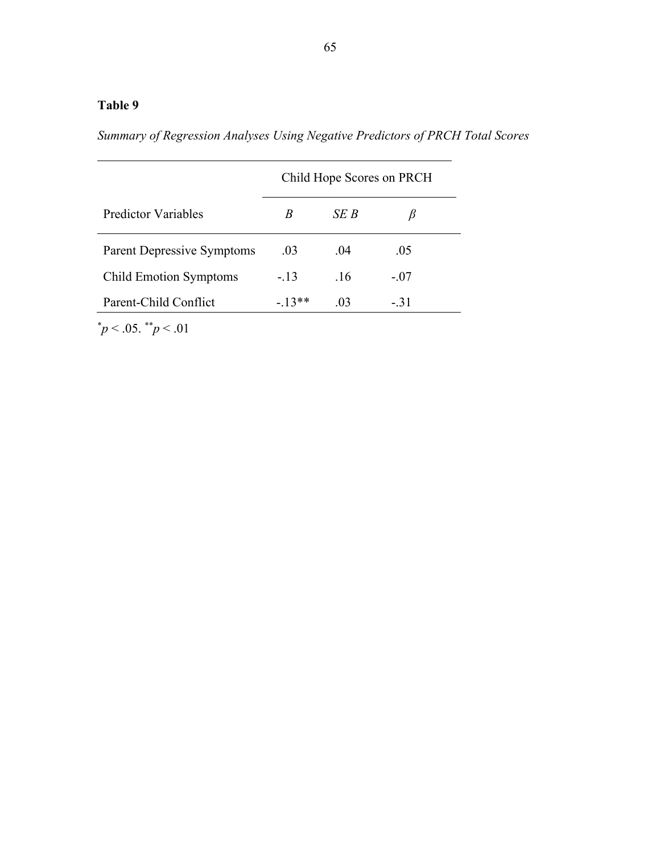# **Table 9**

*Summary of Regression Analyses Using Negative Predictors of PRCH Total Scores*

|                                   | Child Hope Scores on PRCH |      |        |  |  |  |
|-----------------------------------|---------------------------|------|--------|--|--|--|
| Predictor Variables               | B                         | SE B |        |  |  |  |
| <b>Parent Depressive Symptoms</b> | .03                       | .04  | .05    |  |  |  |
| <b>Child Emotion Symptoms</b>     | $-.13$                    | .16  | $-.07$ |  |  |  |
| Parent-Child Conflict             | $-13**$                   | .03  | $-.31$ |  |  |  |

 $\frac{*}{p}$  < .05.  $\frac{*}{p}$  < .01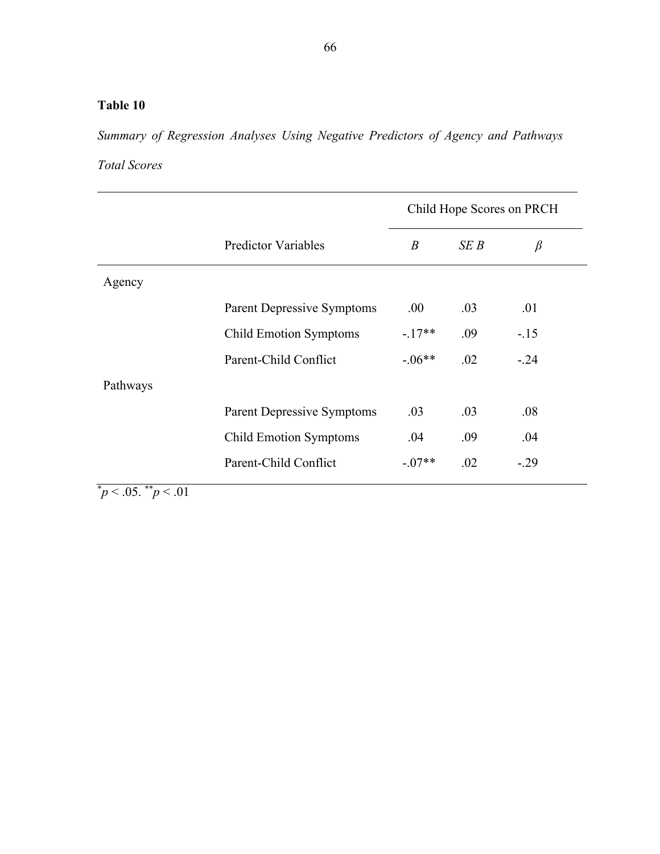# **Table 10**

*Summary of Regression Analyses Using Negative Predictors of Agency and Pathways* 

*Total Scores*

|          |                                   | Child Hope Scores on PRCH |      |         |
|----------|-----------------------------------|---------------------------|------|---------|
|          | <b>Predictor Variables</b>        | $\boldsymbol{B}$          | SE B | $\beta$ |
| Agency   |                                   |                           |      |         |
|          | <b>Parent Depressive Symptoms</b> | .00.                      | .03  | .01     |
|          | <b>Child Emotion Symptoms</b>     | $-.17**$                  | .09  | $-.15$  |
|          | Parent-Child Conflict             | $-.06**$                  | .02  | $-.24$  |
| Pathways |                                   |                           |      |         |
|          | <b>Parent Depressive Symptoms</b> | .03                       | .03  | .08     |
|          | <b>Child Emotion Symptoms</b>     | .04                       | .09  | .04     |
|          | Parent-Child Conflict             | $-.07**$                  | .02  | $-.29$  |
|          |                                   |                           |      |         |

 $\mu$ <sup>\*</sup> $p$  < .05.  $\mu$ <sup>\*</sup> $p$  < .01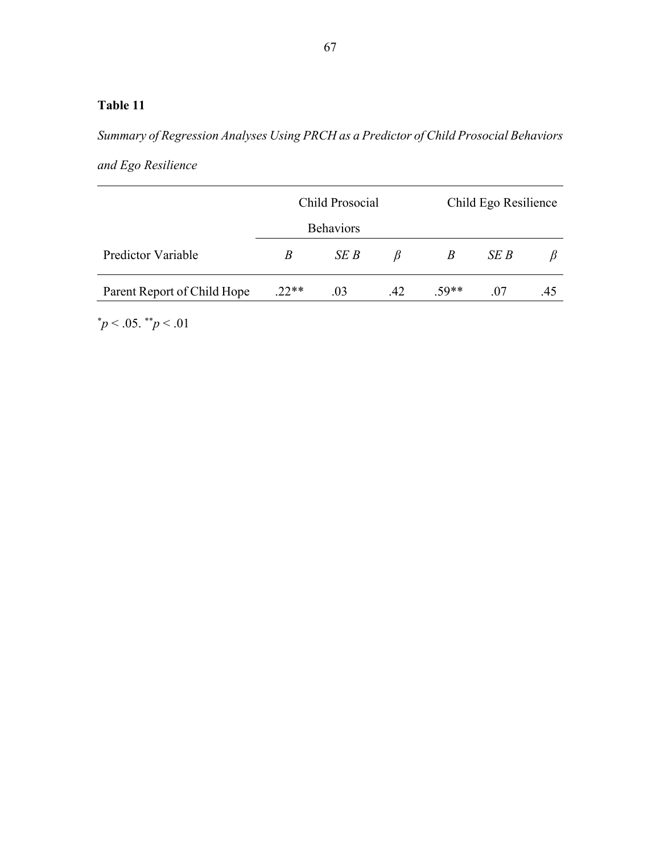# **Table 11**

*Summary of Regression Analyses Using PRCH as a Predictor of Child Prosocial Behaviors* 

*and Ego Resilience*

|                             |         | Child Prosocial  |     | Child Ego Resilience |      |     |
|-----------------------------|---------|------------------|-----|----------------------|------|-----|
|                             |         | <b>Behaviors</b> |     |                      |      |     |
| Predictor Variable          | B       | SE B             | В   | B                    | SE B |     |
| Parent Report of Child Hope | $.22**$ | .03              | .42 | $.59**$              | .07  | .45 |

 $\mu$ <sup>\*</sup> $p$  < .05.  $\mu$ <sup>\*</sup> $p$  < .01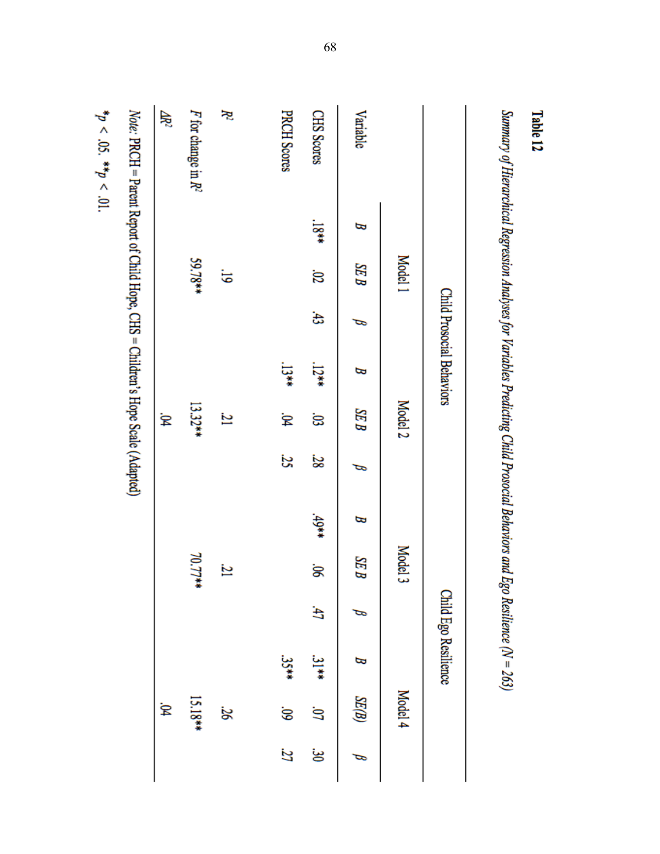| <b>Table 12</b>                                                                                                               |           |                     |            |                           |                    |    |        |                 |   |                      |         |    |
|-------------------------------------------------------------------------------------------------------------------------------|-----------|---------------------|------------|---------------------------|--------------------|----|--------|-----------------|---|----------------------|---------|----|
| Summary of Hierarchical Regression Analyses for Variables Predicting Child Prosocial Behaviors and Ego Resilience $(N = 263)$ |           |                     |            |                           |                    |    |        |                 |   |                      |         |    |
|                                                                                                                               |           |                     |            | Child Prosocial Behaviors |                    |    |        |                 |   | Child Ego Resilience |         |    |
|                                                                                                                               |           | Model 1             |            |                           | Model <sub>2</sub> |    |        | Model 3         |   |                      | Model 4 |    |
| Variable                                                                                                                      | B         | <b>SEB</b>          | P          | B                         | SEB                | ರ  | В      | $\overline{SB}$ | ⇨ | B                    | SE(B)   | P  |
| CHS Scores                                                                                                                    | $^{18**}$ | $\overline{\omega}$ | $\ddot{3}$ | $12**$                    | ີຣ                 | 28 | $49**$ | ġ.              | £ | $\frac{31}{4}$       | S       | ఴ  |
| <b>PRCH Scores</b>                                                                                                            |           |                     |            | $\frac{13}{2}$            | .<br>B4            | 25 |        |                 |   | $35**$               | 60'     | 27 |
| Ķ                                                                                                                             |           | 5                   |            |                           | 21                 |    |        | 21              |   |                      | 26      |    |
| F for change in $R^2$                                                                                                         |           | 59.78**             |            |                           | $13.32**$          |    |        | 70.77**         |   |                      | 15.18** |    |
| Æ                                                                                                                             |           |                     |            |                           | β,                 |    |        |                 |   |                      | ₿,      |    |
| Note: PRCH = Parent Report of Child Hope, CHS = Children's Hope Scale (Adapted)                                               |           |                     |            |                           |                    |    |        |                 |   |                      |         |    |
| ** / DC *** / 11                                                                                                              |           |                     |            |                           |                    |    |        |                 |   |                      |         |    |

 $p < 0.05$ . **\*\***  $p < 0.01$ .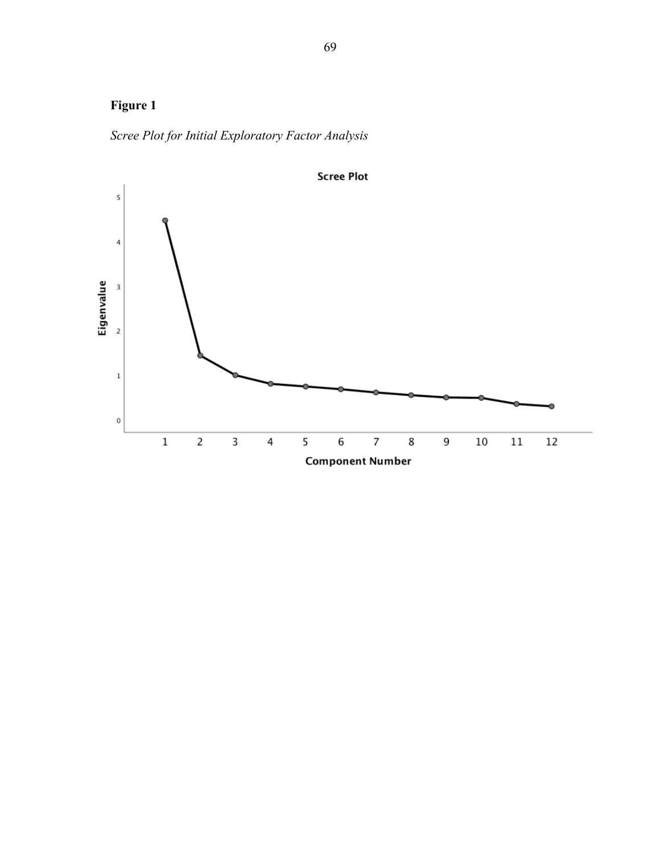# **Figure 1**

*Scree Plot for Initial Exploratory Factor Analysis* 

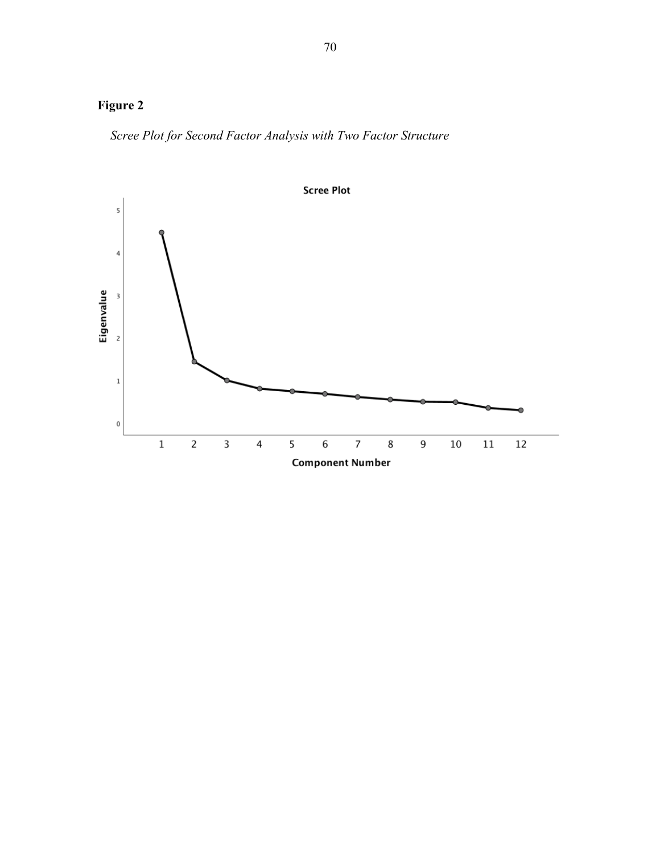# **Figure 2**

*Scree Plot for Second Factor Analysis with Two Factor Structure*

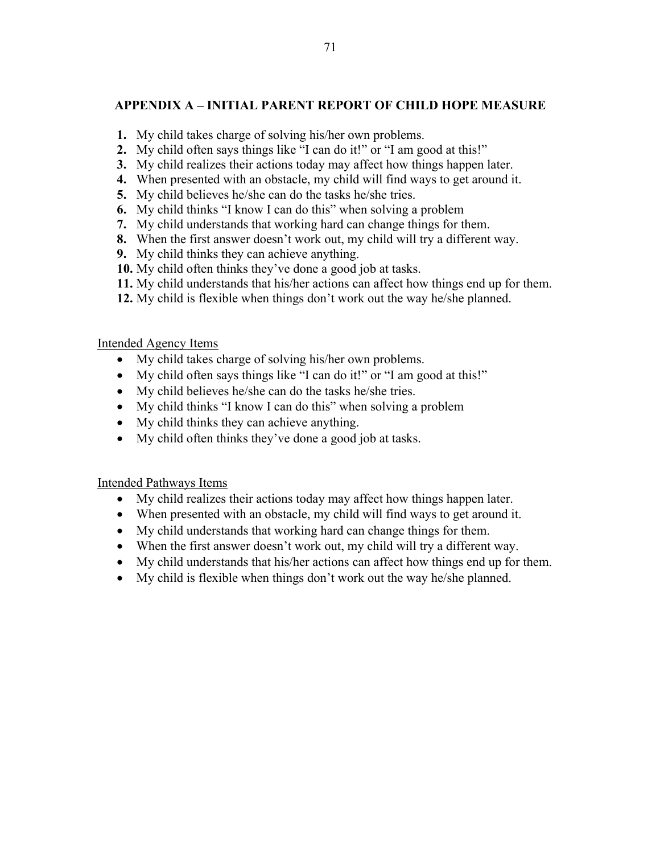## **APPENDIX A – INITIAL PARENT REPORT OF CHILD HOPE MEASURE**

- **1.** My child takes charge of solving his/her own problems.
- **2.** My child often says things like "I can do it!" or "I am good at this!"
- **3.** My child realizes their actions today may affect how things happen later.
- **4.** When presented with an obstacle, my child will find ways to get around it.
- **5.** My child believes he/she can do the tasks he/she tries.
- **6.** My child thinks "I know I can do this" when solving a problem
- **7.** My child understands that working hard can change things for them.
- **8.** When the first answer doesn't work out, my child will try a different way.
- **9.** My child thinks they can achieve anything.
- **10.** My child often thinks they've done a good job at tasks.
- **11.** My child understands that his/her actions can affect how things end up for them.
- **12.** My child is flexible when things don't work out the way he/she planned.

## Intended Agency Items

- My child takes charge of solving his/her own problems.
- My child often says things like "I can do it!" or "I am good at this!"
- My child believes he/she can do the tasks he/she tries.
- My child thinks "I know I can do this" when solving a problem
- My child thinks they can achieve anything.
- My child often thinks they've done a good job at tasks.

## Intended Pathways Items

- My child realizes their actions today may affect how things happen later.
- When presented with an obstacle, my child will find ways to get around it.
- My child understands that working hard can change things for them.
- When the first answer doesn't work out, my child will try a different way.
- My child understands that his/her actions can affect how things end up for them.
- My child is flexible when things don't work out the way he/she planned.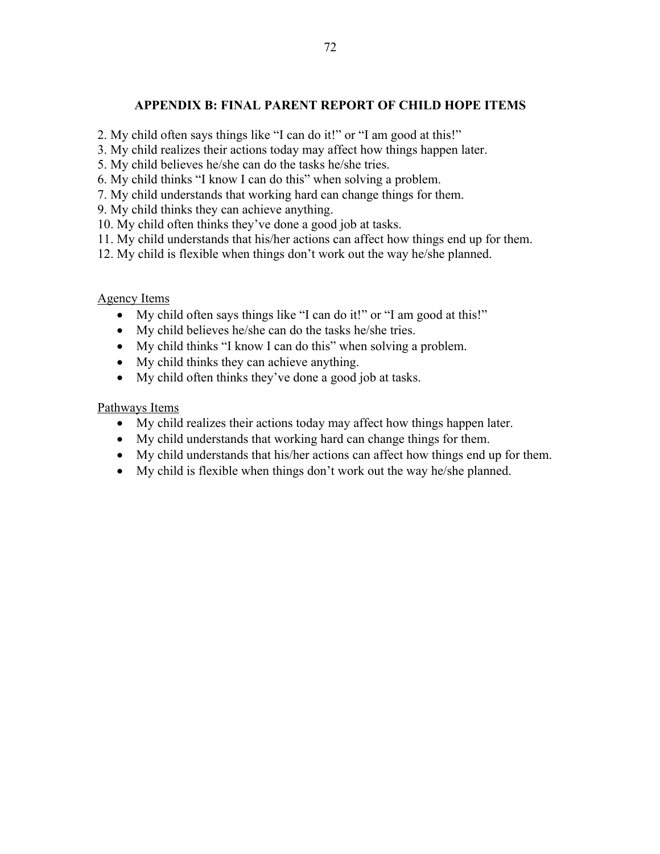## **APPENDIX B: FINAL PARENT REPORT OF CHILD HOPE ITEMS**

- 2. My child often says things like "I can do it!" or "I am good at this!"
- 3. My child realizes their actions today may affect how things happen later.
- 5. My child believes he/she can do the tasks he/she tries.
- 6. My child thinks "I know I can do this" when solving a problem.
- 7. My child understands that working hard can change things for them.
- 9. My child thinks they can achieve anything.
- 10. My child often thinks they've done a good job at tasks.
- 11. My child understands that his/her actions can affect how things end up for them.
- 12. My child is flexible when things don't work out the way he/she planned.

## Agency Items

- My child often says things like "I can do it!" or "I am good at this!"
- My child believes he/she can do the tasks he/she tries.
- My child thinks "I know I can do this" when solving a problem.
- My child thinks they can achieve anything.
- My child often thinks they've done a good job at tasks.

## Pathways Items

- My child realizes their actions today may affect how things happen later.
- My child understands that working hard can change things for them.
- My child understands that his/her actions can affect how things end up for them.
- My child is flexible when things don't work out the way he/she planned.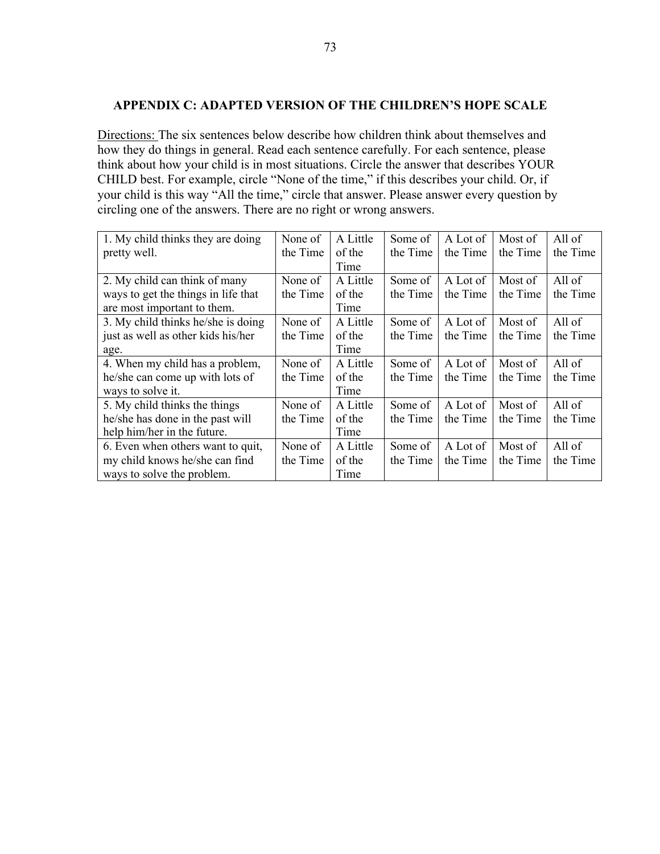#### **APPENDIX C: ADAPTED VERSION OF THE CHILDREN'S HOPE SCALE**

Directions: The six sentences below describe how children think about themselves and how they do things in general. Read each sentence carefully. For each sentence, please think about how your child is in most situations. Circle the answer that describes YOUR CHILD best. For example, circle "None of the time," if this describes your child. Or, if your child is this way "All the time," circle that answer. Please answer every question by circling one of the answers. There are no right or wrong answers.

| 1. My child thinks they are doing   | None of  | A Little | Some of  | A Lot of | Most of  | All of   |
|-------------------------------------|----------|----------|----------|----------|----------|----------|
| pretty well.                        | the Time | of the   | the Time | the Time | the Time | the Time |
|                                     |          | Time     |          |          |          |          |
| 2. My child can think of many       | None of  | A Little | Some of  | A Lot of | Most of  | All of   |
| ways to get the things in life that | the Time | of the   | the Time | the Time | the Time | the Time |
| are most important to them.         |          | Time     |          |          |          |          |
| 3. My child thinks he/she is doing  | None of  | A Little | Some of  | A Lot of | Most of  | All of   |
| just as well as other kids his/her  | the Time | of the   | the Time | the Time | the Time | the Time |
| age.                                |          | Time     |          |          |          |          |
| 4. When my child has a problem,     | None of  | A Little | Some of  | A Lot of | Most of  | All of   |
| he/she can come up with lots of     | the Time | of the   | the Time | the Time | the Time | the Time |
| ways to solve it.                   |          | Time     |          |          |          |          |
| 5. My child thinks the things       | None of  | A Little | Some of  | A Lot of | Most of  | All of   |
| he/she has done in the past will    | the Time | of the   | the Time | the Time | the Time | the Time |
| help him/her in the future.         |          | Time     |          |          |          |          |
| 6. Even when others want to quit,   | None of  | A Little | Some of  | A Lot of | Most of  | All of   |
| my child knows he/she can find      | the Time | of the   | the Time | the Time | the Time | the Time |
| ways to solve the problem.          |          | Time     |          |          |          |          |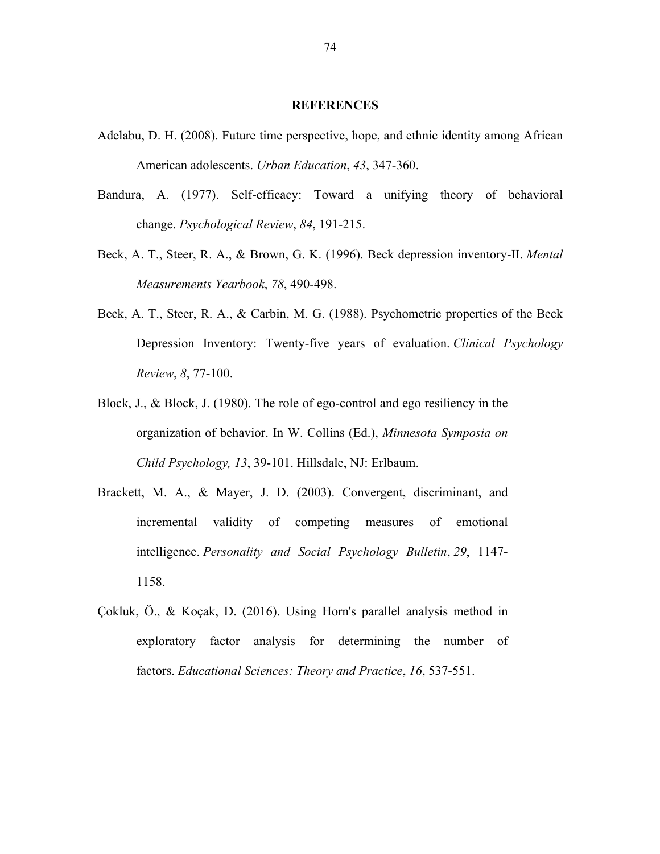#### **REFERENCES**

- Adelabu, D. H. (2008). Future time perspective, hope, and ethnic identity among African American adolescents. *Urban Education*, *43*, 347-360.
- Bandura, A. (1977). Self-efficacy: Toward a unifying theory of behavioral change. *Psychological Review*, *84*, 191-215.
- Beck, A. T., Steer, R. A., & Brown, G. K. (1996). Beck depression inventory-II. *Mental Measurements Yearbook*, *78*, 490-498.
- Beck, A. T., Steer, R. A., & Carbin, M. G. (1988). Psychometric properties of the Beck Depression Inventory: Twenty-five years of evaluation. *Clinical Psychology Review*, *8*, 77-100.
- Block, J., & Block, J. (1980). The role of ego-control and ego resiliency in the organization of behavior. In W. Collins (Ed.), *Minnesota Symposia on Child Psychology, 13*, 39-101. Hillsdale, NJ: Erlbaum.
- Brackett, M. A., & Mayer, J. D. (2003). Convergent, discriminant, and incremental validity of competing measures of emotional intelligence. *Personality and Social Psychology Bulletin*, *29*, 1147- 1158.
- Çokluk, Ö., & Koçak, D. (2016). Using Horn's parallel analysis method in exploratory factor analysis for determining the number of factors. *Educational Sciences: Theory and Practice*, *16*, 537-551.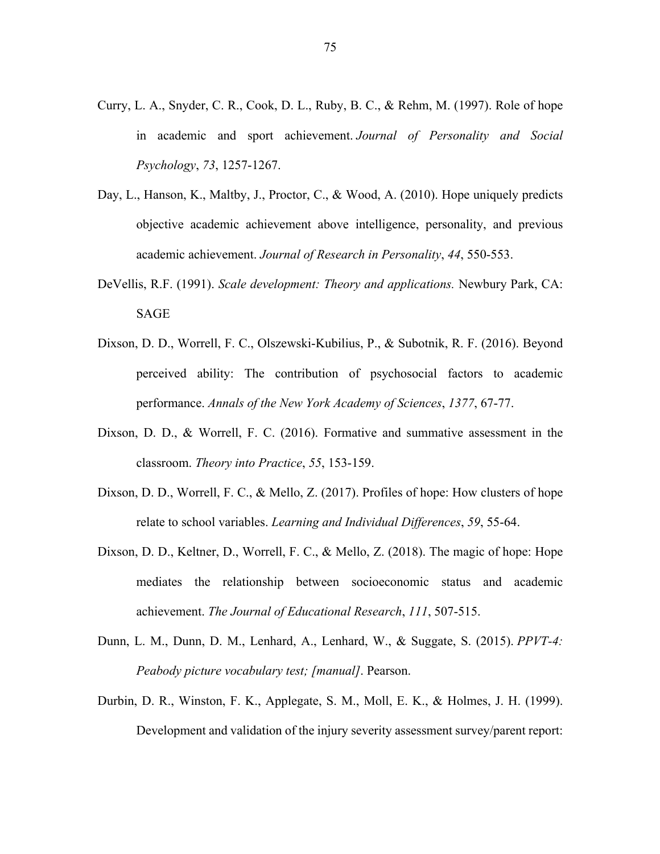- Curry, L. A., Snyder, C. R., Cook, D. L., Ruby, B. C., & Rehm, M. (1997). Role of hope in academic and sport achievement. *Journal of Personality and Social Psychology*, *73*, 1257-1267.
- Day, L., Hanson, K., Maltby, J., Proctor, C., & Wood, A. (2010). Hope uniquely predicts objective academic achievement above intelligence, personality, and previous academic achievement. *Journal of Research in Personality*, *44*, 550-553.
- DeVellis, R.F. (1991). *Scale development: Theory and applications.* Newbury Park, CA: SAGE
- Dixson, D. D., Worrell, F. C., Olszewski‐Kubilius, P., & Subotnik, R. F. (2016). Beyond perceived ability: The contribution of psychosocial factors to academic performance. *Annals of the New York Academy of Sciences*, *1377*, 67-77.
- Dixson, D. D., & Worrell, F. C. (2016). Formative and summative assessment in the classroom. *Theory into Practice*, *55*, 153-159.
- Dixson, D. D., Worrell, F. C., & Mello, Z. (2017). Profiles of hope: How clusters of hope relate to school variables. *Learning and Individual Differences*, *59*, 55-64.
- Dixson, D. D., Keltner, D., Worrell, F. C., & Mello, Z. (2018). The magic of hope: Hope mediates the relationship between socioeconomic status and academic achievement. *The Journal of Educational Research*, *111*, 507-515.
- Dunn, L. M., Dunn, D. M., Lenhard, A., Lenhard, W., & Suggate, S. (2015). *PPVT-4: Peabody picture vocabulary test; [manual]*. Pearson.
- Durbin, D. R., Winston, F. K., Applegate, S. M., Moll, E. K., & Holmes, J. H. (1999). Development and validation of the injury severity assessment survey/parent report: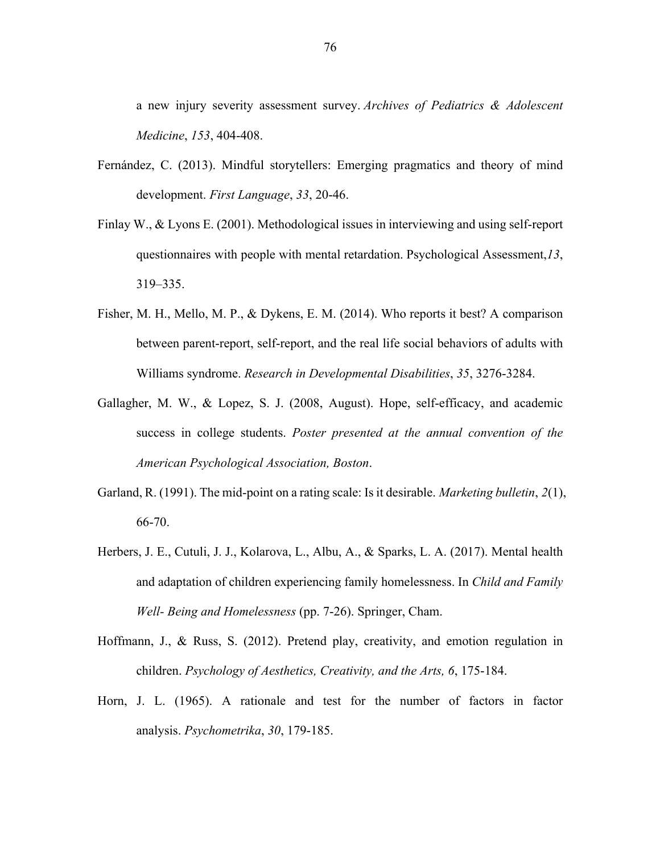a new injury severity assessment survey. *Archives of Pediatrics & Adolescent Medicine*, *153*, 404-408.

- Fernández, C. (2013). Mindful storytellers: Emerging pragmatics and theory of mind development. *First Language*, *33*, 20-46.
- Finlay W., & Lyons E. (2001). Methodological issues in interviewing and using self-report questionnaires with people with mental retardation. Psychological Assessment,*13*, 319–335.
- Fisher, M. H., Mello, M. P., & Dykens, E. M. (2014). Who reports it best? A comparison between parent-report, self-report, and the real life social behaviors of adults with Williams syndrome. *Research in Developmental Disabilities*, *35*, 3276-3284.
- Gallagher, M. W., & Lopez, S. J. (2008, August). Hope, self-efficacy, and academic success in college students. *Poster presented at the annual convention of the American Psychological Association, Boston*.
- Garland, R. (1991). The mid-point on a rating scale: Is it desirable. *Marketing bulletin*, *2*(1), 66-70.
- Herbers, J. E., Cutuli, J. J., Kolarova, L., Albu, A., & Sparks, L. A. (2017). Mental health and adaptation of children experiencing family homelessness. In *Child and Family Well- Being and Homelessness* (pp. 7-26). Springer, Cham.
- Hoffmann, J., & Russ, S. (2012). Pretend play, creativity, and emotion regulation in children. *Psychology of Aesthetics, Creativity, and the Arts, 6*, 175-184.
- Horn, J. L. (1965). A rationale and test for the number of factors in factor analysis. *Psychometrika*, *30*, 179-185.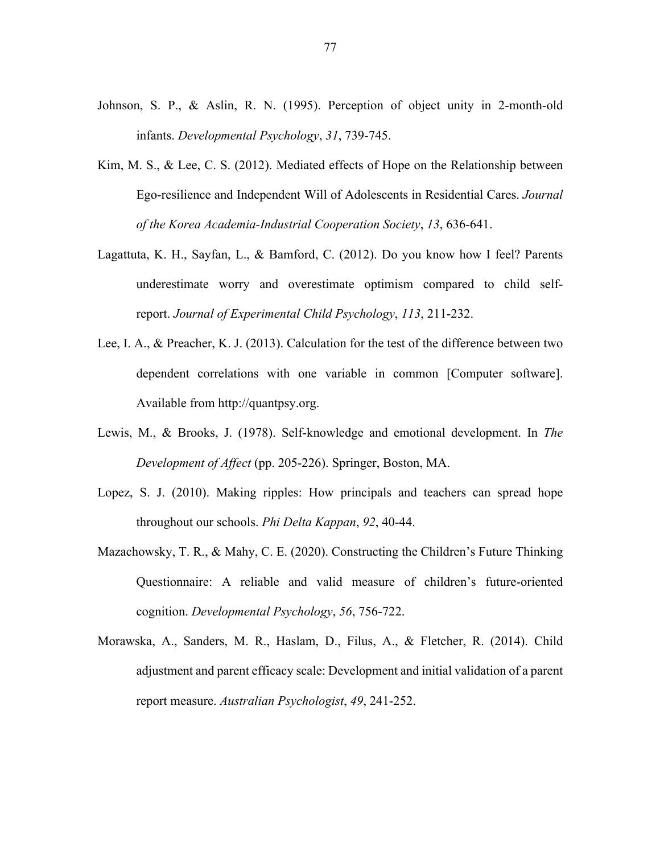- Johnson, S. P., & Aslin, R. N. (1995). Perception of object unity in 2-month-old infants. *Developmental Psychology*, *31*, 739-745.
- Kim, M. S., & Lee, C. S. (2012). Mediated effects of Hope on the Relationship between Ego-resilience and Independent Will of Adolescents in Residential Cares. *Journal of the Korea Academia-Industrial Cooperation Society*, *13*, 636-641.
- Lagattuta, K. H., Sayfan, L., & Bamford, C. (2012). Do you know how I feel? Parents underestimate worry and overestimate optimism compared to child selfreport. *Journal of Experimental Child Psychology*, *113*, 211-232.
- Lee, I. A., & Preacher, K. J. (2013). Calculation for the test of the difference between two dependent correlations with one variable in common [Computer software]. Available from http://quantpsy.org.
- Lewis, M., & Brooks, J. (1978). Self-knowledge and emotional development. In *The Development of Affect* (pp. 205-226). Springer, Boston, MA.
- Lopez, S. J. (2010). Making ripples: How principals and teachers can spread hope throughout our schools. *Phi Delta Kappan*, *92*, 40-44.
- Mazachowsky, T. R., & Mahy, C. E. (2020). Constructing the Children's Future Thinking Questionnaire: A reliable and valid measure of children's future-oriented cognition. *Developmental Psychology*, *56*, 756-722.
- Morawska, A., Sanders, M. R., Haslam, D., Filus, A., & Fletcher, R. (2014). Child adjustment and parent efficacy scale: Development and initial validation of a parent report measure. *Australian Psychologist*, *49*, 241-252.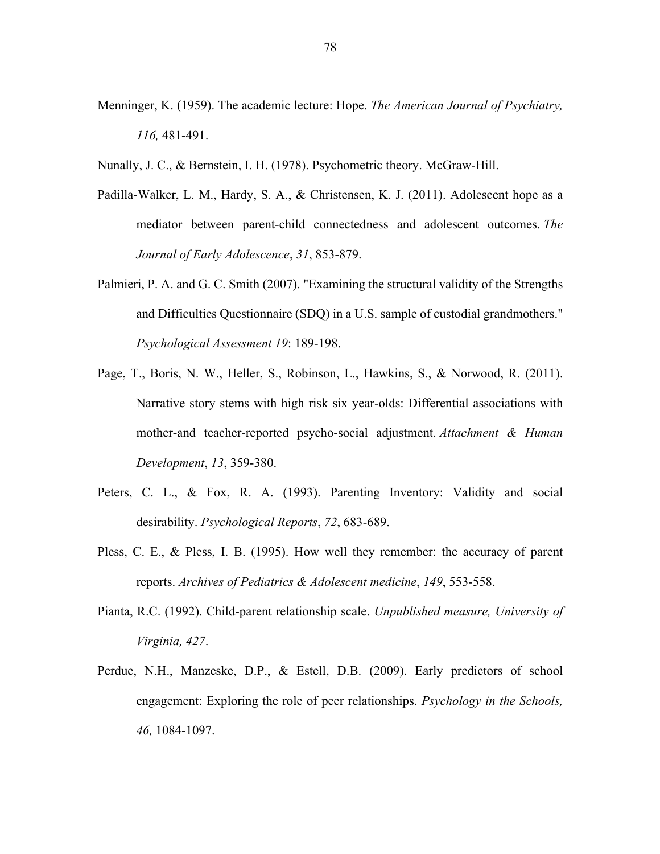- Menninger, K. (1959). The academic lecture: Hope. *The American Journal of Psychiatry, 116,* 481-491.
- Nunally, J. C., & Bernstein, I. H. (1978). Psychometric theory. McGraw-Hill.
- Padilla-Walker, L. M., Hardy, S. A., & Christensen, K. J. (2011). Adolescent hope as a mediator between parent-child connectedness and adolescent outcomes. *The Journal of Early Adolescence*, *31*, 853-879.
- Palmieri, P. A. and G. C. Smith (2007). "Examining the structural validity of the Strengths and Difficulties Questionnaire (SDQ) in a U.S. sample of custodial grandmothers." *Psychological Assessment 19*: 189-198.
- Page, T., Boris, N. W., Heller, S., Robinson, L., Hawkins, S., & Norwood, R. (2011). Narrative story stems with high risk six year-olds: Differential associations with mother-and teacher-reported psycho-social adjustment. *Attachment & Human Development*, *13*, 359-380.
- Peters, C. L., & Fox, R. A. (1993). Parenting Inventory: Validity and social desirability. *Psychological Reports*, *72*, 683-689.
- Pless, C. E., & Pless, I. B. (1995). How well they remember: the accuracy of parent reports. *Archives of Pediatrics & Adolescent medicine*, *149*, 553-558.
- Pianta, R.C. (1992). Child-parent relationship scale. *Unpublished measure, University of Virginia, 427*.
- Perdue, N.H., Manzeske, D.P., & Estell, D.B. (2009). Early predictors of school engagement: Exploring the role of peer relationships. *Psychology in the Schools, 46,* 1084-1097.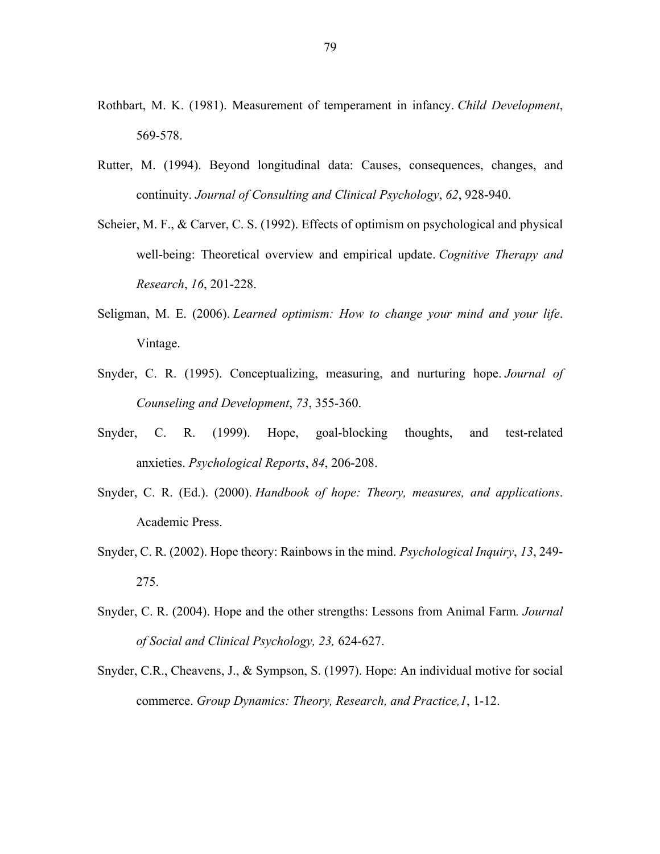- Rothbart, M. K. (1981). Measurement of temperament in infancy. *Child Development*, 569-578.
- Rutter, M. (1994). Beyond longitudinal data: Causes, consequences, changes, and continuity. *Journal of Consulting and Clinical Psychology*, *62*, 928-940.
- Scheier, M. F., & Carver, C. S. (1992). Effects of optimism on psychological and physical well-being: Theoretical overview and empirical update. *Cognitive Therapy and Research*, *16*, 201-228.
- Seligman, M. E. (2006). *Learned optimism: How to change your mind and your life*. Vintage.
- Snyder, C. R. (1995). Conceptualizing, measuring, and nurturing hope. *Journal of Counseling and Development*, *73*, 355-360.
- Snyder, C. R. (1999). Hope, goal-blocking thoughts, and test-related anxieties. *Psychological Reports*, *84*, 206-208.
- Snyder, C. R. (Ed.). (2000). *Handbook of hope: Theory, measures, and applications*. Academic Press.
- Snyder, C. R. (2002). Hope theory: Rainbows in the mind. *Psychological Inquiry*, *13*, 249- 275.
- Snyder, C. R. (2004). Hope and the other strengths: Lessons from Animal Farm*. Journal of Social and Clinical Psychology, 23,* 624-627.
- Snyder, C.R., Cheavens, J., & Sympson, S. (1997). Hope: An individual motive for social commerce. *Group Dynamics: Theory, Research, and Practice,1*, 1-12.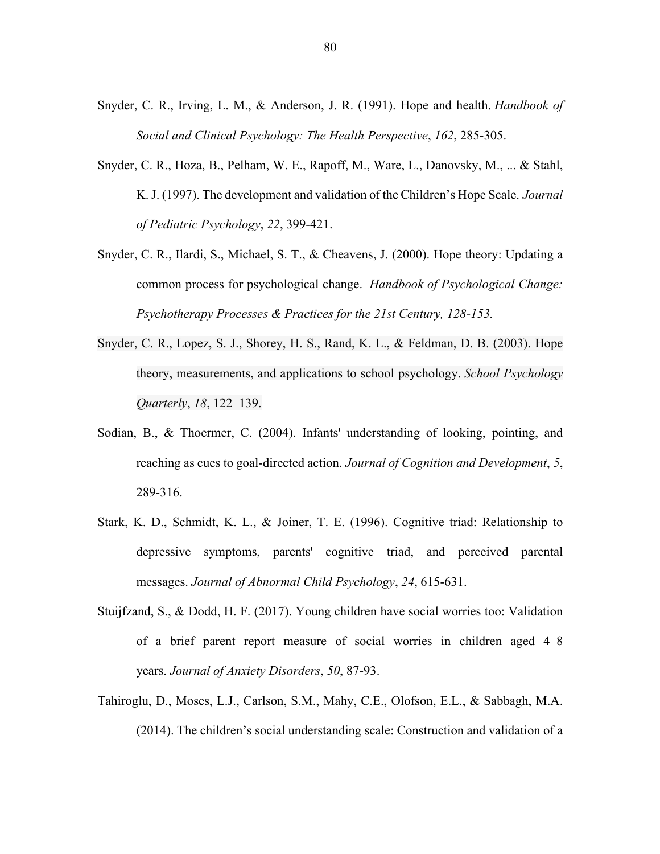- Snyder, C. R., Irving, L. M., & Anderson, J. R. (1991). Hope and health. *Handbook of Social and Clinical Psychology: The Health Perspective*, *162*, 285-305.
- Snyder, C. R., Hoza, B., Pelham, W. E., Rapoff, M., Ware, L., Danovsky, M., ... & Stahl, K. J. (1997). The development and validation of the Children's Hope Scale. *Journal of Pediatric Psychology*, *22*, 399-421.
- Snyder, C. R., Ilardi, S., Michael, S. T., & Cheavens, J. (2000). Hope theory: Updating a common process for psychological change. *Handbook of Psychological Change: Psychotherapy Processes & Practices for the 21st Century, 128-153.*
- Snyder, C. R., Lopez, S. J., Shorey, H. S., Rand, K. L., & Feldman, D. B. (2003). Hope theory, measurements, and applications to school psychology. *School Psychology Quarterly*, *18*, 122–139.
- Sodian, B., & Thoermer, C. (2004). Infants' understanding of looking, pointing, and reaching as cues to goal-directed action. *Journal of Cognition and Development*, *5*, 289-316.
- Stark, K. D., Schmidt, K. L., & Joiner, T. E. (1996). Cognitive triad: Relationship to depressive symptoms, parents' cognitive triad, and perceived parental messages. *Journal of Abnormal Child Psychology*, *24*, 615-631.
- Stuijfzand, S., & Dodd, H. F. (2017). Young children have social worries too: Validation of a brief parent report measure of social worries in children aged 4–8 years. *Journal of Anxiety Disorders*, *50*, 87-93.
- Tahiroglu, D., Moses, L.J., Carlson, S.M., Mahy, C.E., Olofson, E.L., & Sabbagh, M.A. (2014). The children's social understanding scale: Construction and validation of a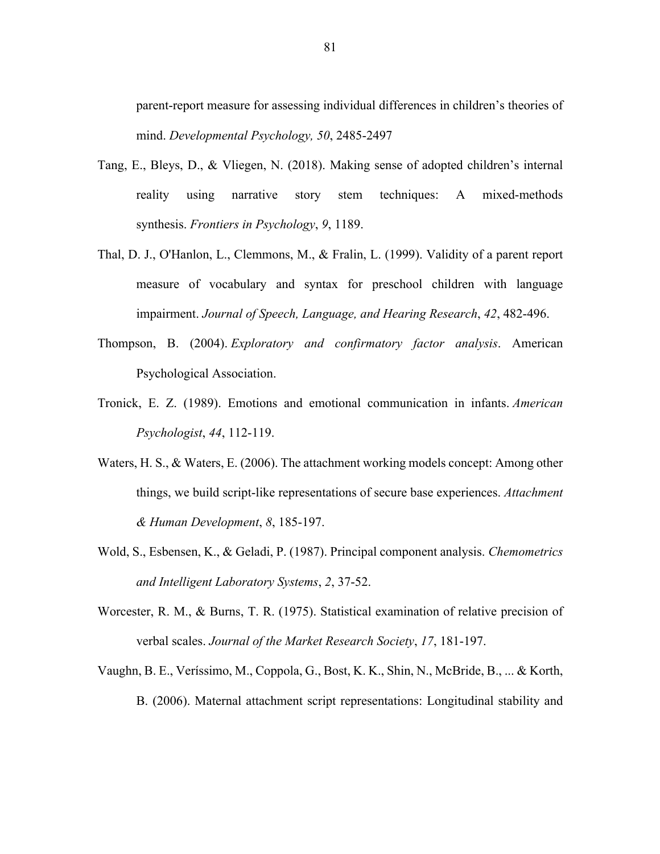parent-report measure for assessing individual differences in children's theories of mind. *Developmental Psychology, 50*, 2485-2497

- Tang, E., Bleys, D., & Vliegen, N. (2018). Making sense of adopted children's internal reality using narrative story stem techniques: A mixed-methods synthesis. *Frontiers in Psychology*, *9*, 1189.
- Thal, D. J., O'Hanlon, L., Clemmons, M., & Fralin, L. (1999). Validity of a parent report measure of vocabulary and syntax for preschool children with language impairment. *Journal of Speech, Language, and Hearing Research*, *42*, 482-496.
- Thompson, B. (2004). *Exploratory and confirmatory factor analysis*. American Psychological Association.
- Tronick, E. Z. (1989). Emotions and emotional communication in infants. *American Psychologist*, *44*, 112-119.
- Waters, H. S., & Waters, E. (2006). The attachment working models concept: Among other things, we build script-like representations of secure base experiences. *Attachment & Human Development*, *8*, 185-197.
- Wold, S., Esbensen, K., & Geladi, P. (1987). Principal component analysis. *Chemometrics and Intelligent Laboratory Systems*, *2*, 37-52.
- Worcester, R. M., & Burns, T. R. (1975). Statistical examination of relative precision of verbal scales. *Journal of the Market Research Society*, *17*, 181-197.
- Vaughn, B. E., Veríssimo, M., Coppola, G., Bost, K. K., Shin, N., McBride, B., ... & Korth, B. (2006). Maternal attachment script representations: Longitudinal stability and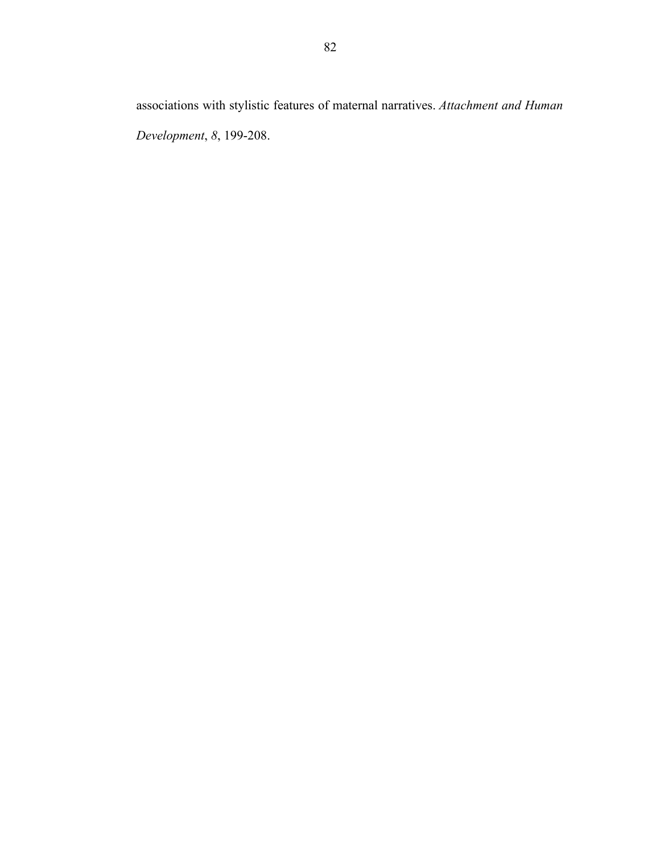*Development*, *8*, 199-208.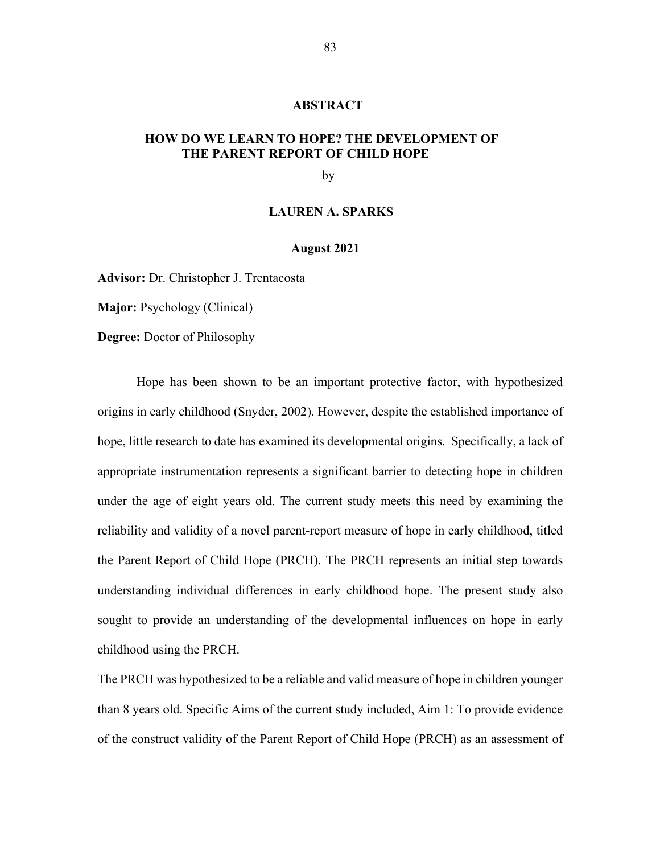#### **ABSTRACT**

# **HOW DO WE LEARN TO HOPE? THE DEVELOPMENT OF THE PARENT REPORT OF CHILD HOPE**

by

#### **LAUREN A. SPARKS**

#### **August 2021**

**Advisor:** Dr. Christopher J. Trentacosta

**Major:** Psychology (Clinical)

**Degree:** Doctor of Philosophy

Hope has been shown to be an important protective factor, with hypothesized origins in early childhood (Snyder, 2002). However, despite the established importance of hope, little research to date has examined its developmental origins. Specifically, a lack of appropriate instrumentation represents a significant barrier to detecting hope in children under the age of eight years old. The current study meets this need by examining the reliability and validity of a novel parent-report measure of hope in early childhood, titled the Parent Report of Child Hope (PRCH). The PRCH represents an initial step towards understanding individual differences in early childhood hope. The present study also sought to provide an understanding of the developmental influences on hope in early childhood using the PRCH.

The PRCH was hypothesized to be a reliable and valid measure of hope in children younger than 8 years old. Specific Aims of the current study included, Aim 1: To provide evidence of the construct validity of the Parent Report of Child Hope (PRCH) as an assessment of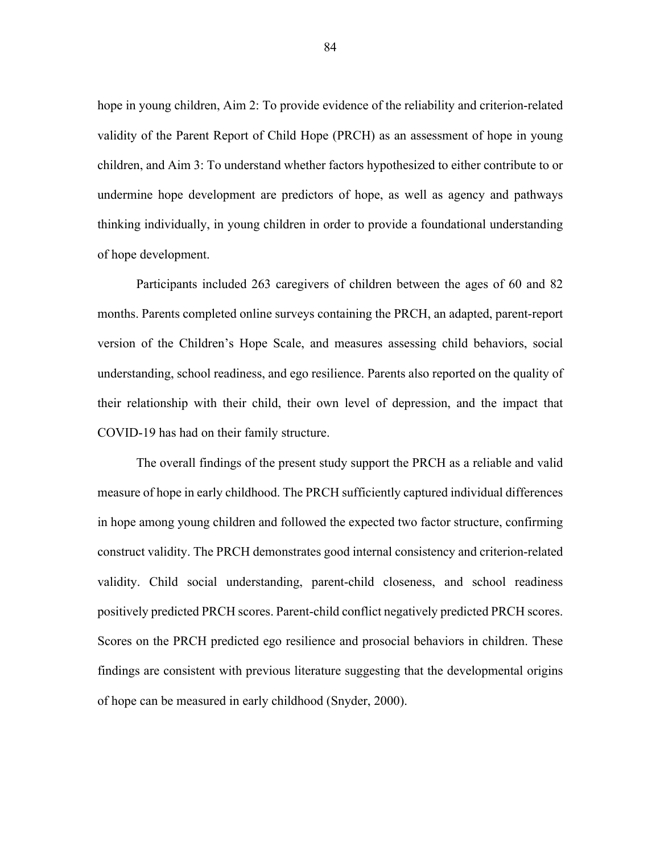hope in young children, Aim 2: To provide evidence of the reliability and criterion-related validity of the Parent Report of Child Hope (PRCH) as an assessment of hope in young children, and Aim 3: To understand whether factors hypothesized to either contribute to or undermine hope development are predictors of hope, as well as agency and pathways thinking individually, in young children in order to provide a foundational understanding of hope development.

Participants included 263 caregivers of children between the ages of 60 and 82 months. Parents completed online surveys containing the PRCH, an adapted, parent-report version of the Children's Hope Scale, and measures assessing child behaviors, social understanding, school readiness, and ego resilience. Parents also reported on the quality of their relationship with their child, their own level of depression, and the impact that COVID-19 has had on their family structure.

The overall findings of the present study support the PRCH as a reliable and valid measure of hope in early childhood. The PRCH sufficiently captured individual differences in hope among young children and followed the expected two factor structure, confirming construct validity. The PRCH demonstrates good internal consistency and criterion-related validity. Child social understanding, parent-child closeness, and school readiness positively predicted PRCH scores. Parent-child conflict negatively predicted PRCH scores. Scores on the PRCH predicted ego resilience and prosocial behaviors in children. These findings are consistent with previous literature suggesting that the developmental origins of hope can be measured in early childhood (Snyder, 2000).